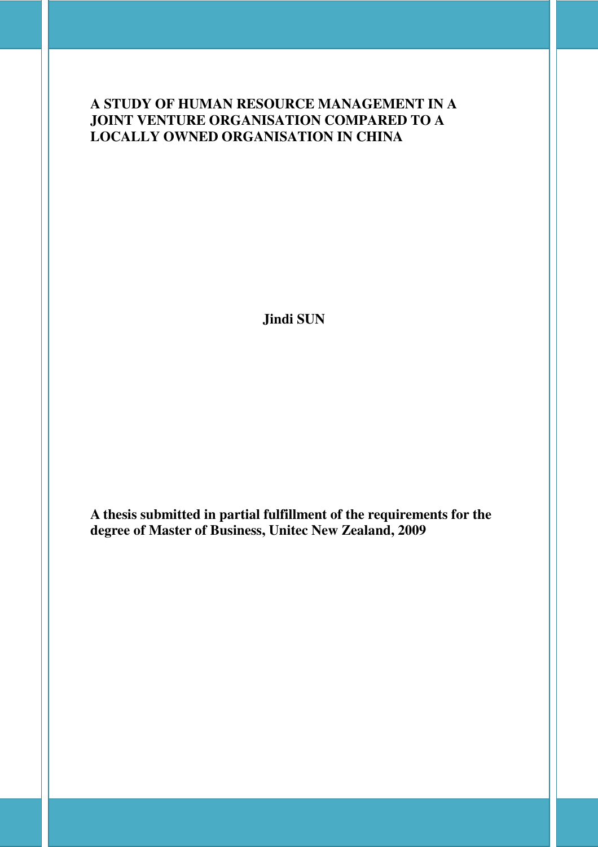## **A STUDY OF HUMAN RESOURCE MANAGEMENT IN A JOINT VENTURE ORGANISATION COMPARED TO A LOCALLY OWNED ORGANISATION IN CHINA**

**Jindi SUN** 

**A thesis submitted in partial fulfillment of the requirements for the degree of Master of Business, Unitec New Zealand, 2009**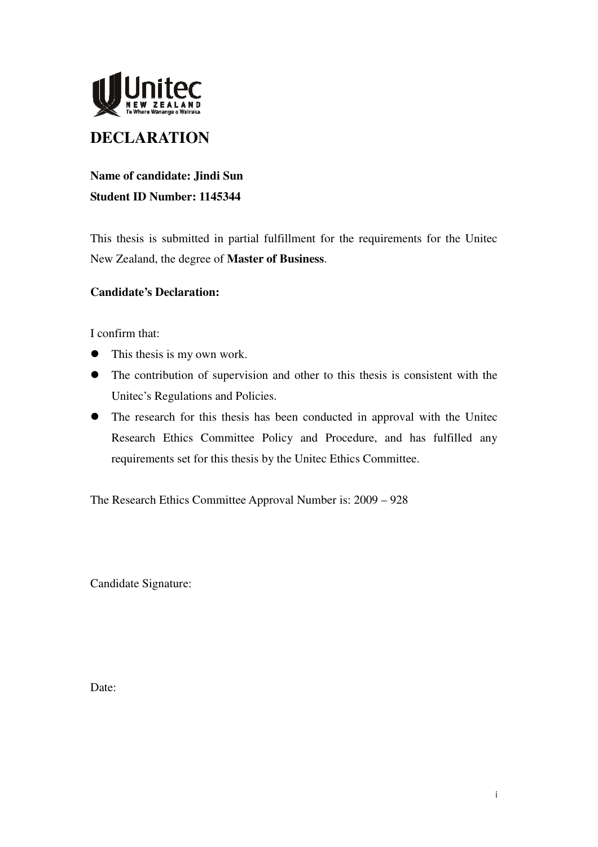

## **DECLARATION**

## **Name of candidate: Jindi Sun Student ID Number: 1145344**

This thesis is submitted in partial fulfillment for the requirements for the Unitec New Zealand, the degree of **Master of Business**.

#### **Candidate's Declaration:**

I confirm that:

- This thesis is my own work.
- The contribution of supervision and other to this thesis is consistent with the Unitec's Regulations and Policies.
- The research for this thesis has been conducted in approval with the United Research Ethics Committee Policy and Procedure, and has fulfilled any requirements set for this thesis by the Unitec Ethics Committee.

The Research Ethics Committee Approval Number is: 2009 – 928

Candidate Signature:

Date: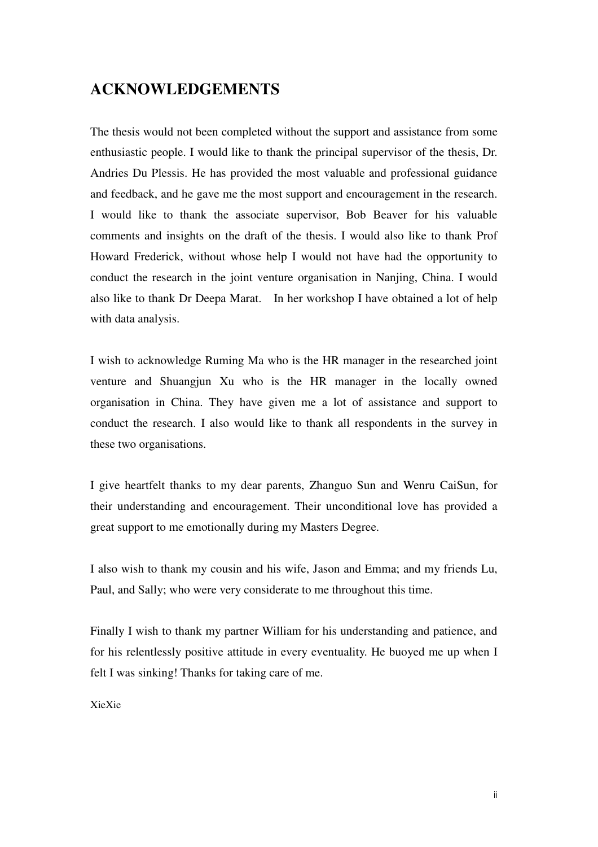## **ACKNOWLEDGEMENTS**

The thesis would not been completed without the support and assistance from some enthusiastic people. I would like to thank the principal supervisor of the thesis, Dr. Andries Du Plessis. He has provided the most valuable and professional guidance and feedback, and he gave me the most support and encouragement in the research. I would like to thank the associate supervisor, Bob Beaver for his valuable comments and insights on the draft of the thesis. I would also like to thank Prof Howard Frederick, without whose help I would not have had the opportunity to conduct the research in the joint venture organisation in Nanjing, China. I would also like to thank Dr Deepa Marat. In her workshop I have obtained a lot of help with data analysis.

I wish to acknowledge Ruming Ma who is the HR manager in the researched joint venture and Shuangjun Xu who is the HR manager in the locally owned organisation in China. They have given me a lot of assistance and support to conduct the research. I also would like to thank all respondents in the survey in these two organisations.

I give heartfelt thanks to my dear parents, Zhanguo Sun and Wenru CaiSun, for their understanding and encouragement. Their unconditional love has provided a great support to me emotionally during my Masters Degree.

I also wish to thank my cousin and his wife, Jason and Emma; and my friends Lu, Paul, and Sally; who were very considerate to me throughout this time.

Finally I wish to thank my partner William for his understanding and patience, and for his relentlessly positive attitude in every eventuality. He buoyed me up when I felt I was sinking! Thanks for taking care of me.

XieXie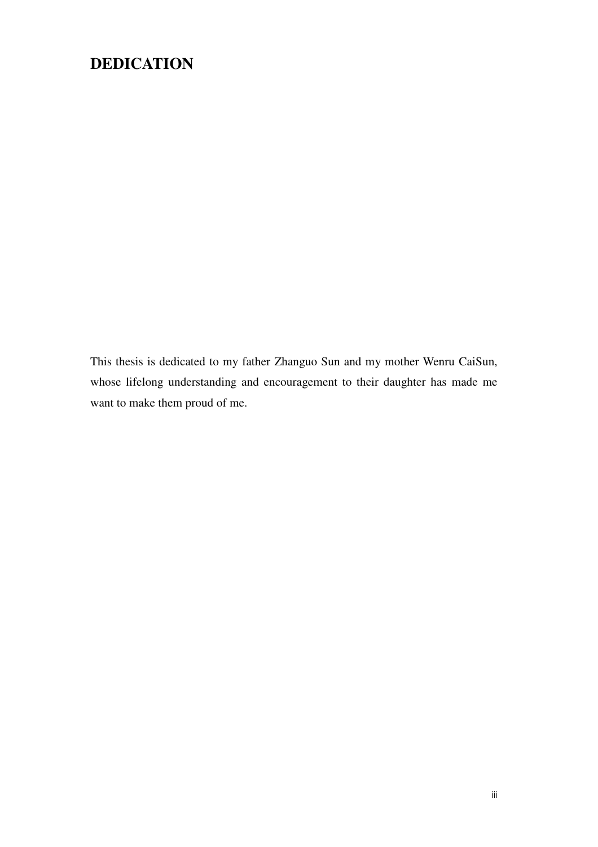## **DEDICATION**

This thesis is dedicated to my father Zhanguo Sun and my mother Wenru CaiSun, whose lifelong understanding and encouragement to their daughter has made me want to make them proud of me.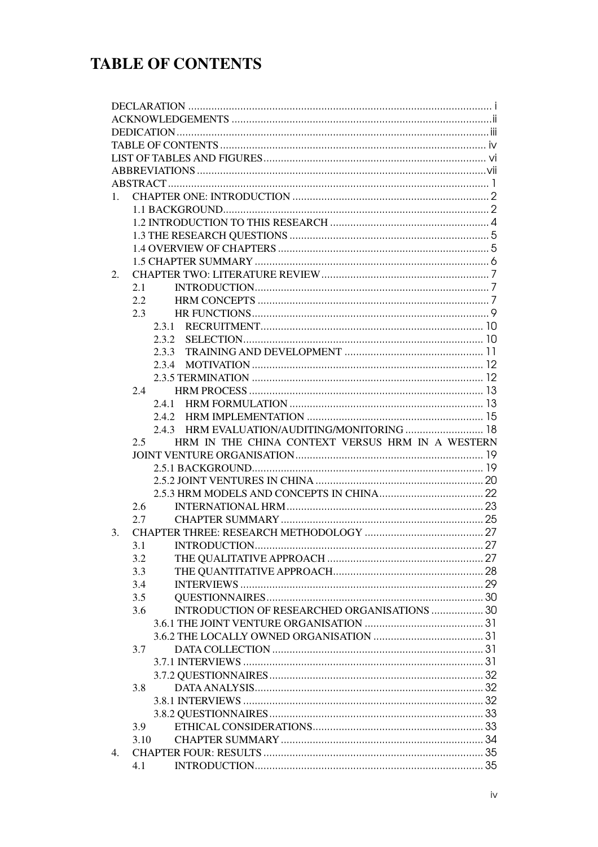## **TABLE OF CONTENTS**

| 1. |       |                                                  |  |  |  |  |
|----|-------|--------------------------------------------------|--|--|--|--|
|    |       |                                                  |  |  |  |  |
|    |       |                                                  |  |  |  |  |
|    |       |                                                  |  |  |  |  |
|    |       |                                                  |  |  |  |  |
|    |       |                                                  |  |  |  |  |
| 2. |       |                                                  |  |  |  |  |
|    | 2.1   |                                                  |  |  |  |  |
|    | 2.2   |                                                  |  |  |  |  |
|    |       |                                                  |  |  |  |  |
|    | 2.3   |                                                  |  |  |  |  |
|    |       |                                                  |  |  |  |  |
|    |       |                                                  |  |  |  |  |
|    |       | 2.3.3                                            |  |  |  |  |
|    | 2.3.4 |                                                  |  |  |  |  |
|    |       |                                                  |  |  |  |  |
|    | 2.4   |                                                  |  |  |  |  |
|    | 2.4.1 |                                                  |  |  |  |  |
|    |       |                                                  |  |  |  |  |
|    |       | 2.4.3 HRM EVALUATION/AUDITING/MONITORING  18     |  |  |  |  |
|    |       |                                                  |  |  |  |  |
|    | 2.5   | HRM IN THE CHINA CONTEXT VERSUS HRM IN A WESTERN |  |  |  |  |
|    |       |                                                  |  |  |  |  |
|    |       |                                                  |  |  |  |  |
|    |       |                                                  |  |  |  |  |
|    |       |                                                  |  |  |  |  |
|    | 2.6   |                                                  |  |  |  |  |
|    | 2.7   |                                                  |  |  |  |  |
| 3. |       |                                                  |  |  |  |  |
|    | 3.1   |                                                  |  |  |  |  |
|    | 3.2   |                                                  |  |  |  |  |
|    | 3.3   |                                                  |  |  |  |  |
|    | 3.4   |                                                  |  |  |  |  |
|    | 3.5   |                                                  |  |  |  |  |
|    | 3.6   | INTRODUCTION OF RESEARCHED ORGANISATIONS  30     |  |  |  |  |
|    |       |                                                  |  |  |  |  |
|    |       |                                                  |  |  |  |  |
|    | 3.7   |                                                  |  |  |  |  |
|    |       |                                                  |  |  |  |  |
|    |       |                                                  |  |  |  |  |
|    |       |                                                  |  |  |  |  |
|    | 3.8   |                                                  |  |  |  |  |
|    |       |                                                  |  |  |  |  |
|    |       |                                                  |  |  |  |  |
|    | 3.9   |                                                  |  |  |  |  |
|    | 3.10  |                                                  |  |  |  |  |
| 4. | 4.1   |                                                  |  |  |  |  |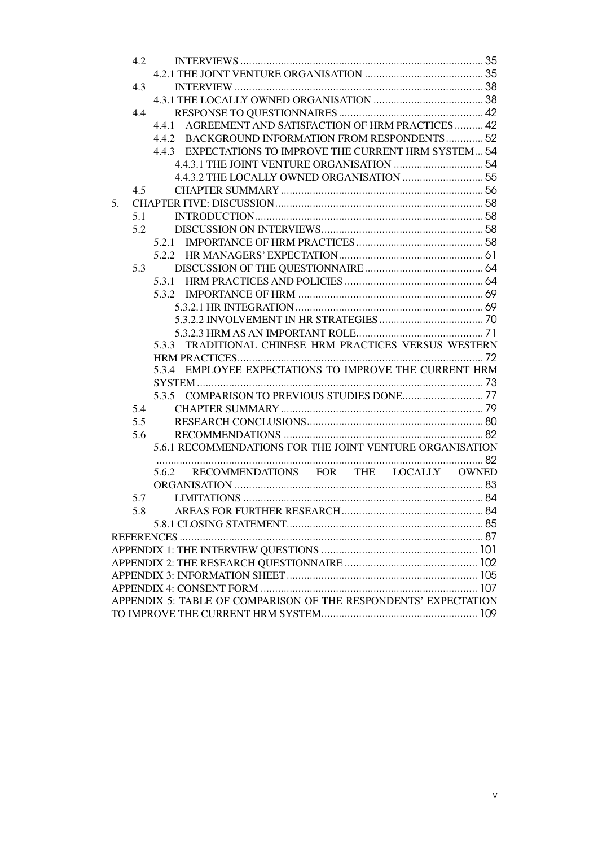|                                                                 | 4.2 |                                                           |  |  |
|-----------------------------------------------------------------|-----|-----------------------------------------------------------|--|--|
|                                                                 |     |                                                           |  |  |
|                                                                 | 4.3 |                                                           |  |  |
|                                                                 |     |                                                           |  |  |
|                                                                 | 4.4 |                                                           |  |  |
|                                                                 |     | 4.4.1 AGREEMENT AND SATISFACTION OF HRM PRACTICES  42     |  |  |
|                                                                 |     | 4.4.2 BACKGROUND INFORMATION FROM RESPONDENTS 52          |  |  |
|                                                                 |     | 4.4.3 EXPECTATIONS TO IMPROVE THE CURRENT HRM SYSTEM 54   |  |  |
|                                                                 |     |                                                           |  |  |
|                                                                 |     |                                                           |  |  |
|                                                                 | 4.5 |                                                           |  |  |
| 5 <sub>1</sub>                                                  |     |                                                           |  |  |
|                                                                 | 5.1 |                                                           |  |  |
|                                                                 | 5.2 |                                                           |  |  |
|                                                                 |     |                                                           |  |  |
|                                                                 |     |                                                           |  |  |
|                                                                 | 5.3 |                                                           |  |  |
|                                                                 |     |                                                           |  |  |
|                                                                 |     |                                                           |  |  |
|                                                                 |     |                                                           |  |  |
|                                                                 |     |                                                           |  |  |
|                                                                 |     |                                                           |  |  |
|                                                                 |     | 5.3.3 TRADITIONAL CHINESE HRM PRACTICES VERSUS WESTERN    |  |  |
|                                                                 |     |                                                           |  |  |
|                                                                 |     | EMPLOYEE EXPECTATIONS TO IMPROVE THE CURRENT HRM<br>5.3.4 |  |  |
|                                                                 |     |                                                           |  |  |
|                                                                 |     |                                                           |  |  |
|                                                                 | 5.4 |                                                           |  |  |
|                                                                 | 5.5 |                                                           |  |  |
|                                                                 | 5.6 |                                                           |  |  |
|                                                                 |     | 5.6.1 RECOMMENDATIONS FOR THE JOINT VENTURE ORGANISATION  |  |  |
|                                                                 |     |                                                           |  |  |
|                                                                 |     | RECOMMENDATIONS FOR THE LOCALLY OWNED<br>5.6.2            |  |  |
|                                                                 |     |                                                           |  |  |
|                                                                 |     | 5.7                                                       |  |  |
|                                                                 | 5.8 |                                                           |  |  |
|                                                                 |     |                                                           |  |  |
|                                                                 |     |                                                           |  |  |
|                                                                 |     |                                                           |  |  |
|                                                                 |     |                                                           |  |  |
|                                                                 |     |                                                           |  |  |
| APPENDIX 5: TABLE OF COMPARISON OF THE RESPONDENTS' EXPECTATION |     |                                                           |  |  |
|                                                                 |     |                                                           |  |  |
|                                                                 |     |                                                           |  |  |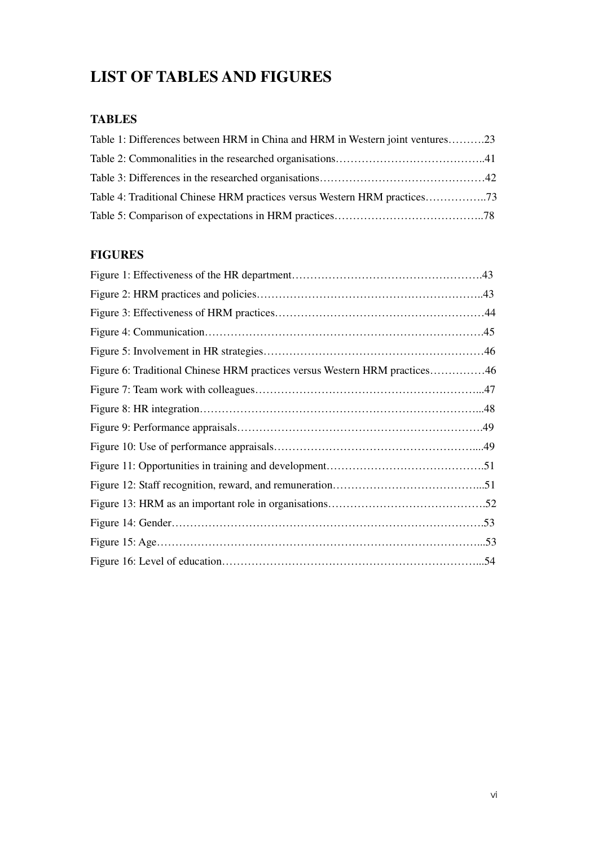## **LIST OF TABLES AND FIGURES**

## **TABLES**

| Table 1: Differences between HRM in China and HRM in Western joint ventures23 |  |
|-------------------------------------------------------------------------------|--|
|                                                                               |  |
|                                                                               |  |
|                                                                               |  |
|                                                                               |  |

## **FIGURES**

| Figure 6: Traditional Chinese HRM practices versus Western HRM practices46 |  |
|----------------------------------------------------------------------------|--|
|                                                                            |  |
|                                                                            |  |
|                                                                            |  |
|                                                                            |  |
|                                                                            |  |
|                                                                            |  |
|                                                                            |  |
|                                                                            |  |
|                                                                            |  |
|                                                                            |  |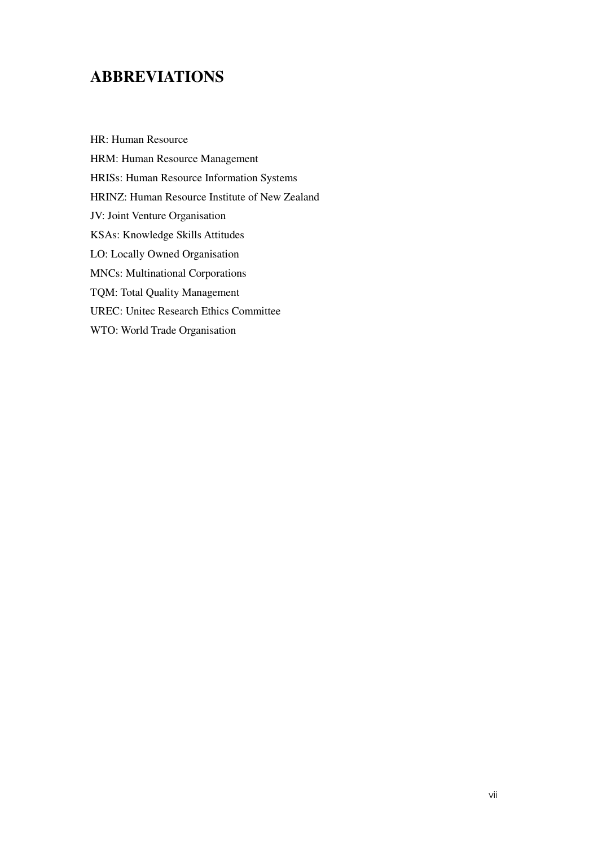## **ABBREVIATIONS**

HR: Human Resource HRM: Human Resource Management HRISs: Human Resource Information Systems HRINZ: Human Resource Institute of New Zealand JV: Joint Venture Organisation KSAs: Knowledge Skills Attitudes LO: Locally Owned Organisation MNCs: Multinational Corporations TQM: Total Quality Management UREC: Unitec Research Ethics Committee WTO: World Trade Organisation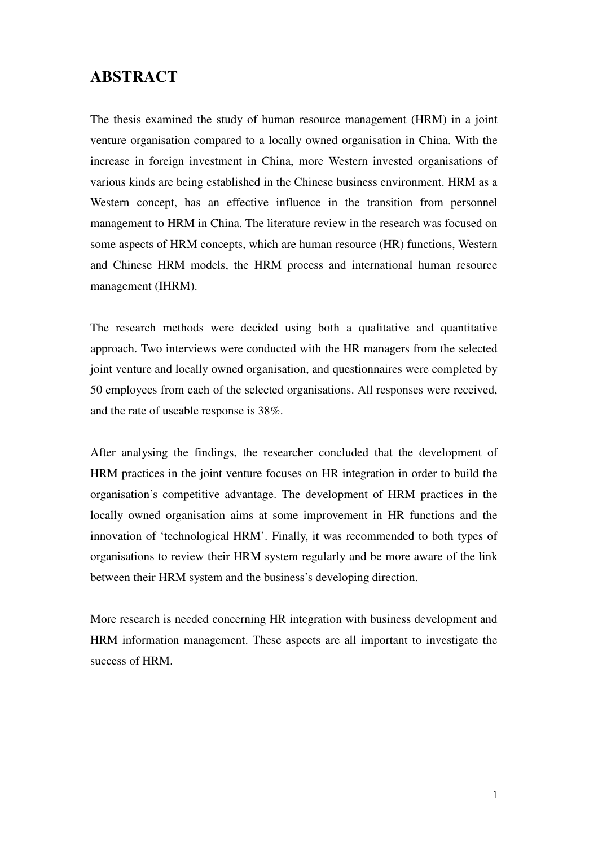## **ABSTRACT**

The thesis examined the study of human resource management (HRM) in a joint venture organisation compared to a locally owned organisation in China. With the increase in foreign investment in China, more Western invested organisations of various kinds are being established in the Chinese business environment. HRM as a Western concept, has an effective influence in the transition from personnel management to HRM in China. The literature review in the research was focused on some aspects of HRM concepts, which are human resource (HR) functions, Western and Chinese HRM models, the HRM process and international human resource management (IHRM).

The research methods were decided using both a qualitative and quantitative approach. Two interviews were conducted with the HR managers from the selected joint venture and locally owned organisation, and questionnaires were completed by 50 employees from each of the selected organisations. All responses were received, and the rate of useable response is 38%.

After analysing the findings, the researcher concluded that the development of HRM practices in the joint venture focuses on HR integration in order to build the organisation's competitive advantage. The development of HRM practices in the locally owned organisation aims at some improvement in HR functions and the innovation of 'technological HRM'. Finally, it was recommended to both types of organisations to review their HRM system regularly and be more aware of the link between their HRM system and the business's developing direction.

More research is needed concerning HR integration with business development and HRM information management. These aspects are all important to investigate the success of HRM.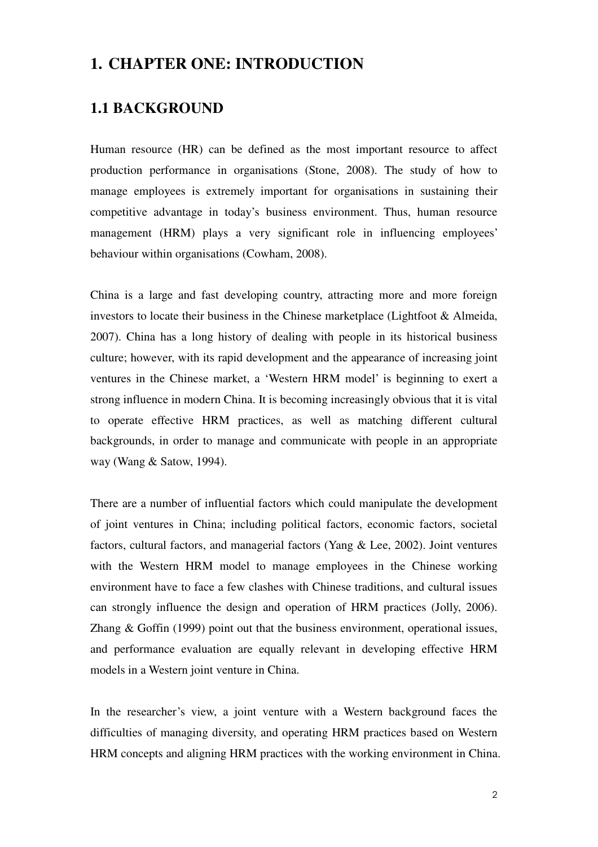## **1. CHAPTER ONE: INTRODUCTION**

## **1.1 BACKGROUND**

Human resource (HR) can be defined as the most important resource to affect production performance in organisations (Stone, 2008). The study of how to manage employees is extremely important for organisations in sustaining their competitive advantage in today's business environment. Thus, human resource management (HRM) plays a very significant role in influencing employees' behaviour within organisations (Cowham, 2008).

China is a large and fast developing country, attracting more and more foreign investors to locate their business in the Chinese marketplace (Lightfoot & Almeida, 2007). China has a long history of dealing with people in its historical business culture; however, with its rapid development and the appearance of increasing joint ventures in the Chinese market, a 'Western HRM model' is beginning to exert a strong influence in modern China. It is becoming increasingly obvious that it is vital to operate effective HRM practices, as well as matching different cultural backgrounds, in order to manage and communicate with people in an appropriate way (Wang & Satow, 1994).

There are a number of influential factors which could manipulate the development of joint ventures in China; including political factors, economic factors, societal factors, cultural factors, and managerial factors (Yang & Lee, 2002). Joint ventures with the Western HRM model to manage employees in the Chinese working environment have to face a few clashes with Chinese traditions, and cultural issues can strongly influence the design and operation of HRM practices (Jolly, 2006). Zhang & Goffin (1999) point out that the business environment, operational issues, and performance evaluation are equally relevant in developing effective HRM models in a Western joint venture in China.

In the researcher's view, a joint venture with a Western background faces the difficulties of managing diversity, and operating HRM practices based on Western HRM concepts and aligning HRM practices with the working environment in China.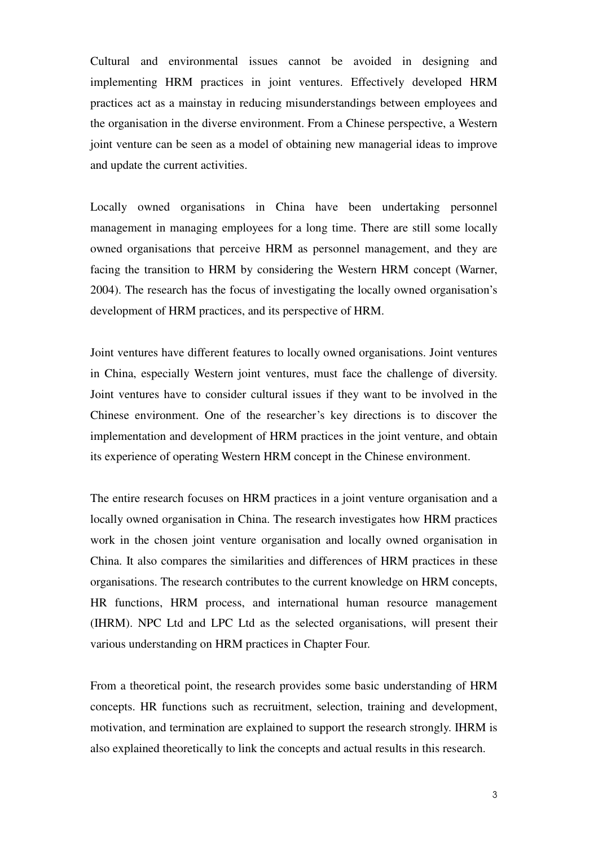Cultural and environmental issues cannot be avoided in designing and implementing HRM practices in joint ventures. Effectively developed HRM practices act as a mainstay in reducing misunderstandings between employees and the organisation in the diverse environment. From a Chinese perspective, a Western joint venture can be seen as a model of obtaining new managerial ideas to improve and update the current activities.

Locally owned organisations in China have been undertaking personnel management in managing employees for a long time. There are still some locally owned organisations that perceive HRM as personnel management, and they are facing the transition to HRM by considering the Western HRM concept (Warner, 2004). The research has the focus of investigating the locally owned organisation's development of HRM practices, and its perspective of HRM.

Joint ventures have different features to locally owned organisations. Joint ventures in China, especially Western joint ventures, must face the challenge of diversity. Joint ventures have to consider cultural issues if they want to be involved in the Chinese environment. One of the researcher's key directions is to discover the implementation and development of HRM practices in the joint venture, and obtain its experience of operating Western HRM concept in the Chinese environment.

The entire research focuses on HRM practices in a joint venture organisation and a locally owned organisation in China. The research investigates how HRM practices work in the chosen joint venture organisation and locally owned organisation in China. It also compares the similarities and differences of HRM practices in these organisations. The research contributes to the current knowledge on HRM concepts, HR functions, HRM process, and international human resource management (IHRM). NPC Ltd and LPC Ltd as the selected organisations, will present their various understanding on HRM practices in Chapter Four.

From a theoretical point, the research provides some basic understanding of HRM concepts. HR functions such as recruitment, selection, training and development, motivation, and termination are explained to support the research strongly. IHRM is also explained theoretically to link the concepts and actual results in this research.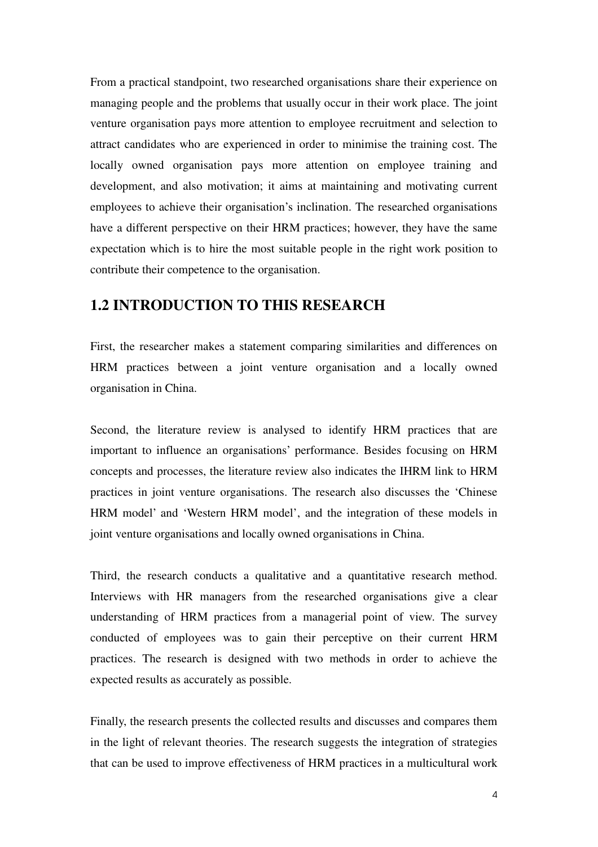From a practical standpoint, two researched organisations share their experience on managing people and the problems that usually occur in their work place. The joint venture organisation pays more attention to employee recruitment and selection to attract candidates who are experienced in order to minimise the training cost. The locally owned organisation pays more attention on employee training and development, and also motivation; it aims at maintaining and motivating current employees to achieve their organisation's inclination. The researched organisations have a different perspective on their HRM practices; however, they have the same expectation which is to hire the most suitable people in the right work position to contribute their competence to the organisation.

### **1.2 INTRODUCTION TO THIS RESEARCH**

First, the researcher makes a statement comparing similarities and differences on HRM practices between a joint venture organisation and a locally owned organisation in China.

Second, the literature review is analysed to identify HRM practices that are important to influence an organisations' performance. Besides focusing on HRM concepts and processes, the literature review also indicates the IHRM link to HRM practices in joint venture organisations. The research also discusses the 'Chinese HRM model' and 'Western HRM model', and the integration of these models in joint venture organisations and locally owned organisations in China.

Third, the research conducts a qualitative and a quantitative research method. Interviews with HR managers from the researched organisations give a clear understanding of HRM practices from a managerial point of view. The survey conducted of employees was to gain their perceptive on their current HRM practices. The research is designed with two methods in order to achieve the expected results as accurately as possible.

Finally, the research presents the collected results and discusses and compares them in the light of relevant theories. The research suggests the integration of strategies that can be used to improve effectiveness of HRM practices in a multicultural work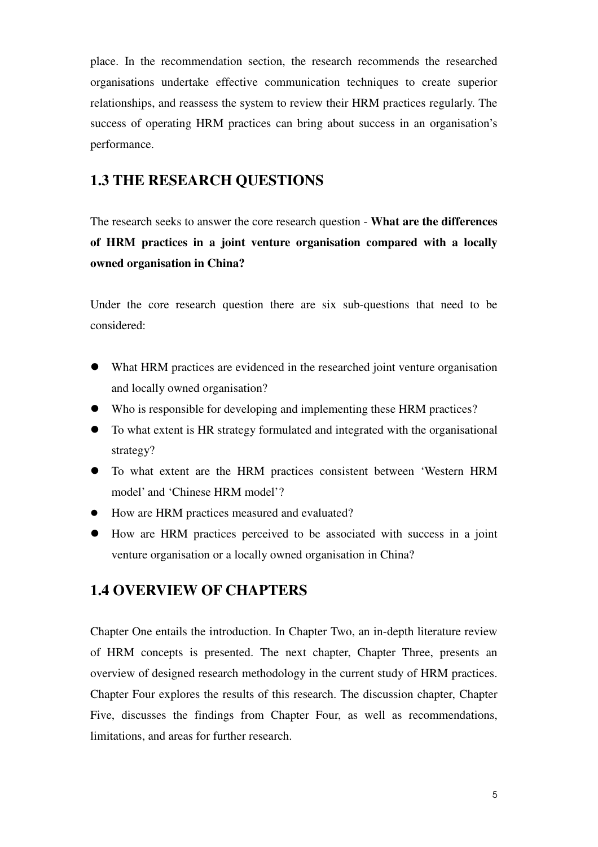place. In the recommendation section, the research recommends the researched organisations undertake effective communication techniques to create superior relationships, and reassess the system to review their HRM practices regularly. The success of operating HRM practices can bring about success in an organisation's performance.

## **1.3 THE RESEARCH QUESTIONS**

The research seeks to answer the core research question - **What are the differences of HRM practices in a joint venture organisation compared with a locally owned organisation in China?** 

Under the core research question there are six sub-questions that need to be considered:

- What HRM practices are evidenced in the researched joint venture organisation and locally owned organisation?
- Who is responsible for developing and implementing these HRM practices?
- To what extent is HR strategy formulated and integrated with the organisational strategy?
- To what extent are the HRM practices consistent between 'Western HRM model' and 'Chinese HRM model'?
- How are HRM practices measured and evaluated?
- How are HRM practices perceived to be associated with success in a joint venture organisation or a locally owned organisation in China?

### **1.4 OVERVIEW OF CHAPTERS**

Chapter One entails the introduction. In Chapter Two, an in-depth literature review of HRM concepts is presented. The next chapter, Chapter Three, presents an overview of designed research methodology in the current study of HRM practices. Chapter Four explores the results of this research. The discussion chapter, Chapter Five, discusses the findings from Chapter Four, as well as recommendations, limitations, and areas for further research.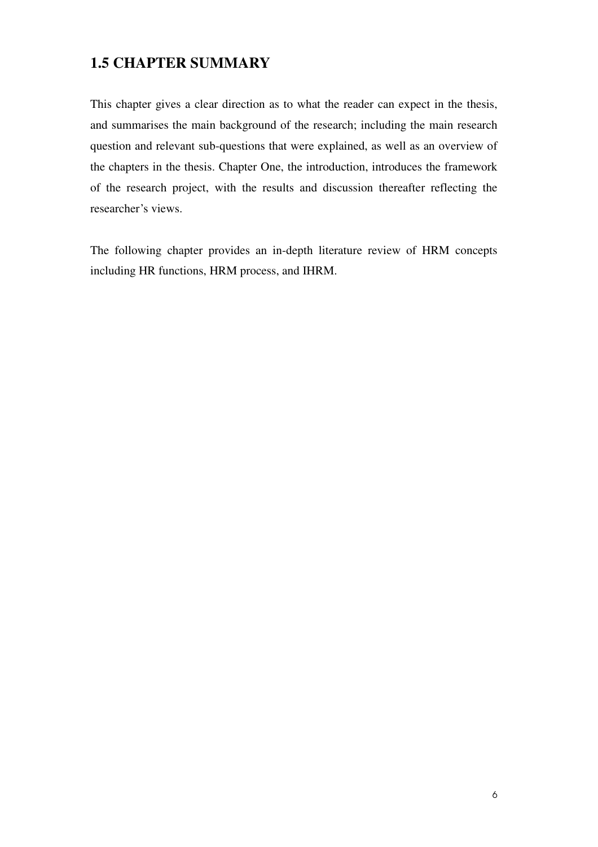## **1.5 CHAPTER SUMMARY**

This chapter gives a clear direction as to what the reader can expect in the thesis, and summarises the main background of the research; including the main research question and relevant sub-questions that were explained, as well as an overview of the chapters in the thesis. Chapter One, the introduction, introduces the framework of the research project, with the results and discussion thereafter reflecting the researcher's views.

The following chapter provides an in-depth literature review of HRM concepts including HR functions, HRM process, and IHRM.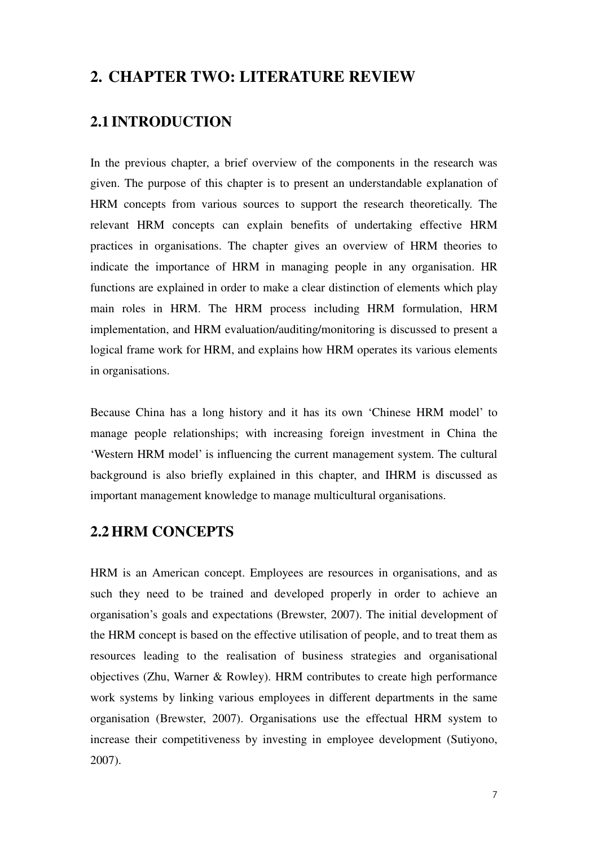## **2. CHAPTER TWO: LITERATURE REVIEW**

## **2.1 INTRODUCTION**

In the previous chapter, a brief overview of the components in the research was given. The purpose of this chapter is to present an understandable explanation of HRM concepts from various sources to support the research theoretically. The relevant HRM concepts can explain benefits of undertaking effective HRM practices in organisations. The chapter gives an overview of HRM theories to indicate the importance of HRM in managing people in any organisation. HR functions are explained in order to make a clear distinction of elements which play main roles in HRM. The HRM process including HRM formulation, HRM implementation, and HRM evaluation/auditing/monitoring is discussed to present a logical frame work for HRM, and explains how HRM operates its various elements in organisations.

Because China has a long history and it has its own 'Chinese HRM model' to manage people relationships; with increasing foreign investment in China the 'Western HRM model' is influencing the current management system. The cultural background is also briefly explained in this chapter, and IHRM is discussed as important management knowledge to manage multicultural organisations.

### **2.2HRM CONCEPTS**

HRM is an American concept. Employees are resources in organisations, and as such they need to be trained and developed properly in order to achieve an organisation's goals and expectations (Brewster, 2007). The initial development of the HRM concept is based on the effective utilisation of people, and to treat them as resources leading to the realisation of business strategies and organisational objectives (Zhu, Warner & Rowley). HRM contributes to create high performance work systems by linking various employees in different departments in the same organisation (Brewster, 2007). Organisations use the effectual HRM system to increase their competitiveness by investing in employee development (Sutiyono, 2007).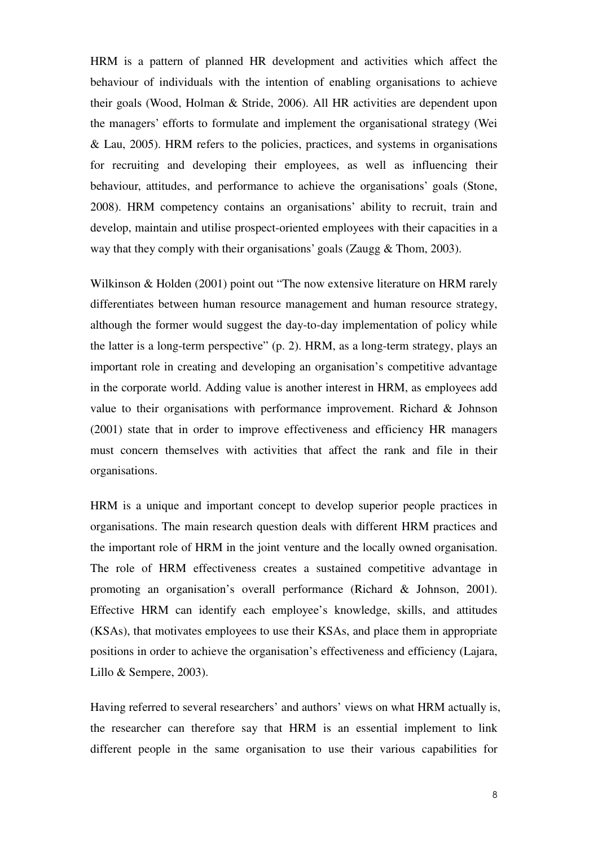HRM is a pattern of planned HR development and activities which affect the behaviour of individuals with the intention of enabling organisations to achieve their goals (Wood, Holman & Stride, 2006). All HR activities are dependent upon the managers' efforts to formulate and implement the organisational strategy (Wei & Lau, 2005). HRM refers to the policies, practices, and systems in organisations for recruiting and developing their employees, as well as influencing their behaviour, attitudes, and performance to achieve the organisations' goals (Stone, 2008). HRM competency contains an organisations' ability to recruit, train and develop, maintain and utilise prospect-oriented employees with their capacities in a way that they comply with their organisations' goals (Zaugg & Thom, 2003).

Wilkinson & Holden (2001) point out "The now extensive literature on HRM rarely differentiates between human resource management and human resource strategy, although the former would suggest the day-to-day implementation of policy while the latter is a long-term perspective" (p. 2). HRM, as a long-term strategy, plays an important role in creating and developing an organisation's competitive advantage in the corporate world. Adding value is another interest in HRM, as employees add value to their organisations with performance improvement. Richard & Johnson (2001) state that in order to improve effectiveness and efficiency HR managers must concern themselves with activities that affect the rank and file in their organisations.

HRM is a unique and important concept to develop superior people practices in organisations. The main research question deals with different HRM practices and the important role of HRM in the joint venture and the locally owned organisation. The role of HRM effectiveness creates a sustained competitive advantage in promoting an organisation's overall performance (Richard & Johnson, 2001). Effective HRM can identify each employee's knowledge, skills, and attitudes (KSAs), that motivates employees to use their KSAs, and place them in appropriate positions in order to achieve the organisation's effectiveness and efficiency (Lajara, Lillo & Sempere, 2003).

Having referred to several researchers' and authors' views on what HRM actually is, the researcher can therefore say that HRM is an essential implement to link different people in the same organisation to use their various capabilities for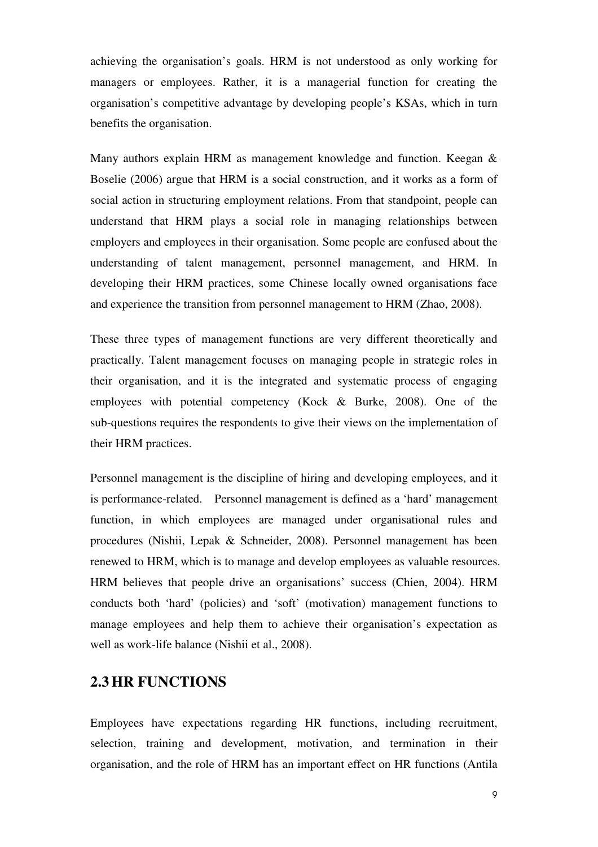achieving the organisation's goals. HRM is not understood as only working for managers or employees. Rather, it is a managerial function for creating the organisation's competitive advantage by developing people's KSAs, which in turn benefits the organisation.

Many authors explain HRM as management knowledge and function. Keegan & Boselie (2006) argue that HRM is a social construction, and it works as a form of social action in structuring employment relations. From that standpoint, people can understand that HRM plays a social role in managing relationships between employers and employees in their organisation. Some people are confused about the understanding of talent management, personnel management, and HRM. In developing their HRM practices, some Chinese locally owned organisations face and experience the transition from personnel management to HRM (Zhao, 2008).

These three types of management functions are very different theoretically and practically. Talent management focuses on managing people in strategic roles in their organisation, and it is the integrated and systematic process of engaging employees with potential competency (Kock & Burke, 2008). One of the sub-questions requires the respondents to give their views on the implementation of their HRM practices.

Personnel management is the discipline of hiring and developing employees, and it is performance-related. Personnel management is defined as a 'hard' management function, in which employees are managed under organisational rules and procedures (Nishii, Lepak & Schneider, 2008). Personnel management has been renewed to HRM, which is to manage and develop employees as valuable resources. HRM believes that people drive an organisations' success (Chien, 2004). HRM conducts both 'hard' (policies) and 'soft' (motivation) management functions to manage employees and help them to achieve their organisation's expectation as well as work-life balance (Nishii et al., 2008).

## **2.3HR FUNCTIONS**

Employees have expectations regarding HR functions, including recruitment, selection, training and development, motivation, and termination in their organisation, and the role of HRM has an important effect on HR functions (Antila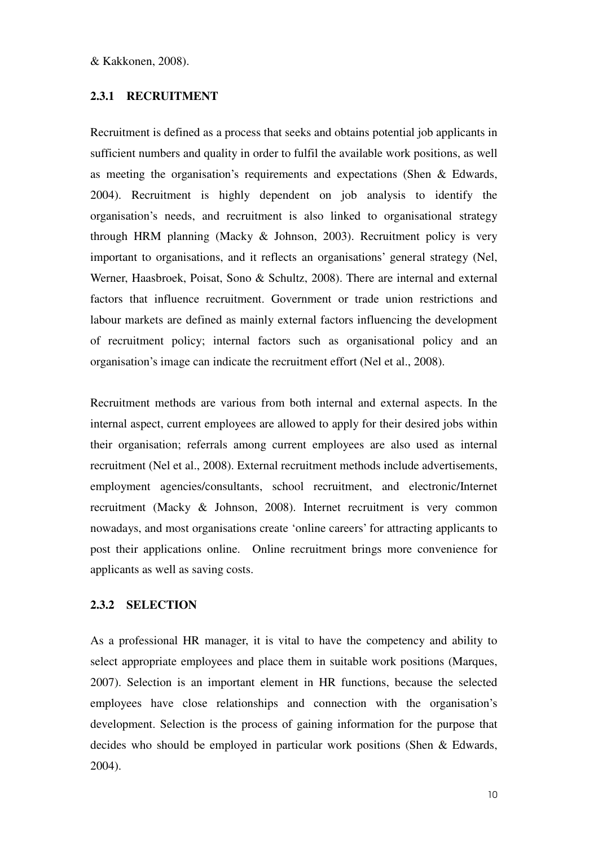& Kakkonen, 2008).

#### **2.3.1 RECRUITMENT**

Recruitment is defined as a process that seeks and obtains potential job applicants in sufficient numbers and quality in order to fulfil the available work positions, as well as meeting the organisation's requirements and expectations (Shen & Edwards, 2004). Recruitment is highly dependent on job analysis to identify the organisation's needs, and recruitment is also linked to organisational strategy through HRM planning (Macky & Johnson, 2003). Recruitment policy is very important to organisations, and it reflects an organisations' general strategy (Nel, Werner, Haasbroek, Poisat, Sono & Schultz, 2008). There are internal and external factors that influence recruitment. Government or trade union restrictions and labour markets are defined as mainly external factors influencing the development of recruitment policy; internal factors such as organisational policy and an organisation's image can indicate the recruitment effort (Nel et al., 2008).

Recruitment methods are various from both internal and external aspects. In the internal aspect, current employees are allowed to apply for their desired jobs within their organisation; referrals among current employees are also used as internal recruitment (Nel et al., 2008). External recruitment methods include advertisements, employment agencies/consultants, school recruitment, and electronic/Internet recruitment (Macky & Johnson, 2008). Internet recruitment is very common nowadays, and most organisations create 'online careers' for attracting applicants to post their applications online. Online recruitment brings more convenience for applicants as well as saving costs.

#### **2.3.2 SELECTION**

As a professional HR manager, it is vital to have the competency and ability to select appropriate employees and place them in suitable work positions (Marques, 2007). Selection is an important element in HR functions, because the selected employees have close relationships and connection with the organisation's development. Selection is the process of gaining information for the purpose that decides who should be employed in particular work positions (Shen & Edwards, 2004).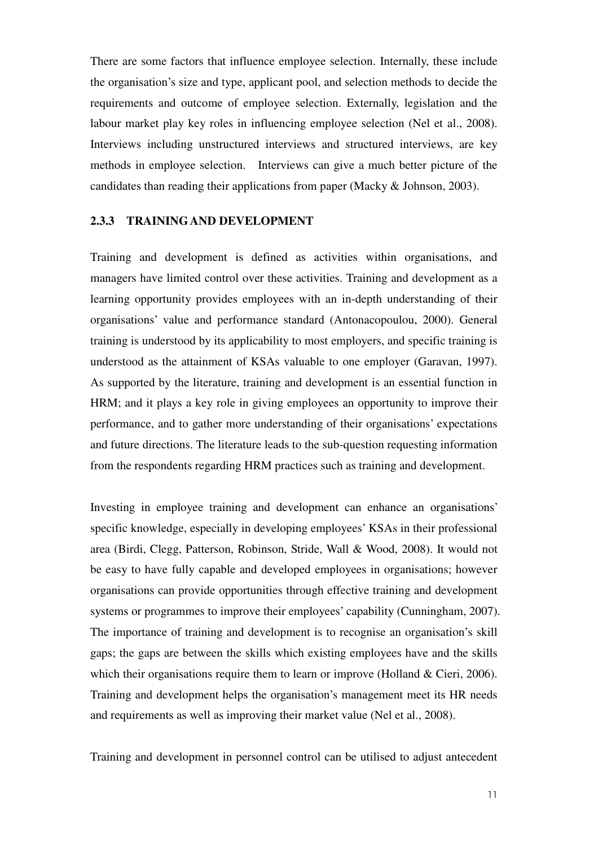There are some factors that influence employee selection. Internally, these include the organisation's size and type, applicant pool, and selection methods to decide the requirements and outcome of employee selection. Externally, legislation and the labour market play key roles in influencing employee selection (Nel et al., 2008). Interviews including unstructured interviews and structured interviews, are key methods in employee selection. Interviews can give a much better picture of the candidates than reading their applications from paper (Macky & Johnson, 2003).

#### **2.3.3 TRAINING AND DEVELOPMENT**

Training and development is defined as activities within organisations, and managers have limited control over these activities. Training and development as a learning opportunity provides employees with an in-depth understanding of their organisations' value and performance standard (Antonacopoulou, 2000). General training is understood by its applicability to most employers, and specific training is understood as the attainment of KSAs valuable to one employer (Garavan, 1997). As supported by the literature, training and development is an essential function in HRM; and it plays a key role in giving employees an opportunity to improve their performance, and to gather more understanding of their organisations' expectations and future directions. The literature leads to the sub-question requesting information from the respondents regarding HRM practices such as training and development.

Investing in employee training and development can enhance an organisations' specific knowledge, especially in developing employees' KSAs in their professional area (Birdi, Clegg, Patterson, Robinson, Stride, Wall & Wood, 2008). It would not be easy to have fully capable and developed employees in organisations; however organisations can provide opportunities through effective training and development systems or programmes to improve their employees' capability (Cunningham, 2007). The importance of training and development is to recognise an organisation's skill gaps; the gaps are between the skills which existing employees have and the skills which their organisations require them to learn or improve (Holland & Cieri, 2006). Training and development helps the organisation's management meet its HR needs and requirements as well as improving their market value (Nel et al., 2008).

Training and development in personnel control can be utilised to adjust antecedent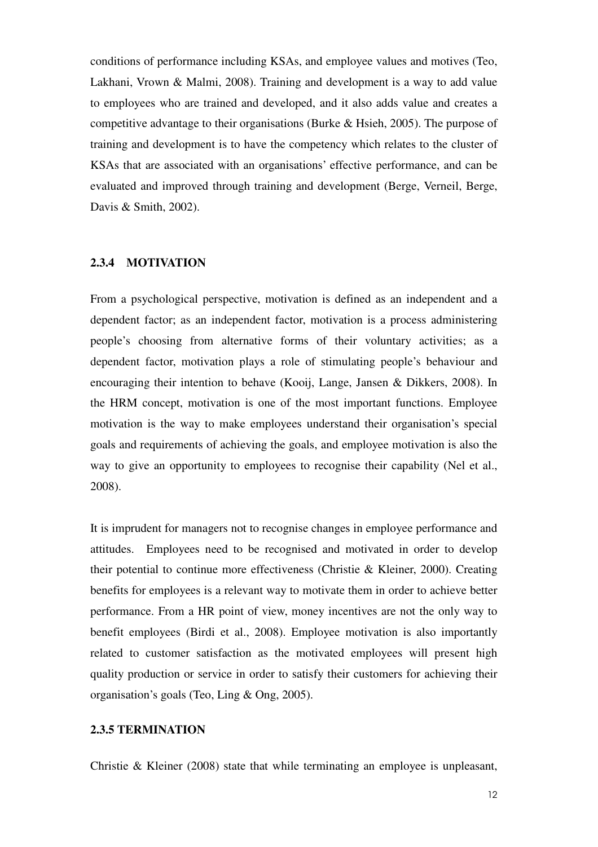conditions of performance including KSAs, and employee values and motives (Teo, Lakhani, Vrown & Malmi, 2008). Training and development is a way to add value to employees who are trained and developed, and it also adds value and creates a competitive advantage to their organisations (Burke & Hsieh, 2005). The purpose of training and development is to have the competency which relates to the cluster of KSAs that are associated with an organisations' effective performance, and can be evaluated and improved through training and development (Berge, Verneil, Berge, Davis & Smith, 2002).

#### **2.3.4 MOTIVATION**

From a psychological perspective, motivation is defined as an independent and a dependent factor; as an independent factor, motivation is a process administering people's choosing from alternative forms of their voluntary activities; as a dependent factor, motivation plays a role of stimulating people's behaviour and encouraging their intention to behave (Kooij, Lange, Jansen & Dikkers, 2008). In the HRM concept, motivation is one of the most important functions. Employee motivation is the way to make employees understand their organisation's special goals and requirements of achieving the goals, and employee motivation is also the way to give an opportunity to employees to recognise their capability (Nel et al., 2008).

It is imprudent for managers not to recognise changes in employee performance and attitudes. Employees need to be recognised and motivated in order to develop their potential to continue more effectiveness (Christie & Kleiner, 2000). Creating benefits for employees is a relevant way to motivate them in order to achieve better performance. From a HR point of view, money incentives are not the only way to benefit employees (Birdi et al., 2008). Employee motivation is also importantly related to customer satisfaction as the motivated employees will present high quality production or service in order to satisfy their customers for achieving their organisation's goals (Teo, Ling & Ong, 2005).

#### **2.3.5 TERMINATION**

Christie & Kleiner (2008) state that while terminating an employee is unpleasant,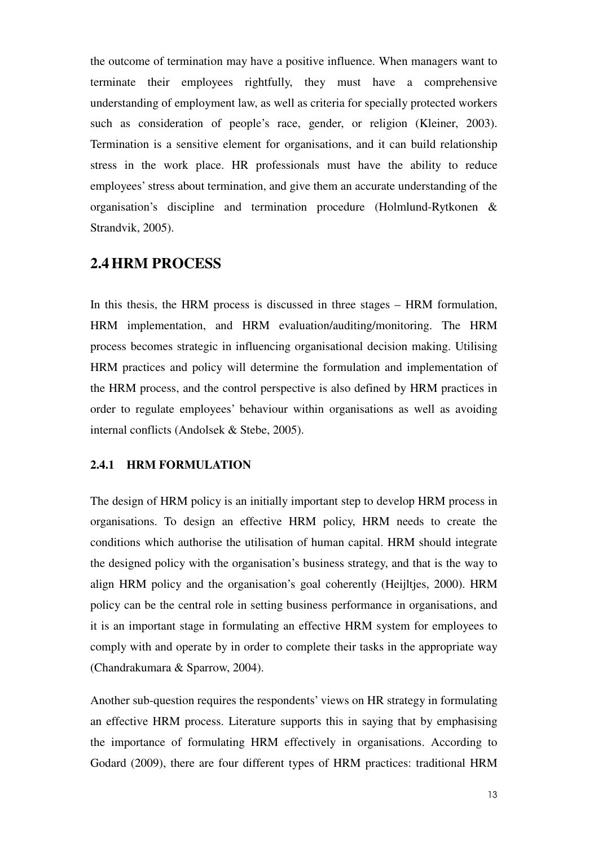the outcome of termination may have a positive influence. When managers want to terminate their employees rightfully, they must have a comprehensive understanding of employment law, as well as criteria for specially protected workers such as consideration of people's race, gender, or religion (Kleiner, 2003). Termination is a sensitive element for organisations, and it can build relationship stress in the work place. HR professionals must have the ability to reduce employees' stress about termination, and give them an accurate understanding of the organisation's discipline and termination procedure (Holmlund-Rytkonen & Strandvik, 2005).

#### **2.4HRM PROCESS**

In this thesis, the HRM process is discussed in three stages – HRM formulation, HRM implementation, and HRM evaluation/auditing/monitoring. The HRM process becomes strategic in influencing organisational decision making. Utilising HRM practices and policy will determine the formulation and implementation of the HRM process, and the control perspective is also defined by HRM practices in order to regulate employees' behaviour within organisations as well as avoiding internal conflicts (Andolsek & Stebe, 2005).

#### **2.4.1 HRM FORMULATION**

The design of HRM policy is an initially important step to develop HRM process in organisations. To design an effective HRM policy, HRM needs to create the conditions which authorise the utilisation of human capital. HRM should integrate the designed policy with the organisation's business strategy, and that is the way to align HRM policy and the organisation's goal coherently (Heijltjes, 2000). HRM policy can be the central role in setting business performance in organisations, and it is an important stage in formulating an effective HRM system for employees to comply with and operate by in order to complete their tasks in the appropriate way (Chandrakumara & Sparrow, 2004).

Another sub-question requires the respondents' views on HR strategy in formulating an effective HRM process. Literature supports this in saying that by emphasising the importance of formulating HRM effectively in organisations. According to Godard (2009), there are four different types of HRM practices: traditional HRM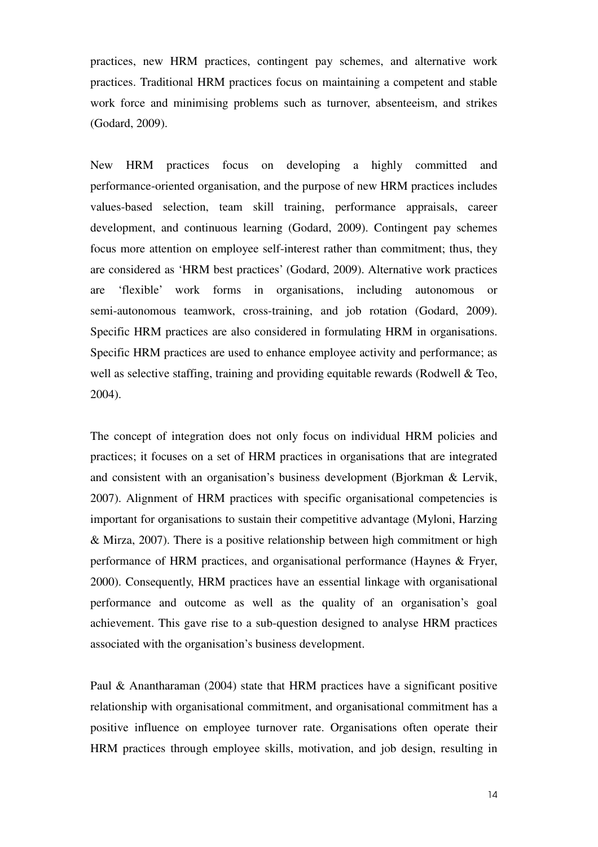practices, new HRM practices, contingent pay schemes, and alternative work practices. Traditional HRM practices focus on maintaining a competent and stable work force and minimising problems such as turnover, absenteeism, and strikes (Godard, 2009).

New HRM practices focus on developing a highly committed and performance-oriented organisation, and the purpose of new HRM practices includes values-based selection, team skill training, performance appraisals, career development, and continuous learning (Godard, 2009). Contingent pay schemes focus more attention on employee self-interest rather than commitment; thus, they are considered as 'HRM best practices' (Godard, 2009). Alternative work practices are 'flexible' work forms in organisations, including autonomous or semi-autonomous teamwork, cross-training, and job rotation (Godard, 2009). Specific HRM practices are also considered in formulating HRM in organisations. Specific HRM practices are used to enhance employee activity and performance; as well as selective staffing, training and providing equitable rewards (Rodwell & Teo, 2004).

The concept of integration does not only focus on individual HRM policies and practices; it focuses on a set of HRM practices in organisations that are integrated and consistent with an organisation's business development (Bjorkman & Lervik, 2007). Alignment of HRM practices with specific organisational competencies is important for organisations to sustain their competitive advantage (Myloni, Harzing & Mirza, 2007). There is a positive relationship between high commitment or high performance of HRM practices, and organisational performance (Haynes & Fryer, 2000). Consequently, HRM practices have an essential linkage with organisational performance and outcome as well as the quality of an organisation's goal achievement. This gave rise to a sub-question designed to analyse HRM practices associated with the organisation's business development.

Paul & Anantharaman (2004) state that HRM practices have a significant positive relationship with organisational commitment, and organisational commitment has a positive influence on employee turnover rate. Organisations often operate their HRM practices through employee skills, motivation, and job design, resulting in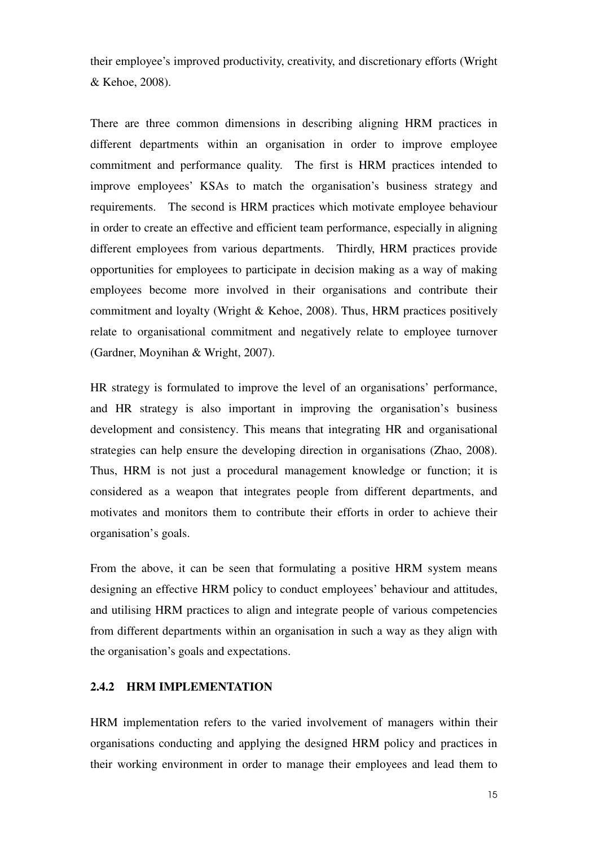their employee's improved productivity, creativity, and discretionary efforts (Wright & Kehoe, 2008).

There are three common dimensions in describing aligning HRM practices in different departments within an organisation in order to improve employee commitment and performance quality. The first is HRM practices intended to improve employees' KSAs to match the organisation's business strategy and requirements. The second is HRM practices which motivate employee behaviour in order to create an effective and efficient team performance, especially in aligning different employees from various departments. Thirdly, HRM practices provide opportunities for employees to participate in decision making as a way of making employees become more involved in their organisations and contribute their commitment and loyalty (Wright & Kehoe, 2008). Thus, HRM practices positively relate to organisational commitment and negatively relate to employee turnover (Gardner, Moynihan & Wright, 2007).

HR strategy is formulated to improve the level of an organisations' performance, and HR strategy is also important in improving the organisation's business development and consistency. This means that integrating HR and organisational strategies can help ensure the developing direction in organisations (Zhao, 2008). Thus, HRM is not just a procedural management knowledge or function; it is considered as a weapon that integrates people from different departments, and motivates and monitors them to contribute their efforts in order to achieve their organisation's goals.

From the above, it can be seen that formulating a positive HRM system means designing an effective HRM policy to conduct employees' behaviour and attitudes, and utilising HRM practices to align and integrate people of various competencies from different departments within an organisation in such a way as they align with the organisation's goals and expectations.

#### **2.4.2 HRM IMPLEMENTATION**

HRM implementation refers to the varied involvement of managers within their organisations conducting and applying the designed HRM policy and practices in their working environment in order to manage their employees and lead them to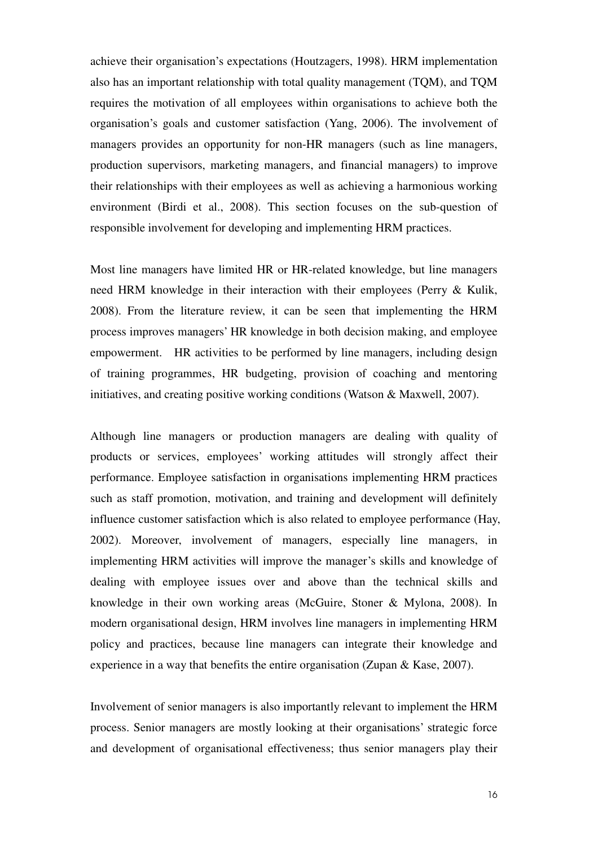achieve their organisation's expectations (Houtzagers, 1998). HRM implementation also has an important relationship with total quality management (TQM), and TQM requires the motivation of all employees within organisations to achieve both the organisation's goals and customer satisfaction (Yang, 2006). The involvement of managers provides an opportunity for non-HR managers (such as line managers, production supervisors, marketing managers, and financial managers) to improve their relationships with their employees as well as achieving a harmonious working environment (Birdi et al., 2008). This section focuses on the sub-question of responsible involvement for developing and implementing HRM practices.

Most line managers have limited HR or HR-related knowledge, but line managers need HRM knowledge in their interaction with their employees (Perry & Kulik, 2008). From the literature review, it can be seen that implementing the HRM process improves managers' HR knowledge in both decision making, and employee empowerment. HR activities to be performed by line managers, including design of training programmes, HR budgeting, provision of coaching and mentoring initiatives, and creating positive working conditions (Watson & Maxwell, 2007).

Although line managers or production managers are dealing with quality of products or services, employees' working attitudes will strongly affect their performance. Employee satisfaction in organisations implementing HRM practices such as staff promotion, motivation, and training and development will definitely influence customer satisfaction which is also related to employee performance (Hay, 2002). Moreover, involvement of managers, especially line managers, in implementing HRM activities will improve the manager's skills and knowledge of dealing with employee issues over and above than the technical skills and knowledge in their own working areas (McGuire, Stoner & Mylona, 2008). In modern organisational design, HRM involves line managers in implementing HRM policy and practices, because line managers can integrate their knowledge and experience in a way that benefits the entire organisation (Zupan & Kase, 2007).

Involvement of senior managers is also importantly relevant to implement the HRM process. Senior managers are mostly looking at their organisations' strategic force and development of organisational effectiveness; thus senior managers play their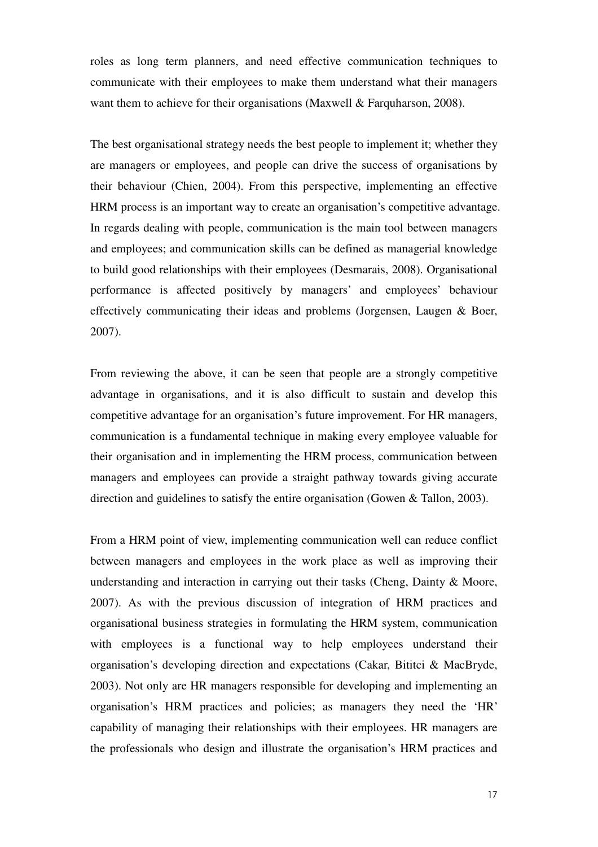roles as long term planners, and need effective communication techniques to communicate with their employees to make them understand what their managers want them to achieve for their organisations (Maxwell & Farquharson, 2008).

The best organisational strategy needs the best people to implement it; whether they are managers or employees, and people can drive the success of organisations by their behaviour (Chien, 2004). From this perspective, implementing an effective HRM process is an important way to create an organisation's competitive advantage. In regards dealing with people, communication is the main tool between managers and employees; and communication skills can be defined as managerial knowledge to build good relationships with their employees (Desmarais, 2008). Organisational performance is affected positively by managers' and employees' behaviour effectively communicating their ideas and problems (Jorgensen, Laugen & Boer, 2007).

From reviewing the above, it can be seen that people are a strongly competitive advantage in organisations, and it is also difficult to sustain and develop this competitive advantage for an organisation's future improvement. For HR managers, communication is a fundamental technique in making every employee valuable for their organisation and in implementing the HRM process, communication between managers and employees can provide a straight pathway towards giving accurate direction and guidelines to satisfy the entire organisation (Gowen & Tallon, 2003).

From a HRM point of view, implementing communication well can reduce conflict between managers and employees in the work place as well as improving their understanding and interaction in carrying out their tasks (Cheng, Dainty & Moore, 2007). As with the previous discussion of integration of HRM practices and organisational business strategies in formulating the HRM system, communication with employees is a functional way to help employees understand their organisation's developing direction and expectations (Cakar, Bititci & MacBryde, 2003). Not only are HR managers responsible for developing and implementing an organisation's HRM practices and policies; as managers they need the 'HR' capability of managing their relationships with their employees. HR managers are the professionals who design and illustrate the organisation's HRM practices and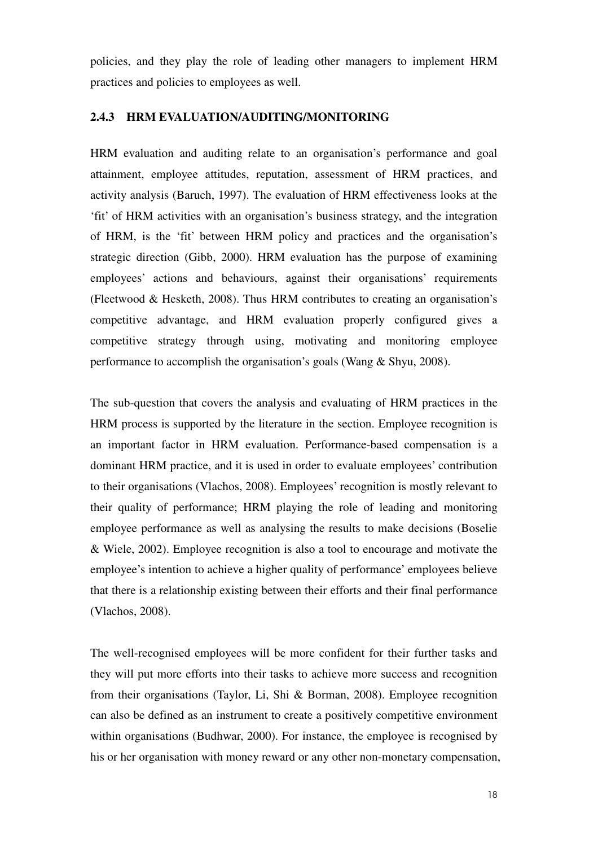policies, and they play the role of leading other managers to implement HRM practices and policies to employees as well.

#### **2.4.3 HRM EVALUATION/AUDITING/MONITORING**

HRM evaluation and auditing relate to an organisation's performance and goal attainment, employee attitudes, reputation, assessment of HRM practices, and activity analysis (Baruch, 1997). The evaluation of HRM effectiveness looks at the 'fit' of HRM activities with an organisation's business strategy, and the integration of HRM, is the 'fit' between HRM policy and practices and the organisation's strategic direction (Gibb, 2000). HRM evaluation has the purpose of examining employees' actions and behaviours, against their organisations' requirements (Fleetwood & Hesketh, 2008). Thus HRM contributes to creating an organisation's competitive advantage, and HRM evaluation properly configured gives a competitive strategy through using, motivating and monitoring employee performance to accomplish the organisation's goals (Wang & Shyu, 2008).

The sub-question that covers the analysis and evaluating of HRM practices in the HRM process is supported by the literature in the section. Employee recognition is an important factor in HRM evaluation. Performance-based compensation is a dominant HRM practice, and it is used in order to evaluate employees' contribution to their organisations (Vlachos, 2008). Employees' recognition is mostly relevant to their quality of performance; HRM playing the role of leading and monitoring employee performance as well as analysing the results to make decisions (Boselie & Wiele, 2002). Employee recognition is also a tool to encourage and motivate the employee's intention to achieve a higher quality of performance' employees believe that there is a relationship existing between their efforts and their final performance (Vlachos, 2008).

The well-recognised employees will be more confident for their further tasks and they will put more efforts into their tasks to achieve more success and recognition from their organisations (Taylor, Li, Shi & Borman, 2008). Employee recognition can also be defined as an instrument to create a positively competitive environment within organisations (Budhwar, 2000). For instance, the employee is recognised by his or her organisation with money reward or any other non-monetary compensation,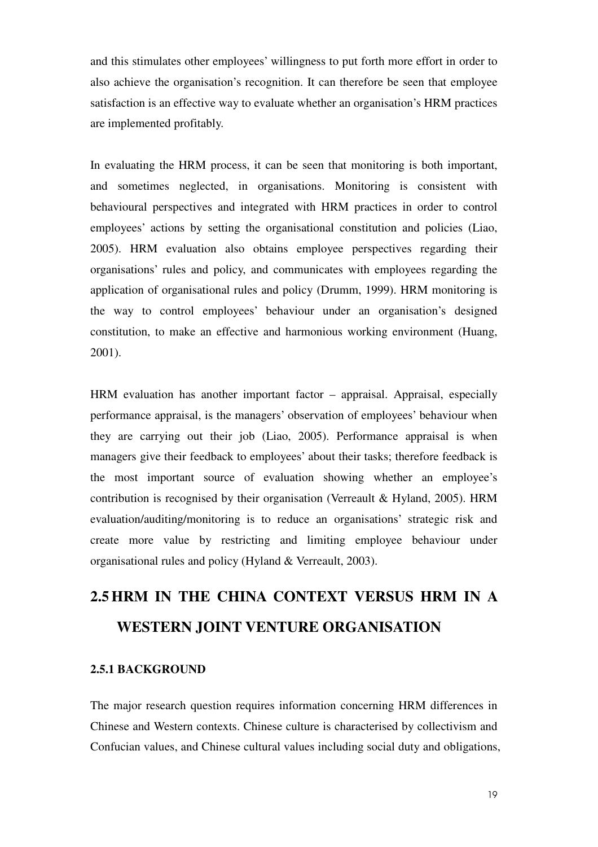and this stimulates other employees' willingness to put forth more effort in order to also achieve the organisation's recognition. It can therefore be seen that employee satisfaction is an effective way to evaluate whether an organisation's HRM practices are implemented profitably.

In evaluating the HRM process, it can be seen that monitoring is both important, and sometimes neglected, in organisations. Monitoring is consistent with behavioural perspectives and integrated with HRM practices in order to control employees' actions by setting the organisational constitution and policies (Liao, 2005). HRM evaluation also obtains employee perspectives regarding their organisations' rules and policy, and communicates with employees regarding the application of organisational rules and policy (Drumm, 1999). HRM monitoring is the way to control employees' behaviour under an organisation's designed constitution, to make an effective and harmonious working environment (Huang, 2001).

HRM evaluation has another important factor – appraisal. Appraisal, especially performance appraisal, is the managers' observation of employees' behaviour when they are carrying out their job (Liao, 2005). Performance appraisal is when managers give their feedback to employees' about their tasks; therefore feedback is the most important source of evaluation showing whether an employee's contribution is recognised by their organisation (Verreault & Hyland, 2005). HRM evaluation/auditing/monitoring is to reduce an organisations' strategic risk and create more value by restricting and limiting employee behaviour under organisational rules and policy (Hyland & Verreault, 2003).

# **2.5HRM IN THE CHINA CONTEXT VERSUS HRM IN A WESTERN JOINT VENTURE ORGANISATION**

#### **2.5.1 BACKGROUND**

The major research question requires information concerning HRM differences in Chinese and Western contexts. Chinese culture is characterised by collectivism and Confucian values, and Chinese cultural values including social duty and obligations,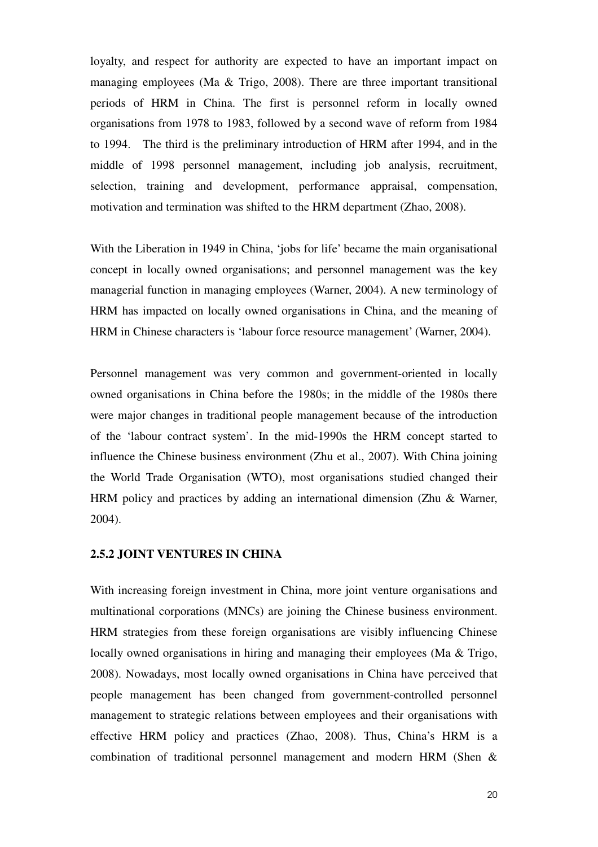loyalty, and respect for authority are expected to have an important impact on managing employees (Ma & Trigo, 2008). There are three important transitional periods of HRM in China. The first is personnel reform in locally owned organisations from 1978 to 1983, followed by a second wave of reform from 1984 to 1994. The third is the preliminary introduction of HRM after 1994, and in the middle of 1998 personnel management, including job analysis, recruitment, selection, training and development, performance appraisal, compensation, motivation and termination was shifted to the HRM department (Zhao, 2008).

With the Liberation in 1949 in China, 'jobs for life' became the main organisational concept in locally owned organisations; and personnel management was the key managerial function in managing employees (Warner, 2004). A new terminology of HRM has impacted on locally owned organisations in China, and the meaning of HRM in Chinese characters is 'labour force resource management' (Warner, 2004).

Personnel management was very common and government-oriented in locally owned organisations in China before the 1980s; in the middle of the 1980s there were major changes in traditional people management because of the introduction of the 'labour contract system'. In the mid-1990s the HRM concept started to influence the Chinese business environment (Zhu et al., 2007). With China joining the World Trade Organisation (WTO), most organisations studied changed their HRM policy and practices by adding an international dimension (Zhu & Warner, 2004).

#### **2.5.2 JOINT VENTURES IN CHINA**

With increasing foreign investment in China, more joint venture organisations and multinational corporations (MNCs) are joining the Chinese business environment. HRM strategies from these foreign organisations are visibly influencing Chinese locally owned organisations in hiring and managing their employees (Ma & Trigo, 2008). Nowadays, most locally owned organisations in China have perceived that people management has been changed from government-controlled personnel management to strategic relations between employees and their organisations with effective HRM policy and practices (Zhao, 2008). Thus, China's HRM is a combination of traditional personnel management and modern HRM (Shen &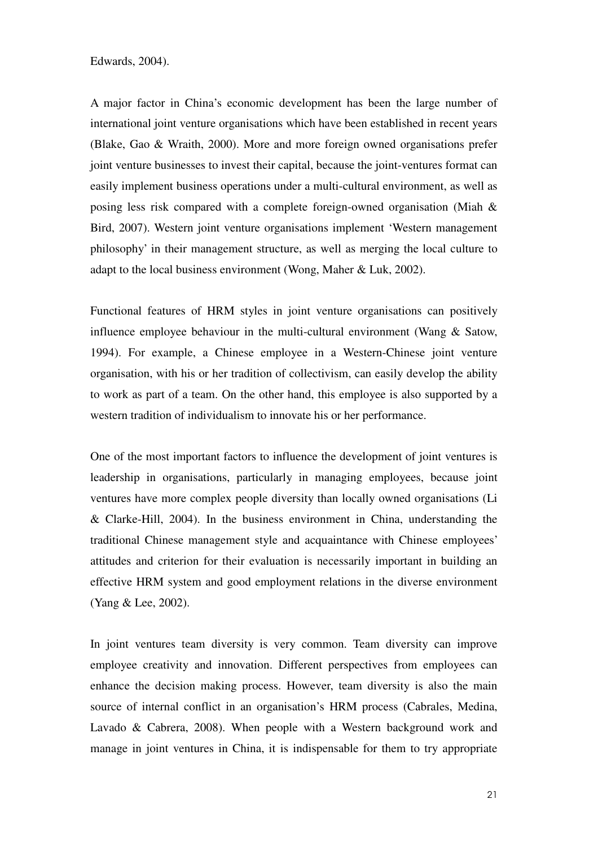Edwards, 2004).

A major factor in China's economic development has been the large number of international joint venture organisations which have been established in recent years (Blake, Gao & Wraith, 2000). More and more foreign owned organisations prefer joint venture businesses to invest their capital, because the joint-ventures format can easily implement business operations under a multi-cultural environment, as well as posing less risk compared with a complete foreign-owned organisation (Miah & Bird, 2007). Western joint venture organisations implement 'Western management philosophy' in their management structure, as well as merging the local culture to adapt to the local business environment (Wong, Maher & Luk, 2002).

Functional features of HRM styles in joint venture organisations can positively influence employee behaviour in the multi-cultural environment (Wang & Satow, 1994). For example, a Chinese employee in a Western-Chinese joint venture organisation, with his or her tradition of collectivism, can easily develop the ability to work as part of a team. On the other hand, this employee is also supported by a western tradition of individualism to innovate his or her performance.

One of the most important factors to influence the development of joint ventures is leadership in organisations, particularly in managing employees, because joint ventures have more complex people diversity than locally owned organisations (Li & Clarke-Hill, 2004). In the business environment in China, understanding the traditional Chinese management style and acquaintance with Chinese employees' attitudes and criterion for their evaluation is necessarily important in building an effective HRM system and good employment relations in the diverse environment (Yang & Lee, 2002).

In joint ventures team diversity is very common. Team diversity can improve employee creativity and innovation. Different perspectives from employees can enhance the decision making process. However, team diversity is also the main source of internal conflict in an organisation's HRM process (Cabrales, Medina, Lavado & Cabrera, 2008). When people with a Western background work and manage in joint ventures in China, it is indispensable for them to try appropriate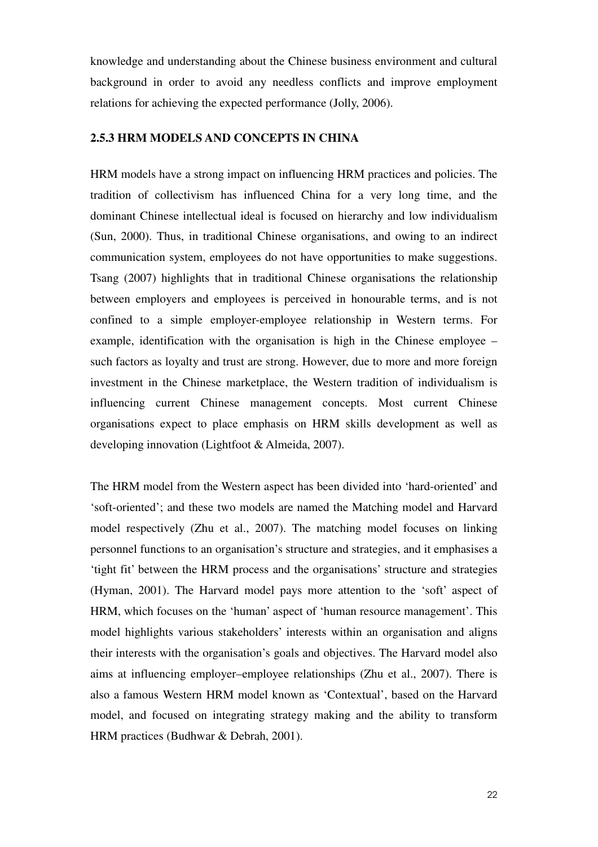knowledge and understanding about the Chinese business environment and cultural background in order to avoid any needless conflicts and improve employment relations for achieving the expected performance (Jolly, 2006).

#### **2.5.3 HRM MODELS AND CONCEPTS IN CHINA**

HRM models have a strong impact on influencing HRM practices and policies. The tradition of collectivism has influenced China for a very long time, and the dominant Chinese intellectual ideal is focused on hierarchy and low individualism (Sun, 2000). Thus, in traditional Chinese organisations, and owing to an indirect communication system, employees do not have opportunities to make suggestions. Tsang (2007) highlights that in traditional Chinese organisations the relationship between employers and employees is perceived in honourable terms, and is not confined to a simple employer-employee relationship in Western terms. For example, identification with the organisation is high in the Chinese employee – such factors as loyalty and trust are strong. However, due to more and more foreign investment in the Chinese marketplace, the Western tradition of individualism is influencing current Chinese management concepts. Most current Chinese organisations expect to place emphasis on HRM skills development as well as developing innovation (Lightfoot & Almeida, 2007).

The HRM model from the Western aspect has been divided into 'hard-oriented' and 'soft-oriented'; and these two models are named the Matching model and Harvard model respectively (Zhu et al., 2007). The matching model focuses on linking personnel functions to an organisation's structure and strategies, and it emphasises a 'tight fit' between the HRM process and the organisations' structure and strategies (Hyman, 2001). The Harvard model pays more attention to the 'soft' aspect of HRM, which focuses on the 'human' aspect of 'human resource management'. This model highlights various stakeholders' interests within an organisation and aligns their interests with the organisation's goals and objectives. The Harvard model also aims at influencing employer–employee relationships (Zhu et al., 2007). There is also a famous Western HRM model known as 'Contextual', based on the Harvard model, and focused on integrating strategy making and the ability to transform HRM practices (Budhwar & Debrah, 2001).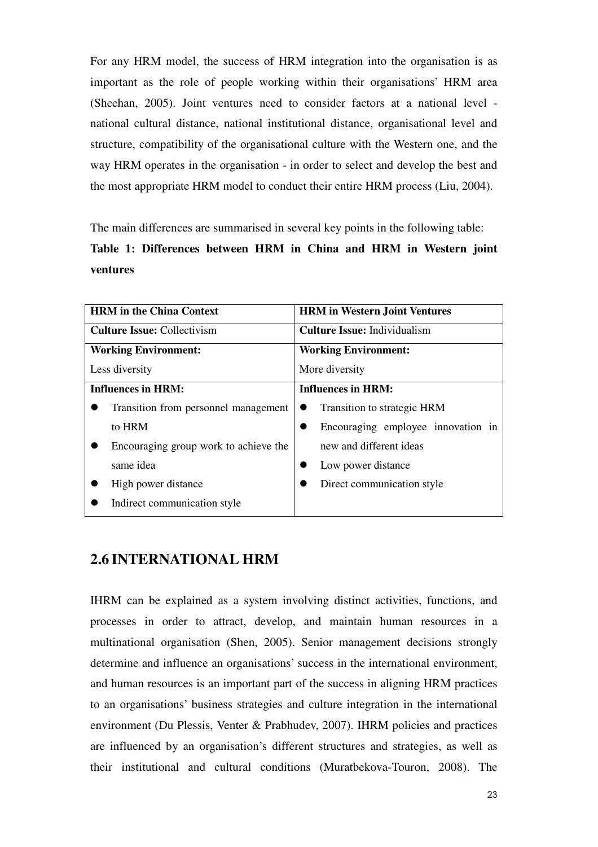For any HRM model, the success of HRM integration into the organisation is as important as the role of people working within their organisations' HRM area (Sheehan, 2005). Joint ventures need to consider factors at a national level national cultural distance, national institutional distance, organisational level and structure, compatibility of the organisational culture with the Western one, and the way HRM operates in the organisation - in order to select and develop the best and the most appropriate HRM model to conduct their entire HRM process (Liu, 2004).

The main differences are summarised in several key points in the following table:

**Table 1: Differences between HRM in China and HRM in Western joint ventures** 

| <b>HRM</b> in the China Context       | <b>HRM</b> in Western Joint Ventures |  |
|---------------------------------------|--------------------------------------|--|
| <b>Culture Issue: Collectivism</b>    | <b>Culture Issue: Individualism</b>  |  |
| <b>Working Environment:</b>           | <b>Working Environment:</b>          |  |
| Less diversity                        | More diversity                       |  |
| <b>Influences in HRM:</b>             | <b>Influences in HRM:</b>            |  |
| Transition from personnel management  | Transition to strategic HRM          |  |
| to HRM                                | Encouraging employee innovation in   |  |
| Encouraging group work to achieve the | new and different ideas              |  |
| same idea                             | Low power distance                   |  |
| High power distance                   | Direct communication style           |  |
| Indirect communication style          |                                      |  |

## **2.6 INTERNATIONAL HRM**

IHRM can be explained as a system involving distinct activities, functions, and processes in order to attract, develop, and maintain human resources in a multinational organisation (Shen, 2005). Senior management decisions strongly determine and influence an organisations' success in the international environment, and human resources is an important part of the success in aligning HRM practices to an organisations' business strategies and culture integration in the international environment (Du Plessis, Venter & Prabhudev, 2007). IHRM policies and practices are influenced by an organisation's different structures and strategies, as well as their institutional and cultural conditions (Muratbekova-Touron, 2008). The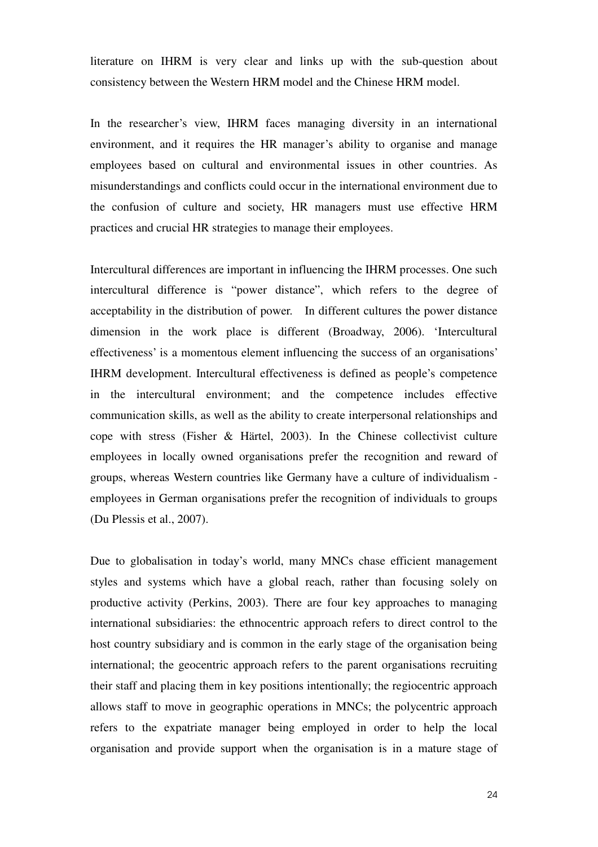literature on IHRM is very clear and links up with the sub-question about consistency between the Western HRM model and the Chinese HRM model.

In the researcher's view, IHRM faces managing diversity in an international environment, and it requires the HR manager's ability to organise and manage employees based on cultural and environmental issues in other countries. As misunderstandings and conflicts could occur in the international environment due to the confusion of culture and society, HR managers must use effective HRM practices and crucial HR strategies to manage their employees.

Intercultural differences are important in influencing the IHRM processes. One such intercultural difference is "power distance", which refers to the degree of acceptability in the distribution of power. In different cultures the power distance dimension in the work place is different (Broadway, 2006). 'Intercultural effectiveness' is a momentous element influencing the success of an organisations' IHRM development. Intercultural effectiveness is defined as people's competence in the intercultural environment; and the competence includes effective communication skills, as well as the ability to create interpersonal relationships and cope with stress (Fisher & Härtel, 2003). In the Chinese collectivist culture employees in locally owned organisations prefer the recognition and reward of groups, whereas Western countries like Germany have a culture of individualism employees in German organisations prefer the recognition of individuals to groups (Du Plessis et al., 2007).

Due to globalisation in today's world, many MNCs chase efficient management styles and systems which have a global reach, rather than focusing solely on productive activity (Perkins, 2003). There are four key approaches to managing international subsidiaries: the ethnocentric approach refers to direct control to the host country subsidiary and is common in the early stage of the organisation being international; the geocentric approach refers to the parent organisations recruiting their staff and placing them in key positions intentionally; the regiocentric approach allows staff to move in geographic operations in MNCs; the polycentric approach refers to the expatriate manager being employed in order to help the local organisation and provide support when the organisation is in a mature stage of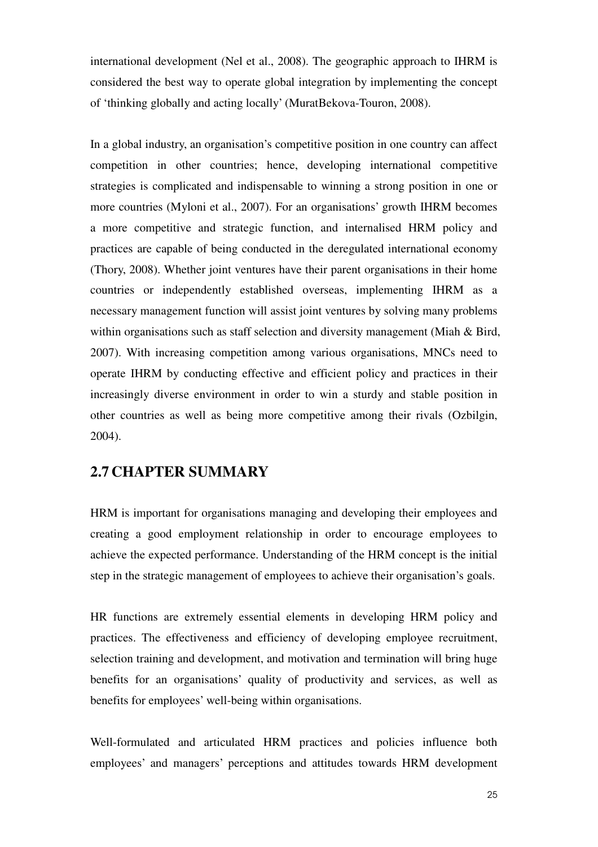international development (Nel et al., 2008). The geographic approach to IHRM is considered the best way to operate global integration by implementing the concept of 'thinking globally and acting locally' (MuratBekova-Touron, 2008).

In a global industry, an organisation's competitive position in one country can affect competition in other countries; hence, developing international competitive strategies is complicated and indispensable to winning a strong position in one or more countries (Myloni et al., 2007). For an organisations' growth IHRM becomes a more competitive and strategic function, and internalised HRM policy and practices are capable of being conducted in the deregulated international economy (Thory, 2008). Whether joint ventures have their parent organisations in their home countries or independently established overseas, implementing IHRM as a necessary management function will assist joint ventures by solving many problems within organisations such as staff selection and diversity management (Miah & Bird, 2007). With increasing competition among various organisations, MNCs need to operate IHRM by conducting effective and efficient policy and practices in their increasingly diverse environment in order to win a sturdy and stable position in other countries as well as being more competitive among their rivals (Ozbilgin, 2004).

## **2.7 CHAPTER SUMMARY**

HRM is important for organisations managing and developing their employees and creating a good employment relationship in order to encourage employees to achieve the expected performance. Understanding of the HRM concept is the initial step in the strategic management of employees to achieve their organisation's goals.

HR functions are extremely essential elements in developing HRM policy and practices. The effectiveness and efficiency of developing employee recruitment, selection training and development, and motivation and termination will bring huge benefits for an organisations' quality of productivity and services, as well as benefits for employees' well-being within organisations.

Well-formulated and articulated HRM practices and policies influence both employees' and managers' perceptions and attitudes towards HRM development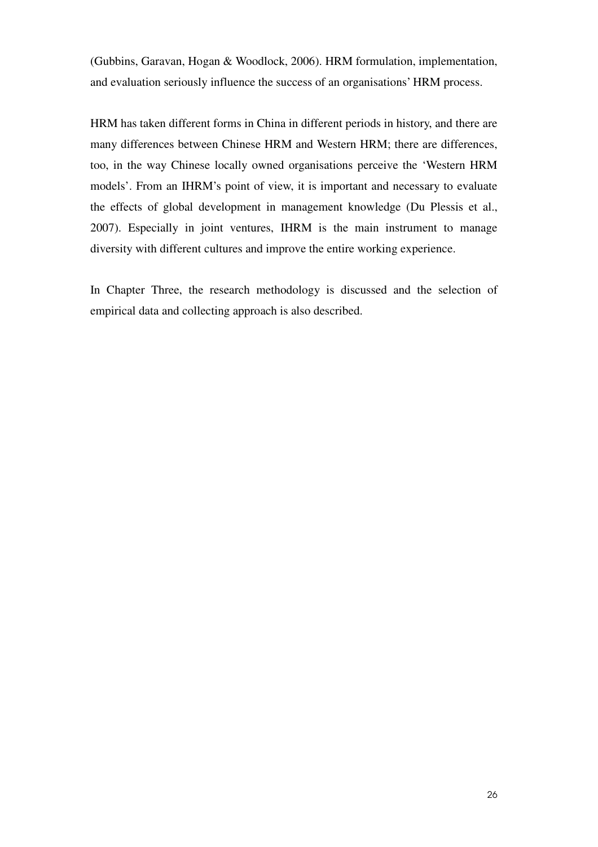(Gubbins, Garavan, Hogan & Woodlock, 2006). HRM formulation, implementation, and evaluation seriously influence the success of an organisations' HRM process.

HRM has taken different forms in China in different periods in history, and there are many differences between Chinese HRM and Western HRM; there are differences, too, in the way Chinese locally owned organisations perceive the 'Western HRM models'. From an IHRM's point of view, it is important and necessary to evaluate the effects of global development in management knowledge (Du Plessis et al., 2007). Especially in joint ventures, IHRM is the main instrument to manage diversity with different cultures and improve the entire working experience.

In Chapter Three, the research methodology is discussed and the selection of empirical data and collecting approach is also described.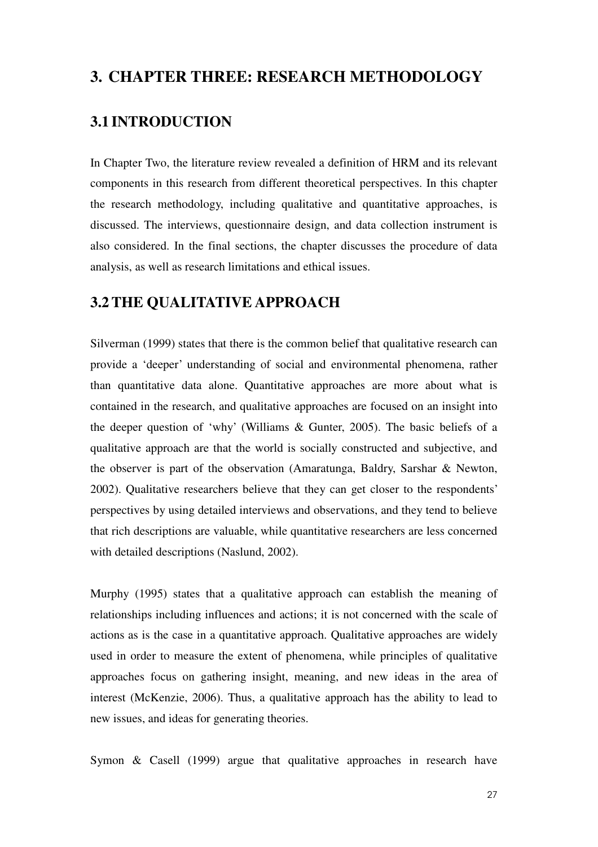## **3. CHAPTER THREE: RESEARCH METHODOLOGY**

## **3.1 INTRODUCTION**

In Chapter Two, the literature review revealed a definition of HRM and its relevant components in this research from different theoretical perspectives. In this chapter the research methodology, including qualitative and quantitative approaches, is discussed. The interviews, questionnaire design, and data collection instrument is also considered. In the final sections, the chapter discusses the procedure of data analysis, as well as research limitations and ethical issues.

### **3.2THE QUALITATIVE APPROACH**

Silverman (1999) states that there is the common belief that qualitative research can provide a 'deeper' understanding of social and environmental phenomena, rather than quantitative data alone. Quantitative approaches are more about what is contained in the research, and qualitative approaches are focused on an insight into the deeper question of 'why' (Williams & Gunter, 2005). The basic beliefs of a qualitative approach are that the world is socially constructed and subjective, and the observer is part of the observation (Amaratunga, Baldry, Sarshar & Newton, 2002). Qualitative researchers believe that they can get closer to the respondents' perspectives by using detailed interviews and observations, and they tend to believe that rich descriptions are valuable, while quantitative researchers are less concerned with detailed descriptions (Naslund, 2002).

Murphy (1995) states that a qualitative approach can establish the meaning of relationships including influences and actions; it is not concerned with the scale of actions as is the case in a quantitative approach. Qualitative approaches are widely used in order to measure the extent of phenomena, while principles of qualitative approaches focus on gathering insight, meaning, and new ideas in the area of interest (McKenzie, 2006). Thus, a qualitative approach has the ability to lead to new issues, and ideas for generating theories.

Symon & Casell (1999) argue that qualitative approaches in research have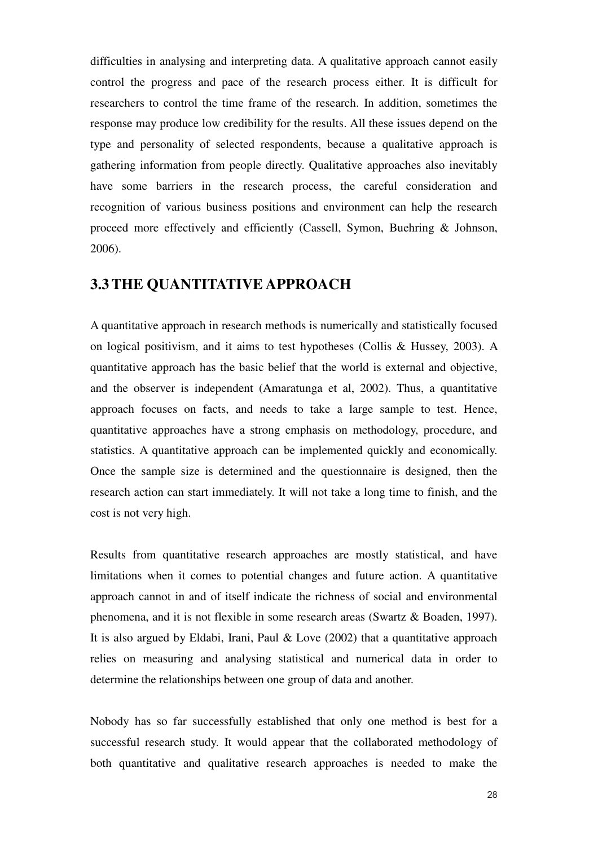difficulties in analysing and interpreting data. A qualitative approach cannot easily control the progress and pace of the research process either. It is difficult for researchers to control the time frame of the research. In addition, sometimes the response may produce low credibility for the results. All these issues depend on the type and personality of selected respondents, because a qualitative approach is gathering information from people directly. Qualitative approaches also inevitably have some barriers in the research process, the careful consideration and recognition of various business positions and environment can help the research proceed more effectively and efficiently (Cassell, Symon, Buehring & Johnson, 2006).

## **3.3THE QUANTITATIVE APPROACH**

A quantitative approach in research methods is numerically and statistically focused on logical positivism, and it aims to test hypotheses (Collis & Hussey, 2003). A quantitative approach has the basic belief that the world is external and objective, and the observer is independent (Amaratunga et al, 2002). Thus, a quantitative approach focuses on facts, and needs to take a large sample to test. Hence, quantitative approaches have a strong emphasis on methodology, procedure, and statistics. A quantitative approach can be implemented quickly and economically. Once the sample size is determined and the questionnaire is designed, then the research action can start immediately. It will not take a long time to finish, and the cost is not very high.

Results from quantitative research approaches are mostly statistical, and have limitations when it comes to potential changes and future action. A quantitative approach cannot in and of itself indicate the richness of social and environmental phenomena, and it is not flexible in some research areas (Swartz & Boaden, 1997). It is also argued by Eldabi, Irani, Paul & Love (2002) that a quantitative approach relies on measuring and analysing statistical and numerical data in order to determine the relationships between one group of data and another.

Nobody has so far successfully established that only one method is best for a successful research study. It would appear that the collaborated methodology of both quantitative and qualitative research approaches is needed to make the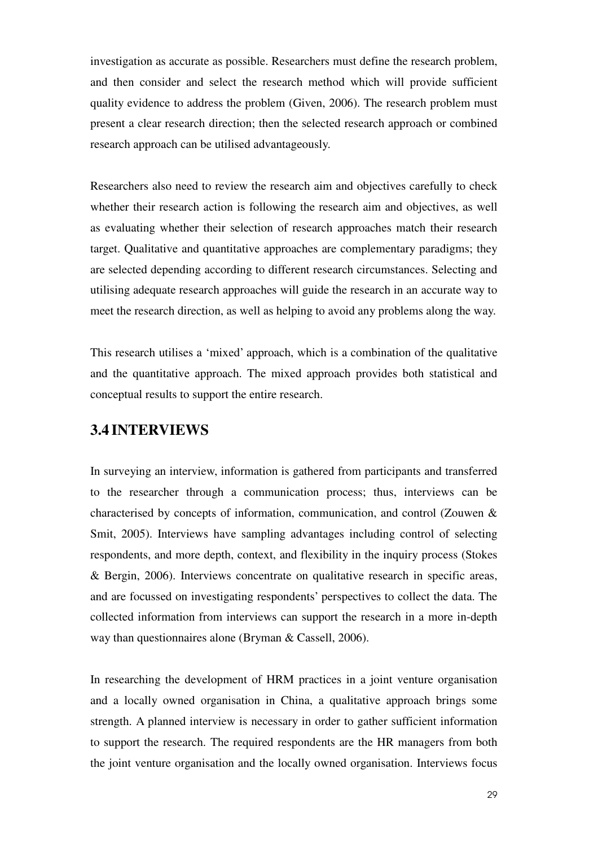investigation as accurate as possible. Researchers must define the research problem, and then consider and select the research method which will provide sufficient quality evidence to address the problem (Given, 2006). The research problem must present a clear research direction; then the selected research approach or combined research approach can be utilised advantageously.

Researchers also need to review the research aim and objectives carefully to check whether their research action is following the research aim and objectives, as well as evaluating whether their selection of research approaches match their research target. Qualitative and quantitative approaches are complementary paradigms; they are selected depending according to different research circumstances. Selecting and utilising adequate research approaches will guide the research in an accurate way to meet the research direction, as well as helping to avoid any problems along the way.

This research utilises a 'mixed' approach, which is a combination of the qualitative and the quantitative approach. The mixed approach provides both statistical and conceptual results to support the entire research.

# **3.4 INTERVIEWS**

In surveying an interview, information is gathered from participants and transferred to the researcher through a communication process; thus, interviews can be characterised by concepts of information, communication, and control (Zouwen & Smit, 2005). Interviews have sampling advantages including control of selecting respondents, and more depth, context, and flexibility in the inquiry process (Stokes & Bergin, 2006). Interviews concentrate on qualitative research in specific areas, and are focussed on investigating respondents' perspectives to collect the data. The collected information from interviews can support the research in a more in-depth way than questionnaires alone (Bryman & Cassell, 2006).

In researching the development of HRM practices in a joint venture organisation and a locally owned organisation in China, a qualitative approach brings some strength. A planned interview is necessary in order to gather sufficient information to support the research. The required respondents are the HR managers from both the joint venture organisation and the locally owned organisation. Interviews focus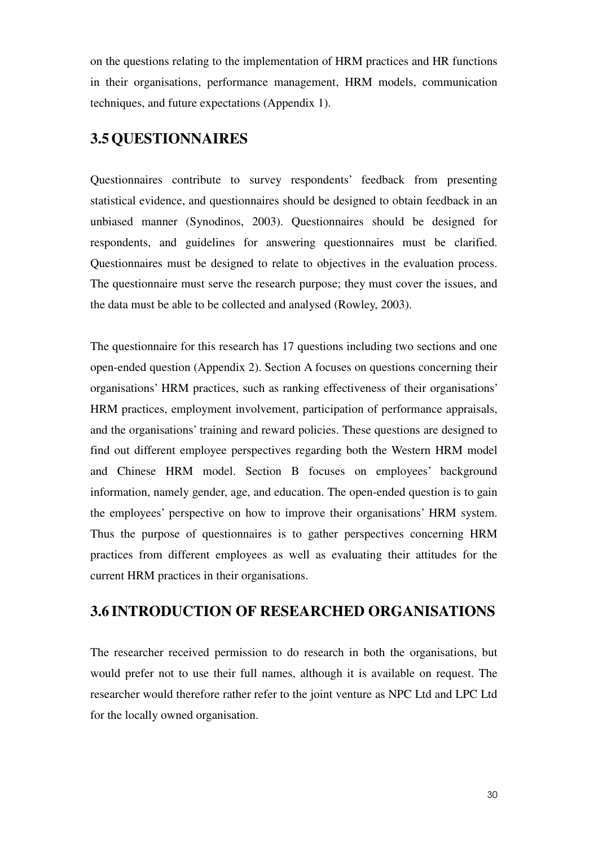on the questions relating to the implementation of HRM practices and HR functions in their organisations, performance management, HRM models, communication techniques, and future expectations (Appendix 1).

# **3.5QUESTIONNAIRES**

Questionnaires contribute to survey respondents' feedback from presenting statistical evidence, and questionnaires should be designed to obtain feedback in an unbiased manner (Synodinos, 2003). Questionnaires should be designed for respondents, and guidelines for answering questionnaires must be clarified. Questionnaires must be designed to relate to objectives in the evaluation process. The questionnaire must serve the research purpose; they must cover the issues, and the data must be able to be collected and analysed (Rowley, 2003).

The questionnaire for this research has 17 questions including two sections and one open-ended question (Appendix 2). Section A focuses on questions concerning their organisations' HRM practices, such as ranking effectiveness of their organisations' HRM practices, employment involvement, participation of performance appraisals, and the organisations' training and reward policies. These questions are designed to find out different employee perspectives regarding both the Western HRM model and Chinese HRM model. Section B focuses on employees' background information, namely gender, age, and education. The open-ended question is to gain the employees' perspective on how to improve their organisations' HRM system. Thus the purpose of questionnaires is to gather perspectives concerning HRM practices from different employees as well as evaluating their attitudes for the current HRM practices in their organisations.

# **3.6 INTRODUCTION OF RESEARCHED ORGANISATIONS**

The researcher received permission to do research in both the organisations, but would prefer not to use their full names, although it is available on request. The researcher would therefore rather refer to the joint venture as NPC Ltd and LPC Ltd for the locally owned organisation.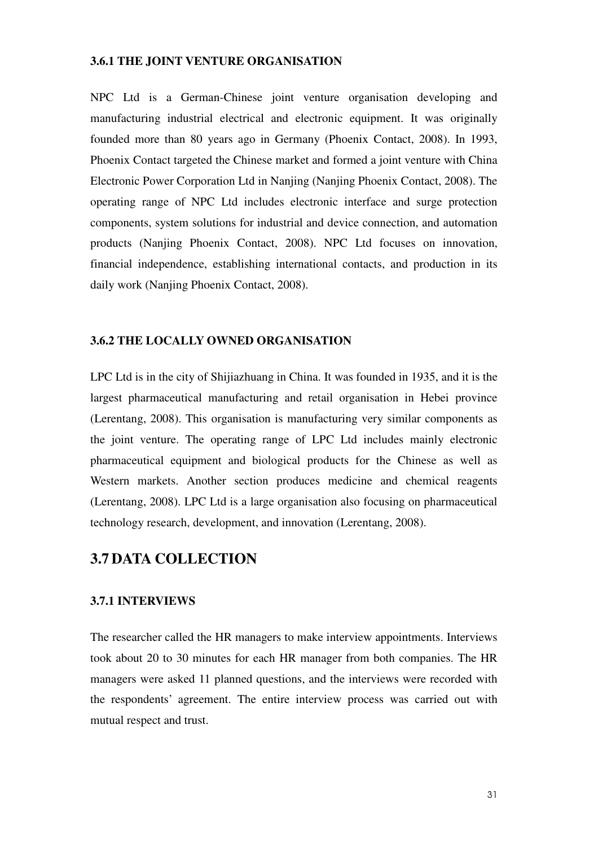### **3.6.1 THE JOINT VENTURE ORGANISATION**

NPC Ltd is a German-Chinese joint venture organisation developing and manufacturing industrial electrical and electronic equipment. It was originally founded more than 80 years ago in Germany (Phoenix Contact, 2008). In 1993, Phoenix Contact targeted the Chinese market and formed a joint venture with China Electronic Power Corporation Ltd in Nanjing (Nanjing Phoenix Contact, 2008). The operating range of NPC Ltd includes electronic interface and surge protection components, system solutions for industrial and device connection, and automation products (Nanjing Phoenix Contact, 2008). NPC Ltd focuses on innovation, financial independence, establishing international contacts, and production in its daily work (Nanjing Phoenix Contact, 2008).

## **3.6.2 THE LOCALLY OWNED ORGANISATION**

LPC Ltd is in the city of Shijiazhuang in China. It was founded in 1935, and it is the largest pharmaceutical manufacturing and retail organisation in Hebei province (Lerentang, 2008). This organisation is manufacturing very similar components as the joint venture. The operating range of LPC Ltd includes mainly electronic pharmaceutical equipment and biological products for the Chinese as well as Western markets. Another section produces medicine and chemical reagents (Lerentang, 2008). LPC Ltd is a large organisation also focusing on pharmaceutical technology research, development, and innovation (Lerentang, 2008).

# **3.7 DATA COLLECTION**

## **3.7.1 INTERVIEWS**

The researcher called the HR managers to make interview appointments. Interviews took about 20 to 30 minutes for each HR manager from both companies. The HR managers were asked 11 planned questions, and the interviews were recorded with the respondents' agreement. The entire interview process was carried out with mutual respect and trust.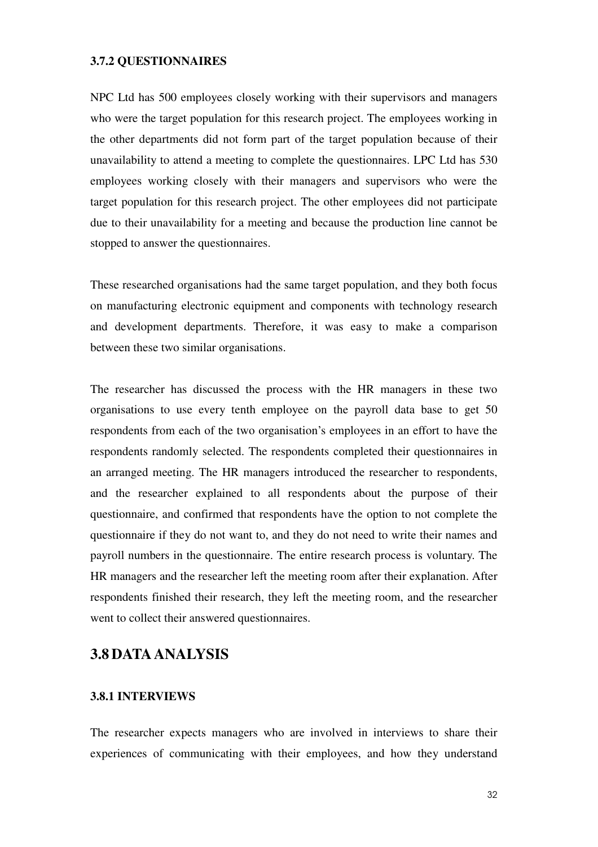## **3.7.2 QUESTIONNAIRES**

NPC Ltd has 500 employees closely working with their supervisors and managers who were the target population for this research project. The employees working in the other departments did not form part of the target population because of their unavailability to attend a meeting to complete the questionnaires. LPC Ltd has 530 employees working closely with their managers and supervisors who were the target population for this research project. The other employees did not participate due to their unavailability for a meeting and because the production line cannot be stopped to answer the questionnaires.

These researched organisations had the same target population, and they both focus on manufacturing electronic equipment and components with technology research and development departments. Therefore, it was easy to make a comparison between these two similar organisations.

The researcher has discussed the process with the HR managers in these two organisations to use every tenth employee on the payroll data base to get 50 respondents from each of the two organisation's employees in an effort to have the respondents randomly selected. The respondents completed their questionnaires in an arranged meeting. The HR managers introduced the researcher to respondents, and the researcher explained to all respondents about the purpose of their questionnaire, and confirmed that respondents have the option to not complete the questionnaire if they do not want to, and they do not need to write their names and payroll numbers in the questionnaire. The entire research process is voluntary. The HR managers and the researcher left the meeting room after their explanation. After respondents finished their research, they left the meeting room, and the researcher went to collect their answered questionnaires.

# **3.8 DATA ANALYSIS**

#### **3.8.1 INTERVIEWS**

The researcher expects managers who are involved in interviews to share their experiences of communicating with their employees, and how they understand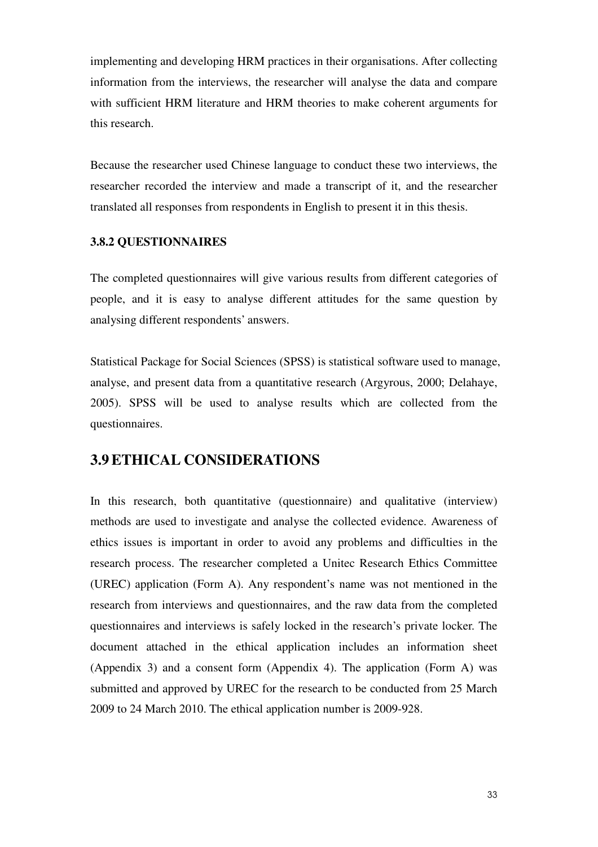implementing and developing HRM practices in their organisations. After collecting information from the interviews, the researcher will analyse the data and compare with sufficient HRM literature and HRM theories to make coherent arguments for this research.

Because the researcher used Chinese language to conduct these two interviews, the researcher recorded the interview and made a transcript of it, and the researcher translated all responses from respondents in English to present it in this thesis.

## **3.8.2 QUESTIONNAIRES**

The completed questionnaires will give various results from different categories of people, and it is easy to analyse different attitudes for the same question by analysing different respondents' answers.

Statistical Package for Social Sciences (SPSS) is statistical software used to manage, analyse, and present data from a quantitative research (Argyrous, 2000; Delahaye, 2005). SPSS will be used to analyse results which are collected from the questionnaires.

# **3.9ETHICAL CONSIDERATIONS**

In this research, both quantitative (questionnaire) and qualitative (interview) methods are used to investigate and analyse the collected evidence. Awareness of ethics issues is important in order to avoid any problems and difficulties in the research process. The researcher completed a Unitec Research Ethics Committee (UREC) application (Form A). Any respondent's name was not mentioned in the research from interviews and questionnaires, and the raw data from the completed questionnaires and interviews is safely locked in the research's private locker. The document attached in the ethical application includes an information sheet (Appendix 3) and a consent form (Appendix 4). The application (Form A) was submitted and approved by UREC for the research to be conducted from 25 March 2009 to 24 March 2010. The ethical application number is 2009-928.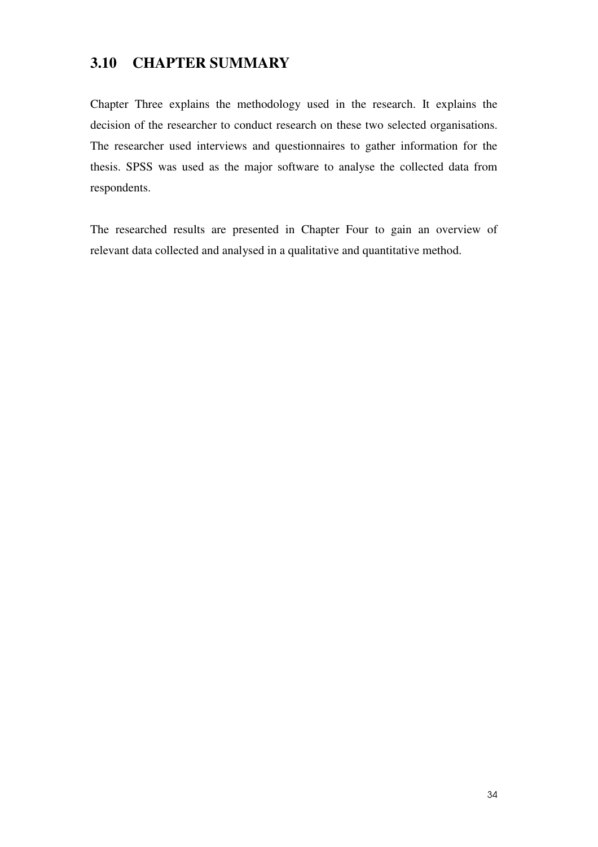# **3.10 CHAPTER SUMMARY**

Chapter Three explains the methodology used in the research. It explains the decision of the researcher to conduct research on these two selected organisations. The researcher used interviews and questionnaires to gather information for the thesis. SPSS was used as the major software to analyse the collected data from respondents.

The researched results are presented in Chapter Four to gain an overview of relevant data collected and analysed in a qualitative and quantitative method.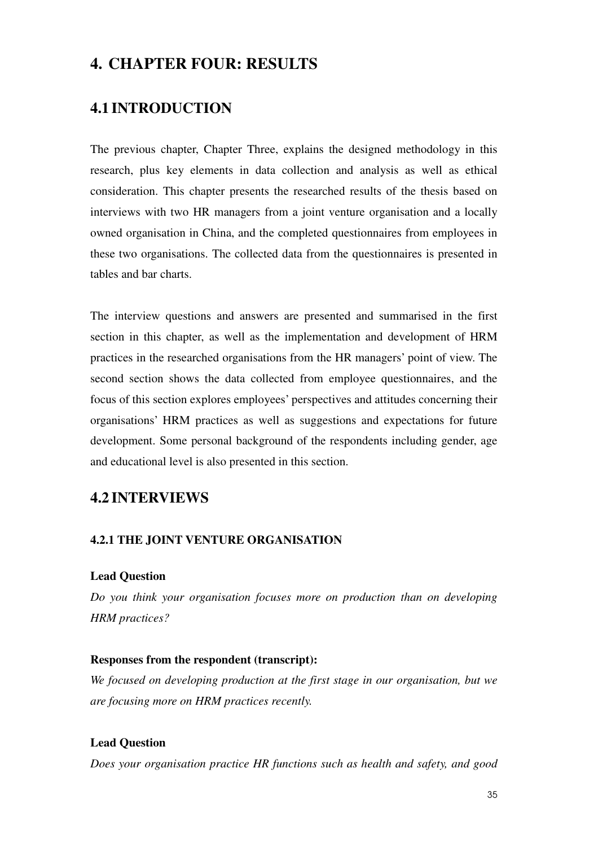# **4. CHAPTER FOUR: RESULTS**

# **4.1 INTRODUCTION**

The previous chapter, Chapter Three, explains the designed methodology in this research, plus key elements in data collection and analysis as well as ethical consideration. This chapter presents the researched results of the thesis based on interviews with two HR managers from a joint venture organisation and a locally owned organisation in China, and the completed questionnaires from employees in these two organisations. The collected data from the questionnaires is presented in tables and bar charts.

The interview questions and answers are presented and summarised in the first section in this chapter, as well as the implementation and development of HRM practices in the researched organisations from the HR managers' point of view. The second section shows the data collected from employee questionnaires, and the focus of this section explores employees' perspectives and attitudes concerning their organisations' HRM practices as well as suggestions and expectations for future development. Some personal background of the respondents including gender, age and educational level is also presented in this section.

# **4.2 INTERVIEWS**

#### **4.2.1 THE JOINT VENTURE ORGANISATION**

#### **Lead Question**

*Do you think your organisation focuses more on production than on developing HRM practices?* 

#### **Responses from the respondent (transcript):**

*We focused on developing production at the first stage in our organisation, but we are focusing more on HRM practices recently.* 

#### **Lead Question**

*Does your organisation practice HR functions such as health and safety, and good*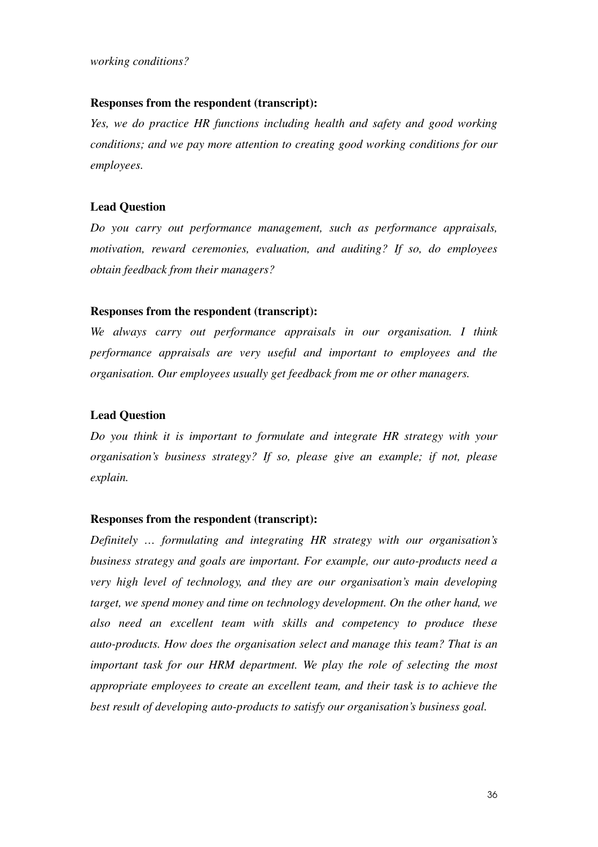#### **Responses from the respondent (transcript):**

*Yes, we do practice HR functions including health and safety and good working conditions; and we pay more attention to creating good working conditions for our employees.* 

#### **Lead Question**

*Do you carry out performance management, such as performance appraisals, motivation, reward ceremonies, evaluation, and auditing? If so, do employees obtain feedback from their managers?* 

#### **Responses from the respondent (transcript):**

*We always carry out performance appraisals in our organisation. I think performance appraisals are very useful and important to employees and the organisation. Our employees usually get feedback from me or other managers.* 

#### **Lead Question**

*Do you think it is important to formulate and integrate HR strategy with your organisation's business strategy? If so, please give an example; if not, please explain.* 

#### **Responses from the respondent (transcript):**

*Definitely … formulating and integrating HR strategy with our organisation's business strategy and goals are important. For example, our auto-products need a very high level of technology, and they are our organisation's main developing target, we spend money and time on technology development. On the other hand, we also need an excellent team with skills and competency to produce these auto-products. How does the organisation select and manage this team? That is an important task for our HRM department. We play the role of selecting the most appropriate employees to create an excellent team, and their task is to achieve the best result of developing auto-products to satisfy our organisation's business goal.*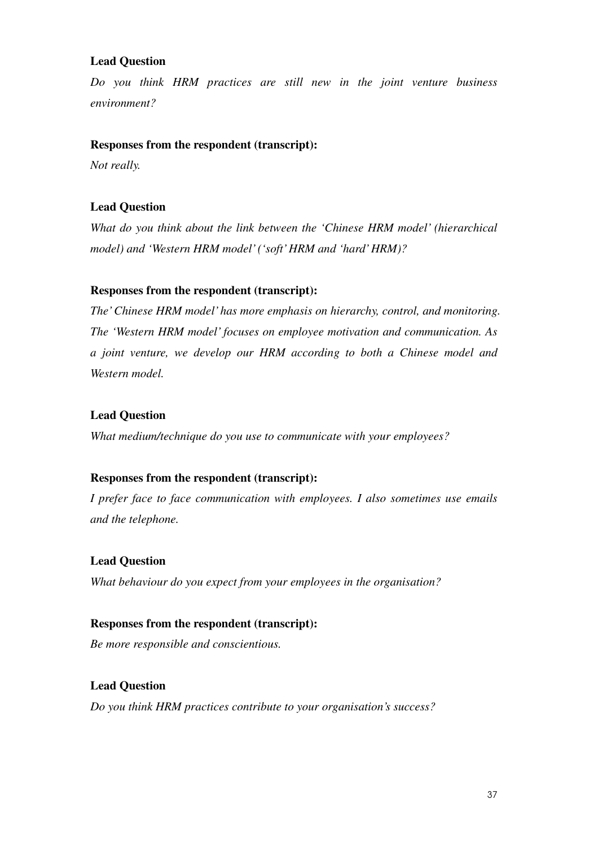# **Lead Question**

*Do you think HRM practices are still new in the joint venture business environment?* 

## **Responses from the respondent (transcript):**

*Not really.* 

# **Lead Question**

*What do you think about the link between the 'Chinese HRM model' (hierarchical model) and 'Western HRM model' ('soft' HRM and 'hard' HRM)?* 

# **Responses from the respondent (transcript):**

*The' Chinese HRM model' has more emphasis on hierarchy, control, and monitoring. The 'Western HRM model' focuses on employee motivation and communication. As a joint venture, we develop our HRM according to both a Chinese model and Western model.* 

# **Lead Question**

*What medium/technique do you use to communicate with your employees?* 

## **Responses from the respondent (transcript):**

*I prefer face to face communication with employees. I also sometimes use emails and the telephone.* 

## **Lead Question**

*What behaviour do you expect from your employees in the organisation?* 

## **Responses from the respondent (transcript):**

*Be more responsible and conscientious.* 

**Lead Question**  *Do you think HRM practices contribute to your organisation's success?*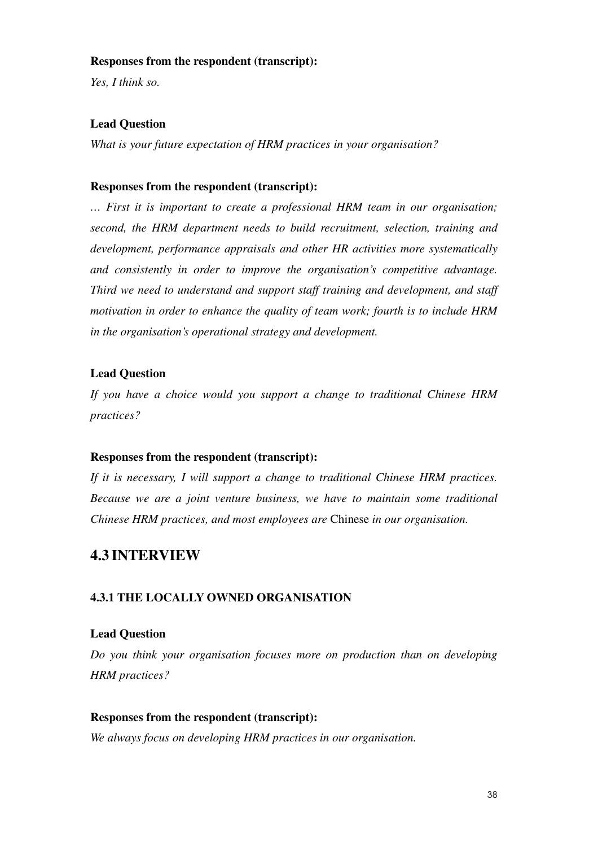#### **Responses from the respondent (transcript):**

*Yes, I think so.* 

# **Lead Question**

*What is your future expectation of HRM practices in your organisation?* 

#### **Responses from the respondent (transcript):**

*… First it is important to create a professional HRM team in our organisation; second, the HRM department needs to build recruitment, selection, training and development, performance appraisals and other HR activities more systematically and consistently in order to improve the organisation's competitive advantage. Third we need to understand and support staff training and development, and staff motivation in order to enhance the quality of team work; fourth is to include HRM in the organisation's operational strategy and development.* 

# **Lead Question**

*If you have a choice would you support a change to traditional Chinese HRM practices?* 

## **Responses from the respondent (transcript):**

*If it is necessary, I will support a change to traditional Chinese HRM practices. Because we are a joint venture business, we have to maintain some traditional Chinese HRM practices, and most employees are* Chinese *in our organisation.* 

# **4.3 INTERVIEW**

## **4.3.1 THE LOCALLY OWNED ORGANISATION**

## **Lead Question**

*Do you think your organisation focuses more on production than on developing HRM practices?* 

#### **Responses from the respondent (transcript):**

*We always focus on developing HRM practices in our organisation.*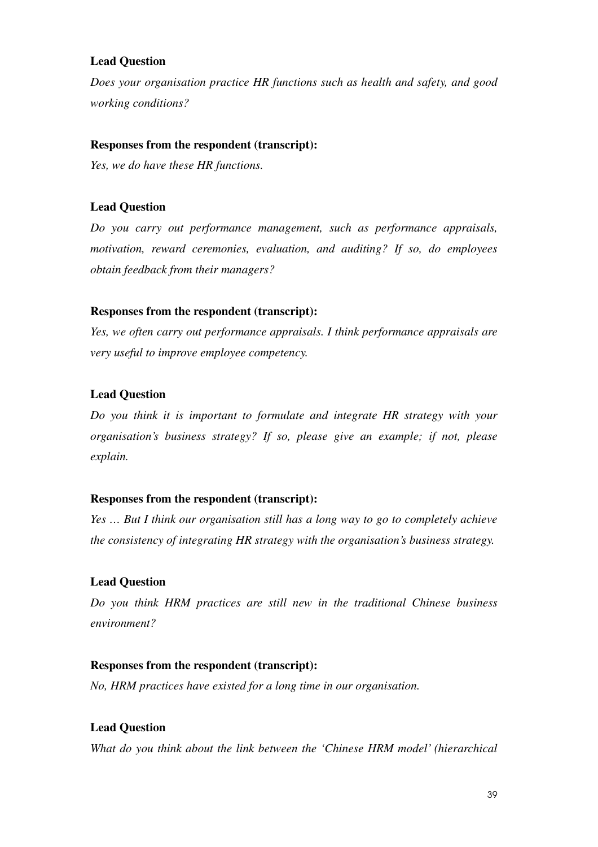# **Lead Question**

*Does your organisation practice HR functions such as health and safety, and good working conditions?* 

#### **Responses from the respondent (transcript):**

*Yes, we do have these HR functions.* 

#### **Lead Question**

*Do you carry out performance management, such as performance appraisals, motivation, reward ceremonies, evaluation, and auditing? If so, do employees obtain feedback from their managers?* 

#### **Responses from the respondent (transcript):**

*Yes, we often carry out performance appraisals. I think performance appraisals are very useful to improve employee competency.* 

## **Lead Question**

*Do you think it is important to formulate and integrate HR strategy with your organisation's business strategy? If so, please give an example; if not, please explain.* 

#### **Responses from the respondent (transcript):**

*Yes … But I think our organisation still has a long way to go to completely achieve the consistency of integrating HR strategy with the organisation's business strategy.* 

#### **Lead Question**

*Do you think HRM practices are still new in the traditional Chinese business environment?* 

#### **Responses from the respondent (transcript):**

*No, HRM practices have existed for a long time in our organisation.* 

#### **Lead Question**

*What do you think about the link between the 'Chinese HRM model' (hierarchical*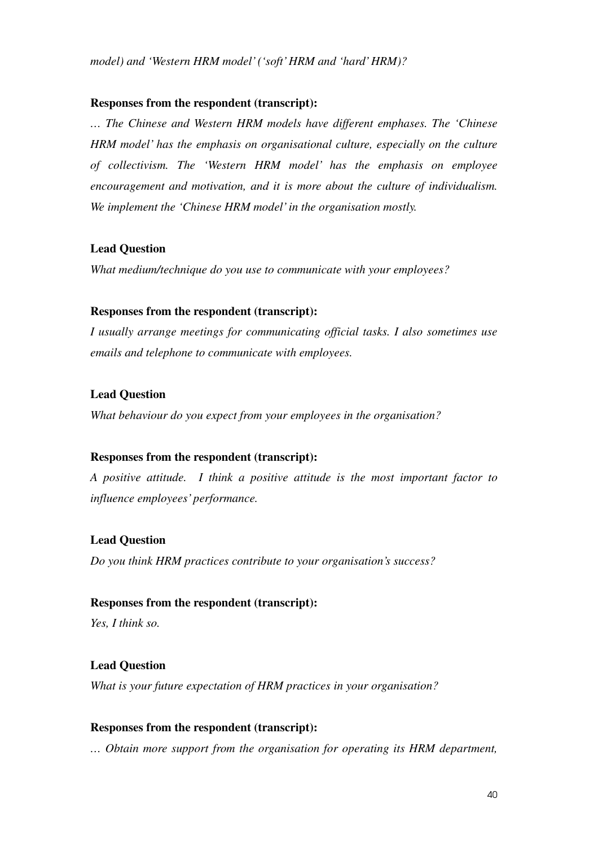*model) and 'Western HRM model' ('soft' HRM and 'hard' HRM)?* 

#### **Responses from the respondent (transcript):**

*… The Chinese and Western HRM models have different emphases. The 'Chinese HRM model' has the emphasis on organisational culture, especially on the culture of collectivism. The 'Western HRM model' has the emphasis on employee encouragement and motivation, and it is more about the culture of individualism. We implement the 'Chinese HRM model' in the organisation mostly.* 

#### **Lead Question**

*What medium/technique do you use to communicate with your employees?* 

#### **Responses from the respondent (transcript):**

*I usually arrange meetings for communicating official tasks. I also sometimes use emails and telephone to communicate with employees.* 

#### **Lead Question**

*What behaviour do you expect from your employees in the organisation?* 

#### **Responses from the respondent (transcript):**

*A positive attitude. I think a positive attitude is the most important factor to influence employees' performance.* 

#### **Lead Question**

*Do you think HRM practices contribute to your organisation's success?* 

#### **Responses from the respondent (transcript):**

*Yes, I think so.* 

#### **Lead Question**

*What is your future expectation of HRM practices in your organisation?* 

#### **Responses from the respondent (transcript):**

*… Obtain more support from the organisation for operating its HRM department,*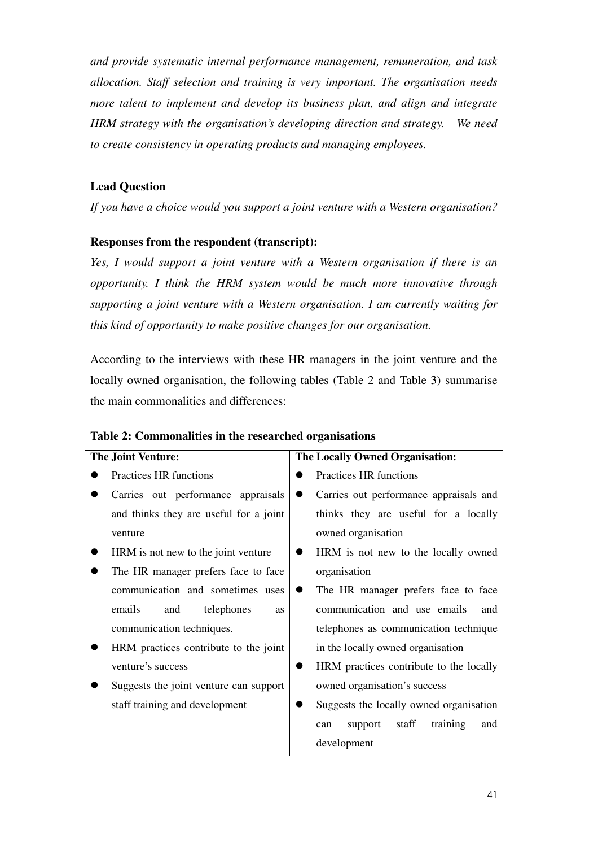*and provide systematic internal performance management, remuneration, and task allocation. Staff selection and training is very important. The organisation needs more talent to implement and develop its business plan, and align and integrate HRM strategy with the organisation's developing direction and strategy. We need to create consistency in operating products and managing employees.* 

# **Lead Question**

*If you have a choice would you support a joint venture with a Western organisation?* 

## **Responses from the respondent (transcript):**

*Yes, I would support a joint venture with a Western organisation if there is an opportunity. I think the HRM system would be much more innovative through supporting a joint venture with a Western organisation. I am currently waiting for this kind of opportunity to make positive changes for our organisation.* 

According to the interviews with these HR managers in the joint venture and the locally owned organisation, the following tables (Table 2 and Table 3) summarise the main commonalities and differences:

| <b>The Joint Venture:</b> |                                          | The Locally Owned Organisation:            |
|---------------------------|------------------------------------------|--------------------------------------------|
|                           | Practices HR functions                   | Practices HR functions                     |
|                           | Carries out performance appraisals       | Carries out performance appraisals and     |
|                           | and thinks they are useful for a joint   | thinks they are useful for a locally       |
|                           | venture                                  | owned organisation                         |
|                           | HRM is not new to the joint venture      | HRM is not new to the locally owned        |
|                           | The HR manager prefers face to face      | organisation                               |
|                           | communication and sometimes uses         | The HR manager prefers face to face        |
|                           | emails<br>telephones<br>and<br><b>as</b> | communication and use emails<br>and        |
|                           | communication techniques.                | telephones as communication technique      |
|                           | HRM practices contribute to the joint    | in the locally owned organisation          |
|                           | venture's success                        | HRM practices contribute to the locally    |
|                           | Suggests the joint venture can support   | owned organisation's success               |
|                           | staff training and development           | Suggests the locally owned organisation    |
|                           |                                          | staff<br>training<br>support<br>and<br>can |
|                           |                                          | development                                |

#### **Table 2: Commonalities in the researched organisations**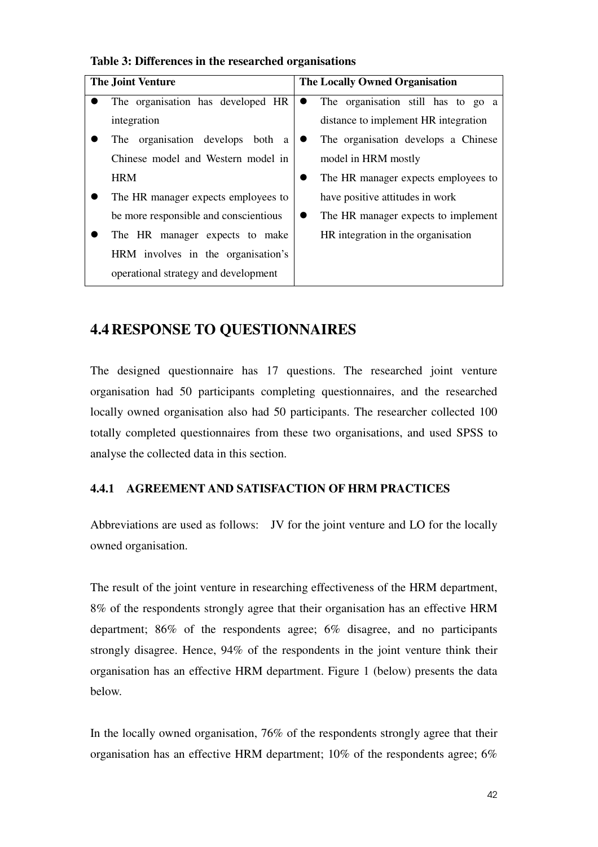| <b>The Joint Venture</b> |                                       | <b>The Locally Owned Organisation</b> |                                      |
|--------------------------|---------------------------------------|---------------------------------------|--------------------------------------|
|                          | The organisation has developed HR     | $\bullet$                             | The organisation still has to go a   |
|                          | integration                           |                                       | distance to implement HR integration |
|                          | The organisation develops<br>both a   |                                       | The organisation develops a Chinese  |
|                          | Chinese model and Western model in    |                                       | model in HRM mostly                  |
|                          | <b>HRM</b>                            |                                       | The HR manager expects employees to  |
|                          | The HR manager expects employees to   |                                       | have positive attitudes in work      |
|                          | be more responsible and conscientious |                                       | The HR manager expects to implement  |
|                          | The HR manager expects to make        |                                       | HR integration in the organisation   |
|                          | HRM involves in the organisation's    |                                       |                                      |
|                          | operational strategy and development  |                                       |                                      |

## **Table 3: Differences in the researched organisations**

# **4.4 RESPONSE TO QUESTIONNAIRES**

The designed questionnaire has 17 questions. The researched joint venture organisation had 50 participants completing questionnaires, and the researched locally owned organisation also had 50 participants. The researcher collected 100 totally completed questionnaires from these two organisations, and used SPSS to analyse the collected data in this section.

# **4.4.1 AGREEMENT AND SATISFACTION OF HRM PRACTICES**

Abbreviations are used as follows: JV for the joint venture and LO for the locally owned organisation.

The result of the joint venture in researching effectiveness of the HRM department, 8% of the respondents strongly agree that their organisation has an effective HRM department; 86% of the respondents agree; 6% disagree, and no participants strongly disagree. Hence, 94% of the respondents in the joint venture think their organisation has an effective HRM department. Figure 1 (below) presents the data below.

In the locally owned organisation, 76% of the respondents strongly agree that their organisation has an effective HRM department;  $10\%$  of the respondents agree; 6%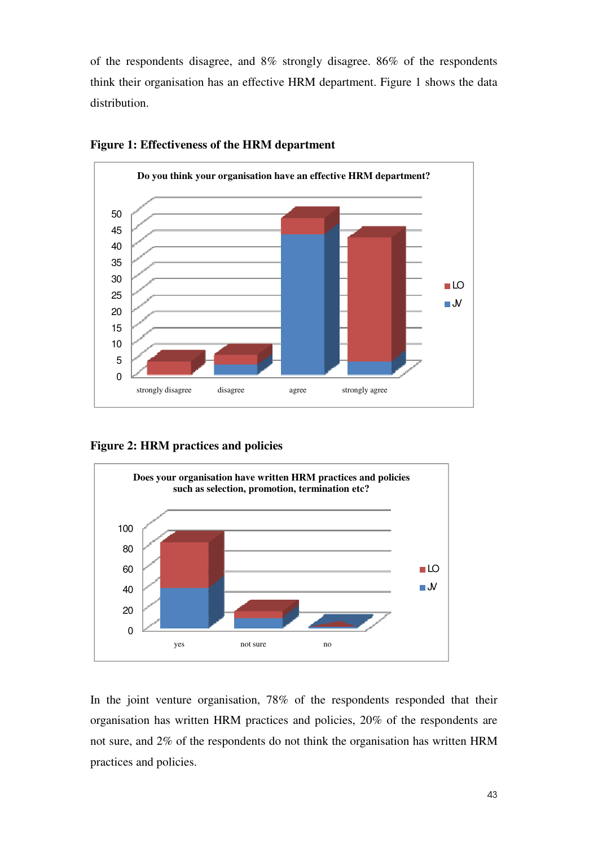of the respondents disagree, and 8% strongly disagree. 86% of the respondents think their organisation has an effective HRM department. Figure 1 shows the data distribution.



#### **Figure 1: Effectiveness of the HRM department**

**Figure 2: HRM practices and policies**



In the joint venture organisation, 78% of the respondents responded that their organisation has written HRM practices and policies, 20% of the respondents are not sure, and 2% of the respondents do not think the organisation has written HRM practices and policies.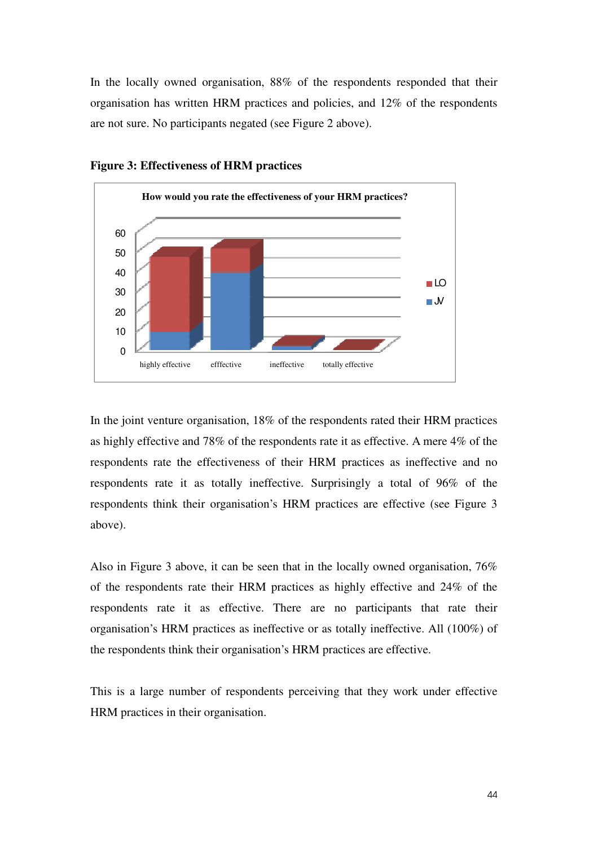In the locally owned organisation, 88% of the respondents responded that their organisation has written HRM practices and policies, and 12% of the respondents are not sure. No participants negated (see Figure 2 above).



**Figure 3: Effectiveness of HRM practices**

In the joint venture organisation, 18% of the respondents rated their HRM practices as highly effective and 78% of the respondents rate it as effective. A mere 4% of the respondents rate the effectiveness of their HRM practices as ineffective and no respondents rate it as totally ineffective. Surprisingly a total of 96% of the respondents think their organisation's HRM practices are effective (see Figure 3 above).

Also in Figure 3 above, it can be seen that in the locally owned organisation, 76% of the respondents rate their HRM practices as highly effective and 24% of the respondents rate it as effective. There are no participants that rate their organisation's HRM practices as ineffective or as totally ineffective. All (100%) of the respondents think their organisation's HRM practices are effective.

This is a large number of respondents perceiving that they work under effective HRM practices in their organisation.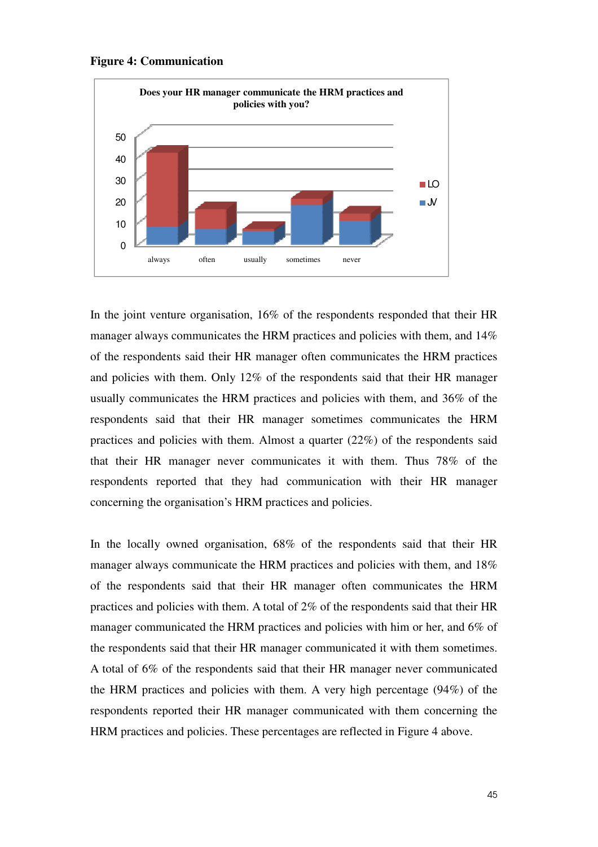



In the joint venture organisation, 16% of the respondents responded that their HR manager always communicates the HRM practices and policies with them, and 14% of the respondents said their HR manager often communicates the HRM practices and policies with them. Only 12% of the respondents said that their HR manager usually communicates the HRM practices and policies with them, and 36% of the respondents said that their HR manager sometimes communicates the HRM practices and policies with them. Almost a quarter (22%) of the respondents said that their HR manager never communicates it with them. Thus 78% of the respondents reported that they had communication with their HR manager concerning the organisation's HRM practices and policies.

In the locally owned organisation, 68% of the respondents said that their HR manager always communicate the HRM practices and policies with them, and 18% of the respondents said that their HR manager often communicates the HRM practices and policies with them. A total of 2% of the respondents said that their HR manager communicated the HRM practices and policies with him or her, and 6% of the respondents said that their HR manager communicated it with them sometimes. A total of 6% of the respondents said that their HR manager never communicated the HRM practices and policies with them. A very high percentage (94%) of the respondents reported their HR manager communicated with them concerning the HRM practices and policies. These percentages are reflected in Figure 4 above.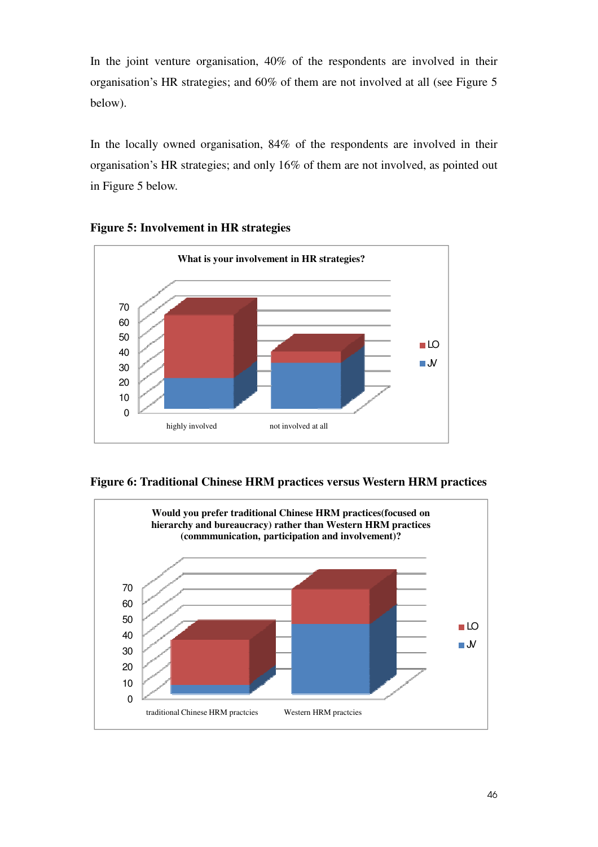In the joint venture organisation, 40% of the respondents are involved in their organisation's HR strategies; and 60% of them are not involved at all (see Figure 5 below).

In the locally owned organisation, 84% of the respondents are involved in their organisation's HR strategies; and only 16% of them are not involved, as pointed out in Figure 5 below.







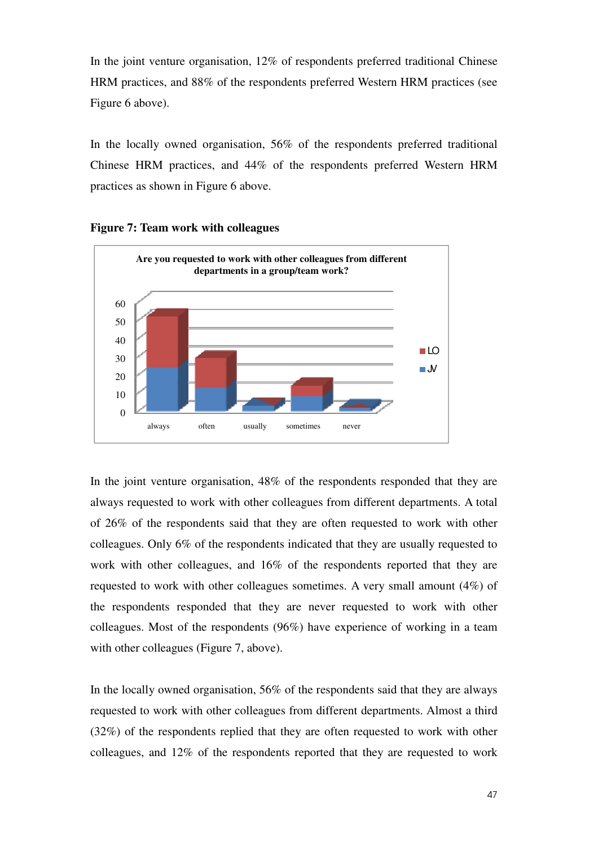In the joint venture organisation, 12% of respondents preferred traditional Chinese HRM practices, and 88% of the respondents preferred Western HRM practices (see Figure 6 above).

In the locally owned organisation, 56% of the respondents preferred traditional Chinese HRM practices, and 44% of the respondents preferred Western HRM practices as shown in Figure 6 above.



**Figure 7: Team work with colleagues** 

In the joint venture organisation, 48% of the respondents responded that they are always requested to work with other colleagues from different departments. A total of 26% of the respondents said that they are often requested to work with other colleagues. Only 6% of the respondents indicated that they are usually requested to work with other colleagues, and 16% of the respondents reported that they are requested to work with other colleagues sometimes. A very small amount (4%) of the respondents responded that they are never requested to work with other colleagues. Most of the respondents (96%) have experience of working in a team with other colleagues (Figure 7, above).

In the locally owned organisation, 56% of the respondents said that they are always requested to work with other colleagues from different departments. Almost a third (32%) of the respondents replied that they are often requested to work with other colleagues, and 12% of the respondents reported that they are requested to work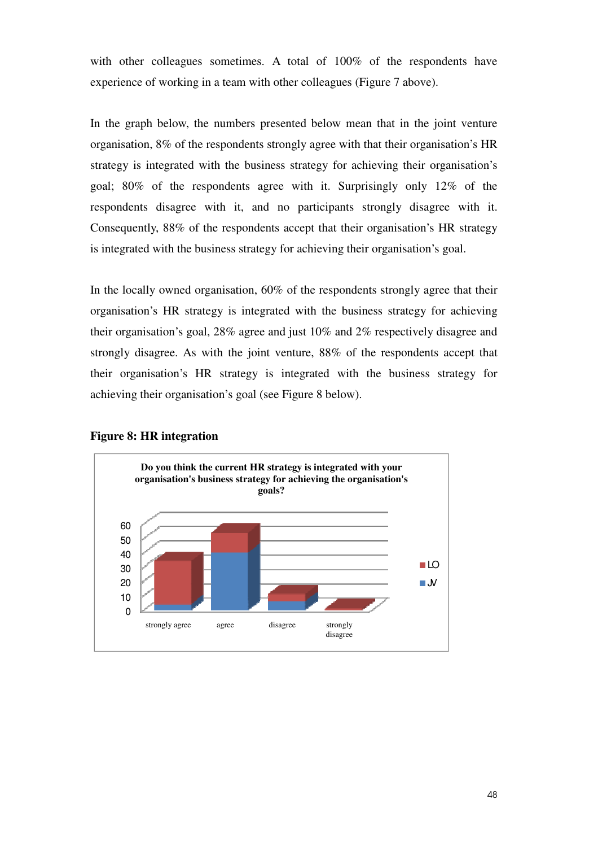with other colleagues sometimes. A total of 100% of the respondents have experience of working in a team with other colleagues (Figure 7 above).

In the graph below, the numbers presented below mean that in the joint venture organisation, 8% of the respondents strongly agree with that their organisation's HR strategy is integrated with the business strategy for achieving their organisation's goal; 80% of the respondents agree with it. Surprisingly only 12% of the respondents disagree with it, and no participants strongly disagree with it. Consequently, 88% of the respondents accept that their organisation's HR strategy is integrated with the business strategy for achieving their organisation's goal.

In the locally owned organisation, 60% of the respondents strongly agree that their organisation's HR strategy is integrated with the business strategy for achieving their organisation's goal, 28% agree and just 10% and 2% respectively disagree and strongly disagree. As with the joint venture, 88% of the respondents accept that their organisation's HR strategy is integrated with the business strategy for achieving their organisation's goal (see Figure 8 below).



#### **Figure 8: HR integration**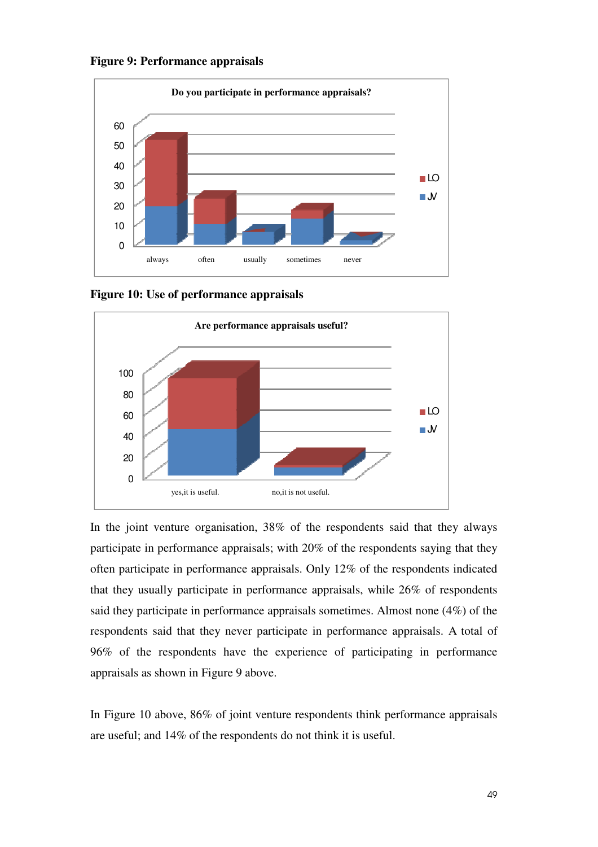



**Figure 10: Use of performance appraisals** 



In the joint venture organisation, 38% of the respondents said that they always participate in performance appraisals; with 20% of the respondents saying that they often participate in performance appraisals. Only 12% of the respondents indicated that they usually participate in performance appraisals, while 26% of respondents said they participate in performance appraisals sometimes. Almost none (4%) of the respondents said that they never participate in performance appraisals. A total of 96% of the respondents have the experience of participating in performance appraisals as shown in Figure 9 above.

In Figure 10 above, 86% of joint venture respondents think performance appraisals are useful; and 14% of the respondents do not think it is useful.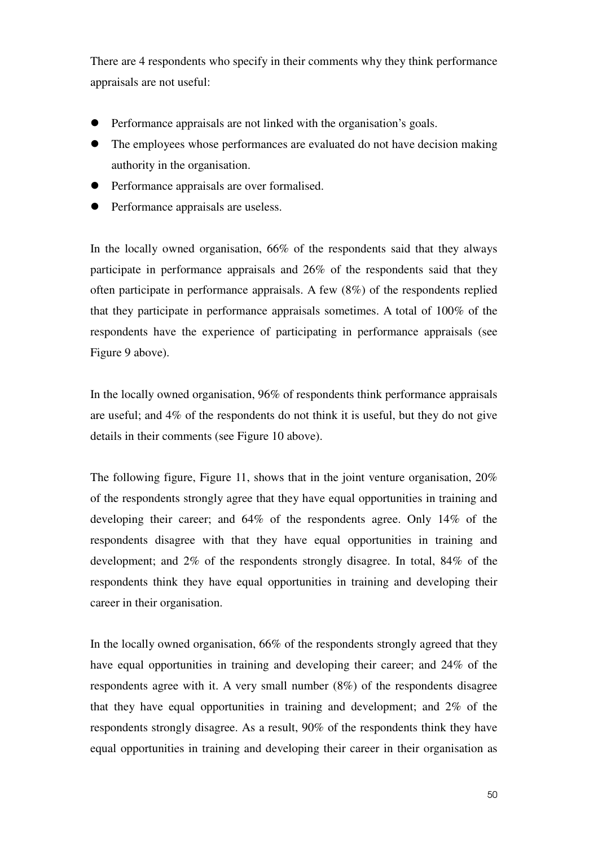There are 4 respondents who specify in their comments why they think performance appraisals are not useful:

- Performance appraisals are not linked with the organisation's goals.
- The employees whose performances are evaluated do not have decision making authority in the organisation.
- Performance appraisals are over formalised.
- Performance appraisals are useless.

In the locally owned organisation, 66% of the respondents said that they always participate in performance appraisals and 26% of the respondents said that they often participate in performance appraisals. A few (8%) of the respondents replied that they participate in performance appraisals sometimes. A total of 100% of the respondents have the experience of participating in performance appraisals (see Figure 9 above).

In the locally owned organisation, 96% of respondents think performance appraisals are useful; and 4% of the respondents do not think it is useful, but they do not give details in their comments (see Figure 10 above).

The following figure, Figure 11, shows that in the joint venture organisation,  $20\%$ of the respondents strongly agree that they have equal opportunities in training and developing their career; and 64% of the respondents agree. Only 14% of the respondents disagree with that they have equal opportunities in training and development; and 2% of the respondents strongly disagree. In total, 84% of the respondents think they have equal opportunities in training and developing their career in their organisation.

In the locally owned organisation, 66% of the respondents strongly agreed that they have equal opportunities in training and developing their career; and 24% of the respondents agree with it. A very small number (8%) of the respondents disagree that they have equal opportunities in training and development; and 2% of the respondents strongly disagree. As a result, 90% of the respondents think they have equal opportunities in training and developing their career in their organisation as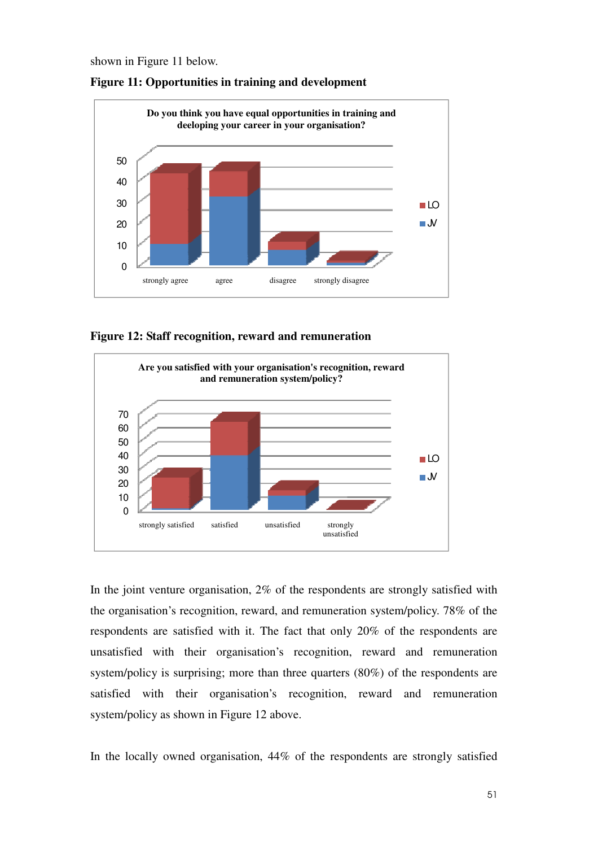shown in Figure 11 below.



**Figure 11: Opportunities in training and development** 

**Figure 12: Staff recognition, reward and remuneration** 



In the joint venture organisation, 2% of the respondents are strongly satisfied with the organisation's recognition, reward, and remuneration system/policy. 78% of the respondents are satisfied with it. The fact that only 20% of the respondents are unsatisfied with their organisation's recognition, reward and remuneration system/policy is surprising; more than three quarters (80%) of the respondents are satisfied with their organisation's recognition, reward and remuneration system/policy as shown in Figure 12 above.

In the locally owned organisation, 44% of the respondents are strongly satisfied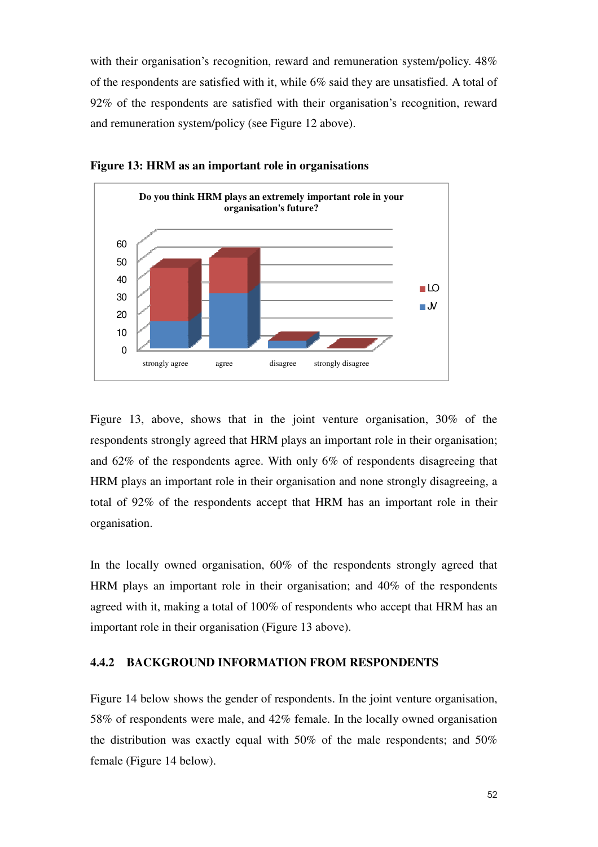with their organisation's recognition, reward and remuneration system/policy.  $48\%$ of the respondents are satisfied with it, while 6% said they are unsatisfied. A total of 92% of the respondents are satisfied with their organisation's recognition, reward and remuneration system/policy (see Figure 12 above).



**Figure 13: HRM as an important role in organisations**

Figure 13, above, shows that in the joint venture organisation, 30% of the respondents strongly agreed that HRM plays an important role in their organisation; and 62% of the respondents agree. With only 6% of respondents disagreeing that HRM plays an important role in their organisation and none strongly disagreeing, a total of 92% of the respondents accept that HRM has an important role in their organisation.

In the locally owned organisation, 60% of the respondents strongly agreed that HRM plays an important role in their organisation; and 40% of the respondents agreed with it, making a total of 100% of respondents who accept that HRM has an important role in their organisation (Figure 13 above).

#### **4.4.2 BACKGROUND INFORMATION FROM RESPONDENTS**

Figure 14 below shows the gender of respondents. In the joint venture organisation, 58% of respondents were male, and 42% female. In the locally owned organisation the distribution was exactly equal with 50% of the male respondents; and 50% female (Figure 14 below).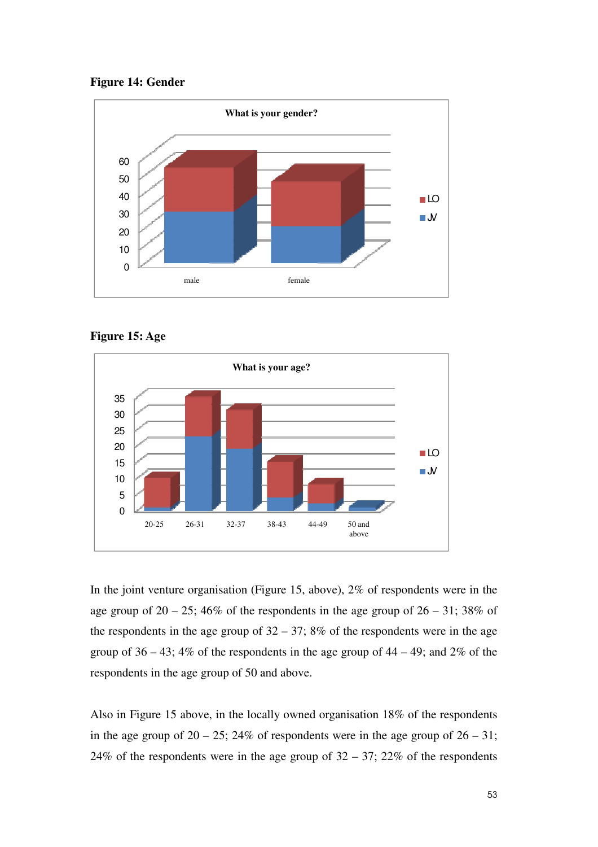







In the joint venture organisation (Figure 15, above), 2% of respondents were in the age group of  $20 - 25$ ; 46% of the respondents in the age group of  $26 - 31$ ; 38% of the respondents in the age group of  $32 - 37$ ;  $8\%$  of the respondents were in the age group of  $36 - 43$ ;  $4\%$  of the respondents in the age group of  $44 - 49$ ; and  $2\%$  of the respondents in the age group of 50 and above.

Also in Figure 15 above, in the locally owned organisation 18% of the respondents in the age group of  $20 - 25$ ;  $24\%$  of respondents were in the age group of  $26 - 31$ ; 24% of the respondents were in the age group of  $32 - 37$ ; 22% of the respondents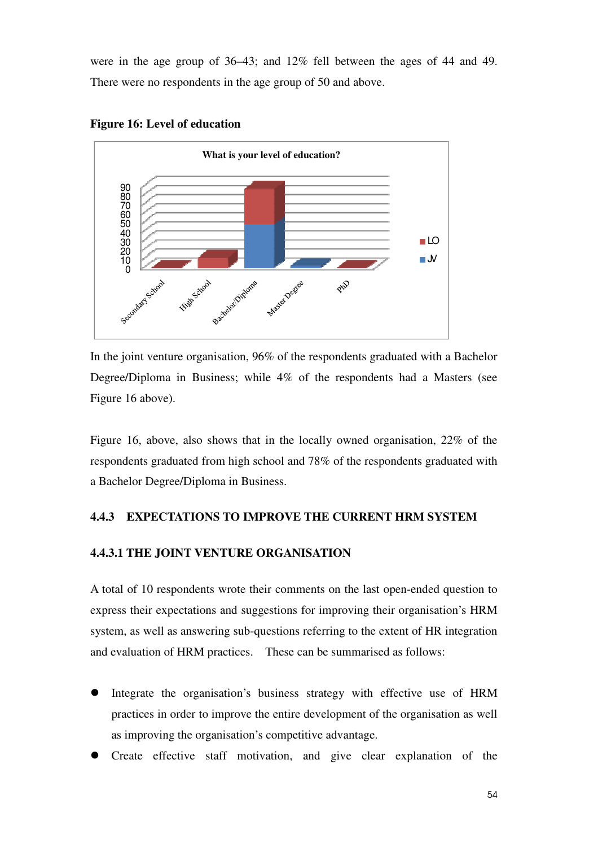were in the age group of 36–43; and 12% fell between the ages of 44 and 49. There were no respondents in the age group of 50 and above.





In the joint venture organisation, 96% of the respondents graduated with a Bachelor Degree/Diploma in Business; while 4% of the respondents had a Masters (see Figure 16 above).

Figure 16, above, also shows that in the locally owned organisation, 22% of the respondents graduated from high school and 78% of the respondents graduated with a Bachelor Degree/Diploma in Business.

## **4.4.3 EXPECTATIONS TO IMPROVE THE CURRENT HRM SYSTEM**

## **4.4.3.1 THE JOINT VENTURE ORGANISATION**

A total of 10 respondents wrote their comments on the last open-ended question to express their expectations and suggestions for improving their organisation's HRM system, as well as answering sub-questions referring to the extent of HR integration and evaluation of HRM practices. These can be summarised as follows:

- Integrate the organisation's business strategy with effective use of HRM practices in order to improve the entire development of the organisation as well as improving the organisation's competitive advantage.
- Create effective staff motivation, and give clear explanation of the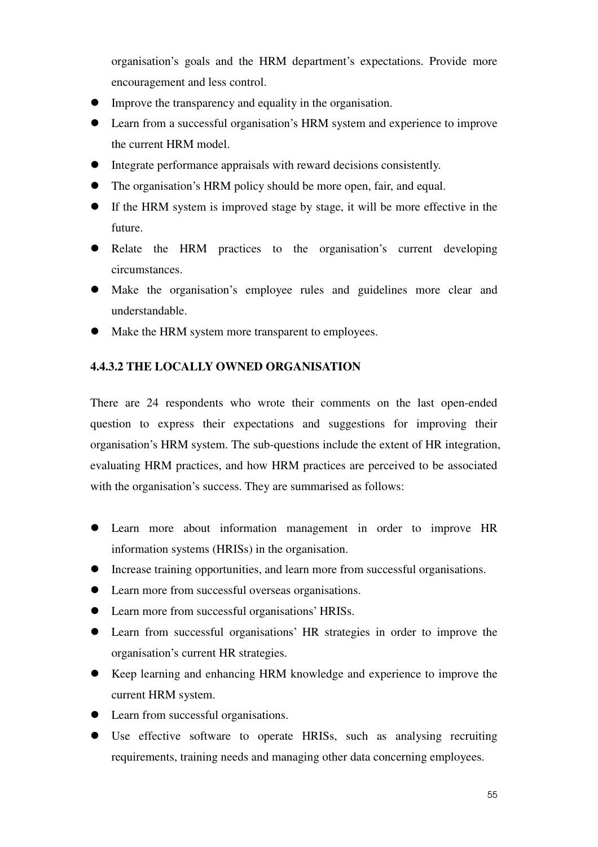organisation's goals and the HRM department's expectations. Provide more encouragement and less control.

- Improve the transparency and equality in the organisation.
- Learn from a successful organisation's HRM system and experience to improve the current HRM model.
- Integrate performance appraisals with reward decisions consistently.
- The organisation's HRM policy should be more open, fair, and equal.
- If the HRM system is improved stage by stage, it will be more effective in the future.
- Relate the HRM practices to the organisation's current developing circumstances.
- Make the organisation's employee rules and guidelines more clear and understandable.
- $\bullet$  Make the HRM system more transparent to employees.

## **4.4.3.2 THE LOCALLY OWNED ORGANISATION**

There are 24 respondents who wrote their comments on the last open-ended question to express their expectations and suggestions for improving their organisation's HRM system. The sub-questions include the extent of HR integration, evaluating HRM practices, and how HRM practices are perceived to be associated with the organisation's success. They are summarised as follows:

- Learn more about information management in order to improve HR information systems (HRISs) in the organisation.
- Increase training opportunities, and learn more from successful organisations.
- Learn more from successful overseas organisations.
- Learn more from successful organisations' HRISs.
- Learn from successful organisations' HR strategies in order to improve the organisation's current HR strategies.
- Keep learning and enhancing HRM knowledge and experience to improve the current HRM system.
- Learn from successful organisations.
- Use effective software to operate HRISs, such as analysing recruiting requirements, training needs and managing other data concerning employees.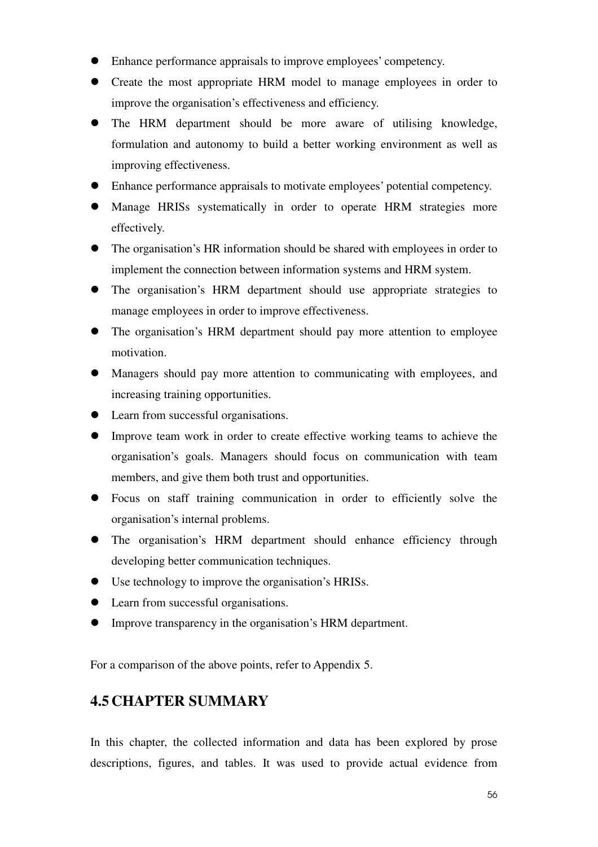- Enhance performance appraisals to improve employees' competency.
- Create the most appropriate HRM model to manage employees in order to improve the organisation's effectiveness and efficiency.
- The HRM department should be more aware of utilising knowledge, formulation and autonomy to build a better working environment as well as improving effectiveness.
- Enhance performance appraisals to motivate employees' potential competency.
- Manage HRISs systematically in order to operate HRM strategies more effectively.
- The organisation's HR information should be shared with employees in order to implement the connection between information systems and HRM system.
- The organisation's HRM department should use appropriate strategies to manage employees in order to improve effectiveness.
- The organisation's HRM department should pay more attention to employee motivation.
- Managers should pay more attention to communicating with employees, and increasing training opportunities.
- Learn from successful organisations.
- Improve team work in order to create effective working teams to achieve the organisation's goals. Managers should focus on communication with team members, and give them both trust and opportunities.
- Focus on staff training communication in order to efficiently solve the organisation's internal problems.
- The organisation's HRM department should enhance efficiency through developing better communication techniques.
- Use technology to improve the organisation's HRISs.
- Learn from successful organisations.
- Improve transparency in the organisation's HRM department.

For a comparison of the above points, refer to Appendix 5.

# **4.5 CHAPTER SUMMARY**

In this chapter, the collected information and data has been explored by prose descriptions, figures, and tables. It was used to provide actual evidence from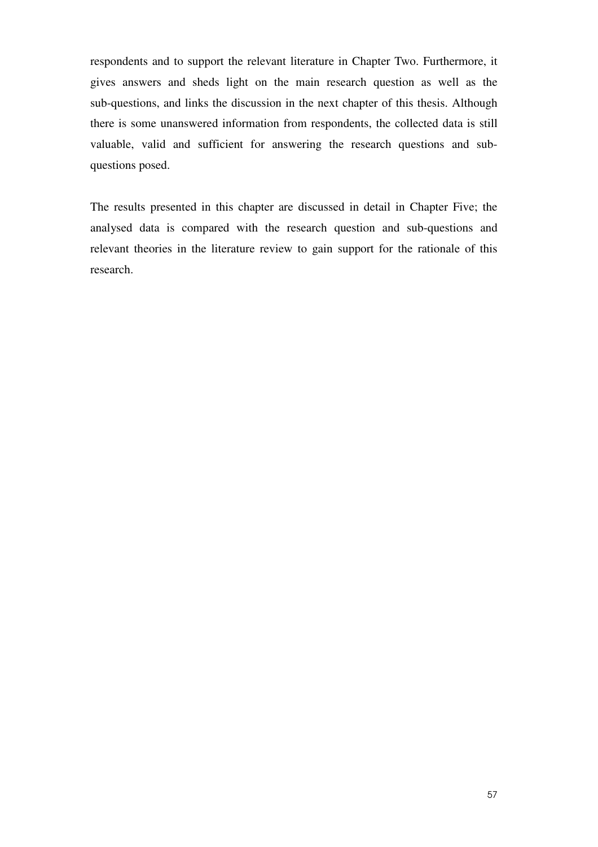respondents and to support the relevant literature in Chapter Two. Furthermore, it gives answers and sheds light on the main research question as well as the sub-questions, and links the discussion in the next chapter of this thesis. Although there is some unanswered information from respondents, the collected data is still valuable, valid and sufficient for answering the research questions and subquestions posed.

The results presented in this chapter are discussed in detail in Chapter Five; the analysed data is compared with the research question and sub-questions and relevant theories in the literature review to gain support for the rationale of this research.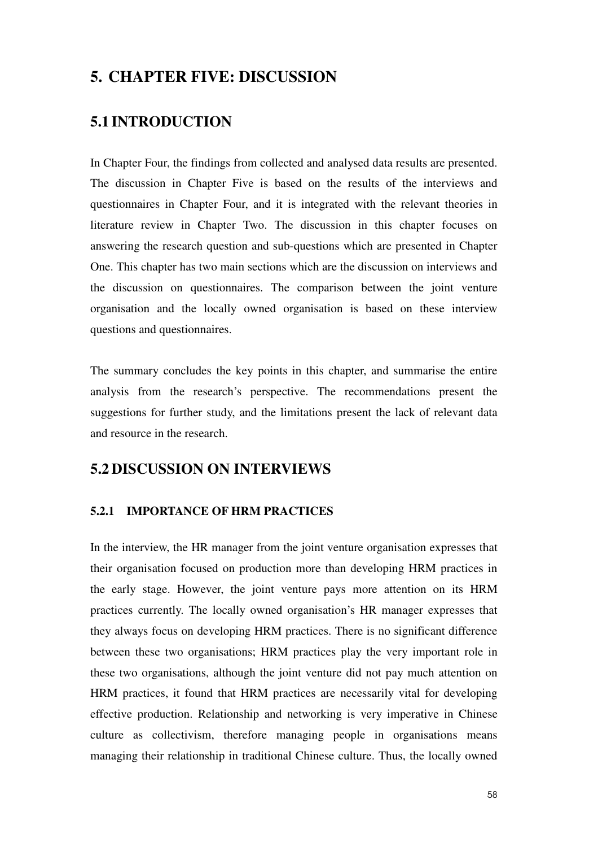# **5. CHAPTER FIVE: DISCUSSION**

# **5.1 INTRODUCTION**

In Chapter Four, the findings from collected and analysed data results are presented. The discussion in Chapter Five is based on the results of the interviews and questionnaires in Chapter Four, and it is integrated with the relevant theories in literature review in Chapter Two. The discussion in this chapter focuses on answering the research question and sub-questions which are presented in Chapter One. This chapter has two main sections which are the discussion on interviews and the discussion on questionnaires. The comparison between the joint venture organisation and the locally owned organisation is based on these interview questions and questionnaires.

The summary concludes the key points in this chapter, and summarise the entire analysis from the research's perspective. The recommendations present the suggestions for further study, and the limitations present the lack of relevant data and resource in the research.

# **5.2 DISCUSSION ON INTERVIEWS**

## **5.2.1 IMPORTANCE OF HRM PRACTICES**

In the interview, the HR manager from the joint venture organisation expresses that their organisation focused on production more than developing HRM practices in the early stage. However, the joint venture pays more attention on its HRM practices currently. The locally owned organisation's HR manager expresses that they always focus on developing HRM practices. There is no significant difference between these two organisations; HRM practices play the very important role in these two organisations, although the joint venture did not pay much attention on HRM practices, it found that HRM practices are necessarily vital for developing effective production. Relationship and networking is very imperative in Chinese culture as collectivism, therefore managing people in organisations means managing their relationship in traditional Chinese culture. Thus, the locally owned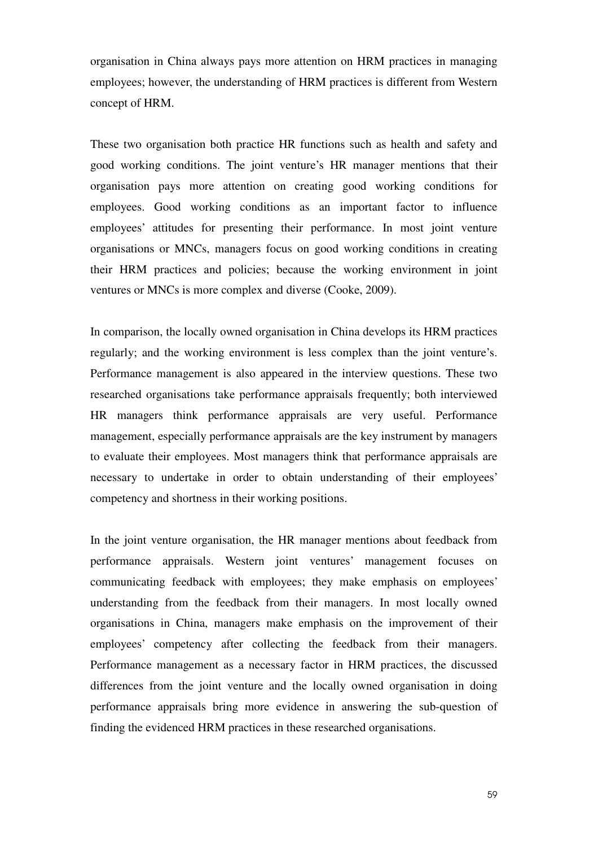organisation in China always pays more attention on HRM practices in managing employees; however, the understanding of HRM practices is different from Western concept of HRM.

These two organisation both practice HR functions such as health and safety and good working conditions. The joint venture's HR manager mentions that their organisation pays more attention on creating good working conditions for employees. Good working conditions as an important factor to influence employees' attitudes for presenting their performance. In most joint venture organisations or MNCs, managers focus on good working conditions in creating their HRM practices and policies; because the working environment in joint ventures or MNCs is more complex and diverse (Cooke, 2009).

In comparison, the locally owned organisation in China develops its HRM practices regularly; and the working environment is less complex than the joint venture's. Performance management is also appeared in the interview questions. These two researched organisations take performance appraisals frequently; both interviewed HR managers think performance appraisals are very useful. Performance management, especially performance appraisals are the key instrument by managers to evaluate their employees. Most managers think that performance appraisals are necessary to undertake in order to obtain understanding of their employees' competency and shortness in their working positions.

In the joint venture organisation, the HR manager mentions about feedback from performance appraisals. Western joint ventures' management focuses on communicating feedback with employees; they make emphasis on employees' understanding from the feedback from their managers. In most locally owned organisations in China, managers make emphasis on the improvement of their employees' competency after collecting the feedback from their managers. Performance management as a necessary factor in HRM practices, the discussed differences from the joint venture and the locally owned organisation in doing performance appraisals bring more evidence in answering the sub-question of finding the evidenced HRM practices in these researched organisations.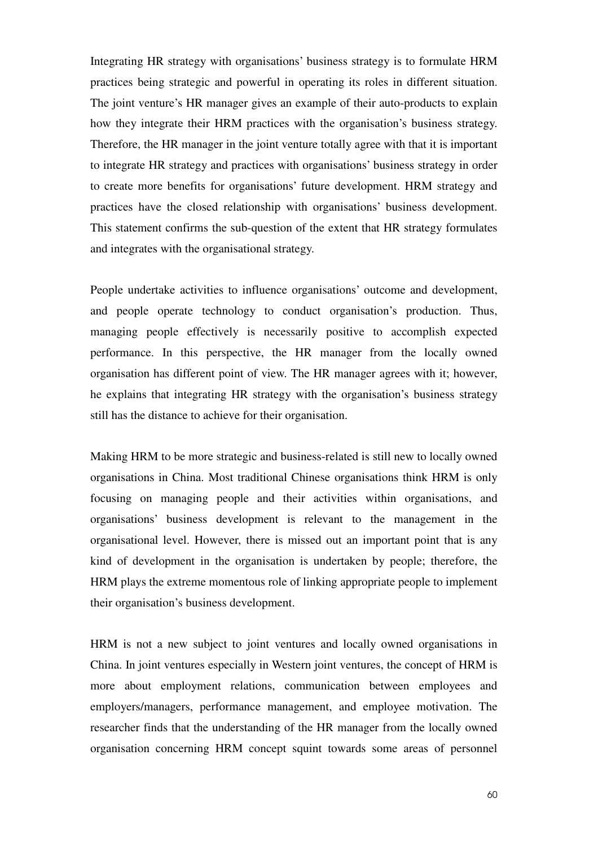Integrating HR strategy with organisations' business strategy is to formulate HRM practices being strategic and powerful in operating its roles in different situation. The joint venture's HR manager gives an example of their auto-products to explain how they integrate their HRM practices with the organisation's business strategy. Therefore, the HR manager in the joint venture totally agree with that it is important to integrate HR strategy and practices with organisations' business strategy in order to create more benefits for organisations' future development. HRM strategy and practices have the closed relationship with organisations' business development. This statement confirms the sub-question of the extent that HR strategy formulates and integrates with the organisational strategy.

People undertake activities to influence organisations' outcome and development, and people operate technology to conduct organisation's production. Thus, managing people effectively is necessarily positive to accomplish expected performance. In this perspective, the HR manager from the locally owned organisation has different point of view. The HR manager agrees with it; however, he explains that integrating HR strategy with the organisation's business strategy still has the distance to achieve for their organisation.

Making HRM to be more strategic and business-related is still new to locally owned organisations in China. Most traditional Chinese organisations think HRM is only focusing on managing people and their activities within organisations, and organisations' business development is relevant to the management in the organisational level. However, there is missed out an important point that is any kind of development in the organisation is undertaken by people; therefore, the HRM plays the extreme momentous role of linking appropriate people to implement their organisation's business development.

HRM is not a new subject to joint ventures and locally owned organisations in China. In joint ventures especially in Western joint ventures, the concept of HRM is more about employment relations, communication between employees and employers/managers, performance management, and employee motivation. The researcher finds that the understanding of the HR manager from the locally owned organisation concerning HRM concept squint towards some areas of personnel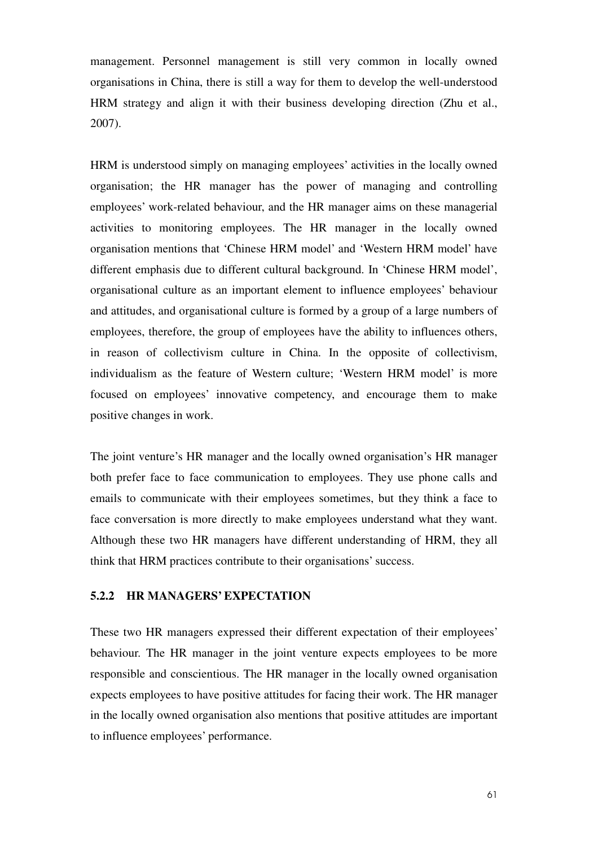management. Personnel management is still very common in locally owned organisations in China, there is still a way for them to develop the well-understood HRM strategy and align it with their business developing direction (Zhu et al., 2007).

HRM is understood simply on managing employees' activities in the locally owned organisation; the HR manager has the power of managing and controlling employees' work-related behaviour, and the HR manager aims on these managerial activities to monitoring employees. The HR manager in the locally owned organisation mentions that 'Chinese HRM model' and 'Western HRM model' have different emphasis due to different cultural background. In 'Chinese HRM model', organisational culture as an important element to influence employees' behaviour and attitudes, and organisational culture is formed by a group of a large numbers of employees, therefore, the group of employees have the ability to influences others, in reason of collectivism culture in China. In the opposite of collectivism, individualism as the feature of Western culture; 'Western HRM model' is more focused on employees' innovative competency, and encourage them to make positive changes in work.

The joint venture's HR manager and the locally owned organisation's HR manager both prefer face to face communication to employees. They use phone calls and emails to communicate with their employees sometimes, but they think a face to face conversation is more directly to make employees understand what they want. Although these two HR managers have different understanding of HRM, they all think that HRM practices contribute to their organisations' success.

#### **5.2.2 HR MANAGERS' EXPECTATION**

These two HR managers expressed their different expectation of their employees' behaviour. The HR manager in the joint venture expects employees to be more responsible and conscientious. The HR manager in the locally owned organisation expects employees to have positive attitudes for facing their work. The HR manager in the locally owned organisation also mentions that positive attitudes are important to influence employees' performance.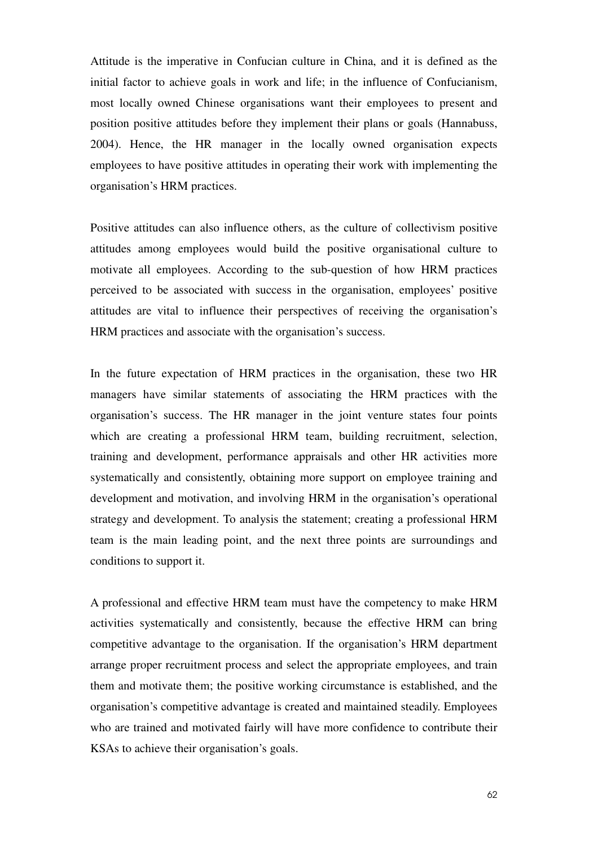Attitude is the imperative in Confucian culture in China, and it is defined as the initial factor to achieve goals in work and life; in the influence of Confucianism, most locally owned Chinese organisations want their employees to present and position positive attitudes before they implement their plans or goals (Hannabuss, 2004). Hence, the HR manager in the locally owned organisation expects employees to have positive attitudes in operating their work with implementing the organisation's HRM practices.

Positive attitudes can also influence others, as the culture of collectivism positive attitudes among employees would build the positive organisational culture to motivate all employees. According to the sub-question of how HRM practices perceived to be associated with success in the organisation, employees' positive attitudes are vital to influence their perspectives of receiving the organisation's HRM practices and associate with the organisation's success.

In the future expectation of HRM practices in the organisation, these two HR managers have similar statements of associating the HRM practices with the organisation's success. The HR manager in the joint venture states four points which are creating a professional HRM team, building recruitment, selection, training and development, performance appraisals and other HR activities more systematically and consistently, obtaining more support on employee training and development and motivation, and involving HRM in the organisation's operational strategy and development. To analysis the statement; creating a professional HRM team is the main leading point, and the next three points are surroundings and conditions to support it.

A professional and effective HRM team must have the competency to make HRM activities systematically and consistently, because the effective HRM can bring competitive advantage to the organisation. If the organisation's HRM department arrange proper recruitment process and select the appropriate employees, and train them and motivate them; the positive working circumstance is established, and the organisation's competitive advantage is created and maintained steadily. Employees who are trained and motivated fairly will have more confidence to contribute their KSAs to achieve their organisation's goals.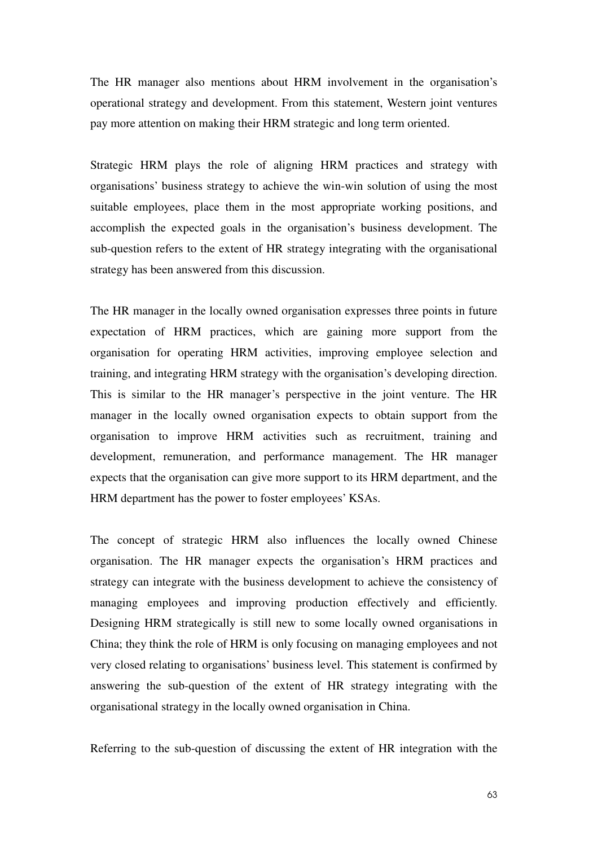The HR manager also mentions about HRM involvement in the organisation's operational strategy and development. From this statement, Western joint ventures pay more attention on making their HRM strategic and long term oriented.

Strategic HRM plays the role of aligning HRM practices and strategy with organisations' business strategy to achieve the win-win solution of using the most suitable employees, place them in the most appropriate working positions, and accomplish the expected goals in the organisation's business development. The sub-question refers to the extent of HR strategy integrating with the organisational strategy has been answered from this discussion.

The HR manager in the locally owned organisation expresses three points in future expectation of HRM practices, which are gaining more support from the organisation for operating HRM activities, improving employee selection and training, and integrating HRM strategy with the organisation's developing direction. This is similar to the HR manager's perspective in the joint venture. The HR manager in the locally owned organisation expects to obtain support from the organisation to improve HRM activities such as recruitment, training and development, remuneration, and performance management. The HR manager expects that the organisation can give more support to its HRM department, and the HRM department has the power to foster employees' KSAs.

The concept of strategic HRM also influences the locally owned Chinese organisation. The HR manager expects the organisation's HRM practices and strategy can integrate with the business development to achieve the consistency of managing employees and improving production effectively and efficiently. Designing HRM strategically is still new to some locally owned organisations in China; they think the role of HRM is only focusing on managing employees and not very closed relating to organisations' business level. This statement is confirmed by answering the sub-question of the extent of HR strategy integrating with the organisational strategy in the locally owned organisation in China.

Referring to the sub-question of discussing the extent of HR integration with the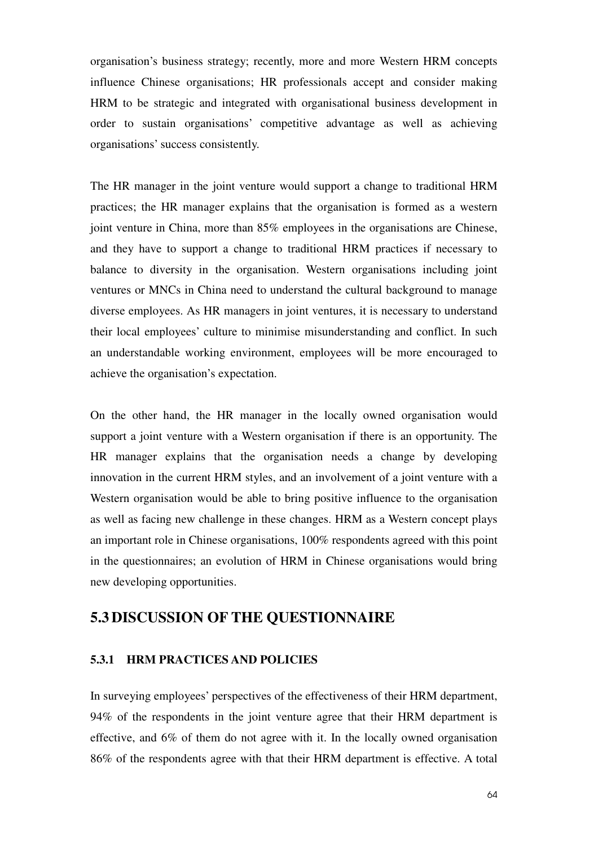organisation's business strategy; recently, more and more Western HRM concepts influence Chinese organisations; HR professionals accept and consider making HRM to be strategic and integrated with organisational business development in order to sustain organisations' competitive advantage as well as achieving organisations' success consistently.

The HR manager in the joint venture would support a change to traditional HRM practices; the HR manager explains that the organisation is formed as a western joint venture in China, more than 85% employees in the organisations are Chinese, and they have to support a change to traditional HRM practices if necessary to balance to diversity in the organisation. Western organisations including joint ventures or MNCs in China need to understand the cultural background to manage diverse employees. As HR managers in joint ventures, it is necessary to understand their local employees' culture to minimise misunderstanding and conflict. In such an understandable working environment, employees will be more encouraged to achieve the organisation's expectation.

On the other hand, the HR manager in the locally owned organisation would support a joint venture with a Western organisation if there is an opportunity. The HR manager explains that the organisation needs a change by developing innovation in the current HRM styles, and an involvement of a joint venture with a Western organisation would be able to bring positive influence to the organisation as well as facing new challenge in these changes. HRM as a Western concept plays an important role in Chinese organisations, 100% respondents agreed with this point in the questionnaires; an evolution of HRM in Chinese organisations would bring new developing opportunities.

# **5.3 DISCUSSION OF THE QUESTIONNAIRE**

### **5.3.1 HRM PRACTICES AND POLICIES**

In surveying employees' perspectives of the effectiveness of their HRM department, 94% of the respondents in the joint venture agree that their HRM department is effective, and 6% of them do not agree with it. In the locally owned organisation 86% of the respondents agree with that their HRM department is effective. A total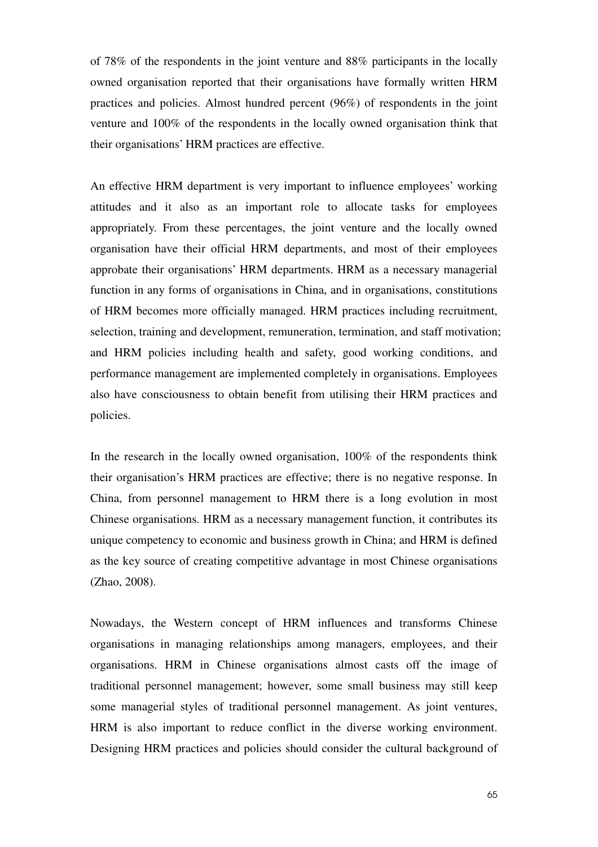of 78% of the respondents in the joint venture and 88% participants in the locally owned organisation reported that their organisations have formally written HRM practices and policies. Almost hundred percent (96%) of respondents in the joint venture and 100% of the respondents in the locally owned organisation think that their organisations' HRM practices are effective.

An effective HRM department is very important to influence employees' working attitudes and it also as an important role to allocate tasks for employees appropriately. From these percentages, the joint venture and the locally owned organisation have their official HRM departments, and most of their employees approbate their organisations' HRM departments. HRM as a necessary managerial function in any forms of organisations in China, and in organisations, constitutions of HRM becomes more officially managed. HRM practices including recruitment, selection, training and development, remuneration, termination, and staff motivation; and HRM policies including health and safety, good working conditions, and performance management are implemented completely in organisations. Employees also have consciousness to obtain benefit from utilising their HRM practices and policies.

In the research in the locally owned organisation, 100% of the respondents think their organisation's HRM practices are effective; there is no negative response. In China, from personnel management to HRM there is a long evolution in most Chinese organisations. HRM as a necessary management function, it contributes its unique competency to economic and business growth in China; and HRM is defined as the key source of creating competitive advantage in most Chinese organisations (Zhao, 2008).

Nowadays, the Western concept of HRM influences and transforms Chinese organisations in managing relationships among managers, employees, and their organisations. HRM in Chinese organisations almost casts off the image of traditional personnel management; however, some small business may still keep some managerial styles of traditional personnel management. As joint ventures, HRM is also important to reduce conflict in the diverse working environment. Designing HRM practices and policies should consider the cultural background of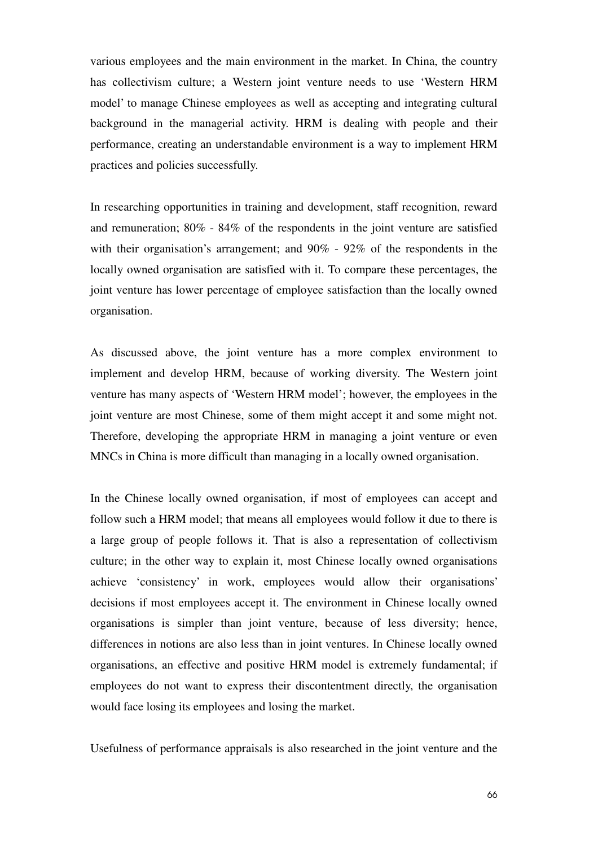various employees and the main environment in the market. In China, the country has collectivism culture; a Western joint venture needs to use 'Western HRM model' to manage Chinese employees as well as accepting and integrating cultural background in the managerial activity. HRM is dealing with people and their performance, creating an understandable environment is a way to implement HRM practices and policies successfully.

In researching opportunities in training and development, staff recognition, reward and remuneration; 80% - 84% of the respondents in the joint venture are satisfied with their organisation's arrangement; and 90% - 92% of the respondents in the locally owned organisation are satisfied with it. To compare these percentages, the joint venture has lower percentage of employee satisfaction than the locally owned organisation.

As discussed above, the joint venture has a more complex environment to implement and develop HRM, because of working diversity. The Western joint venture has many aspects of 'Western HRM model'; however, the employees in the joint venture are most Chinese, some of them might accept it and some might not. Therefore, developing the appropriate HRM in managing a joint venture or even MNCs in China is more difficult than managing in a locally owned organisation.

In the Chinese locally owned organisation, if most of employees can accept and follow such a HRM model; that means all employees would follow it due to there is a large group of people follows it. That is also a representation of collectivism culture; in the other way to explain it, most Chinese locally owned organisations achieve 'consistency' in work, employees would allow their organisations' decisions if most employees accept it. The environment in Chinese locally owned organisations is simpler than joint venture, because of less diversity; hence, differences in notions are also less than in joint ventures. In Chinese locally owned organisations, an effective and positive HRM model is extremely fundamental; if employees do not want to express their discontentment directly, the organisation would face losing its employees and losing the market.

Usefulness of performance appraisals is also researched in the joint venture and the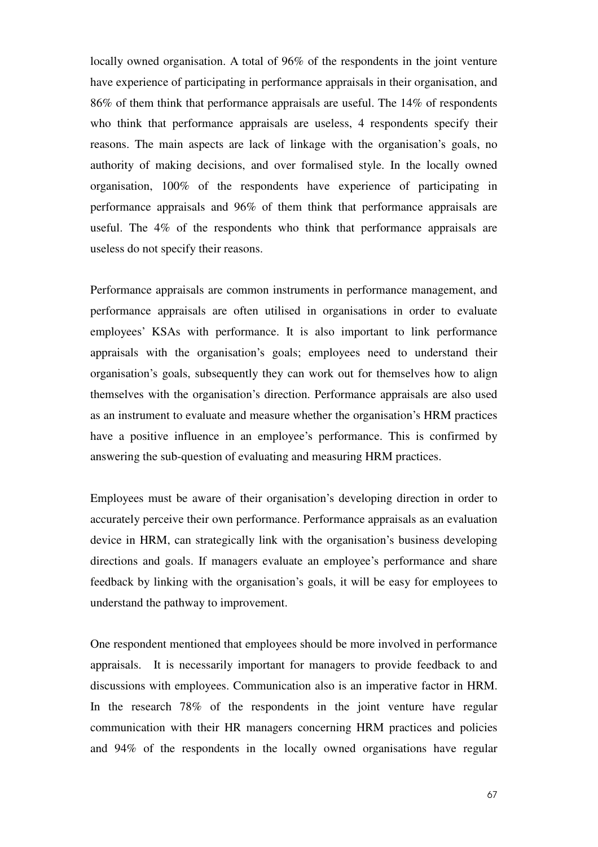locally owned organisation. A total of 96% of the respondents in the joint venture have experience of participating in performance appraisals in their organisation, and 86% of them think that performance appraisals are useful. The 14% of respondents who think that performance appraisals are useless, 4 respondents specify their reasons. The main aspects are lack of linkage with the organisation's goals, no authority of making decisions, and over formalised style. In the locally owned organisation, 100% of the respondents have experience of participating in performance appraisals and 96% of them think that performance appraisals are useful. The 4% of the respondents who think that performance appraisals are useless do not specify their reasons.

Performance appraisals are common instruments in performance management, and performance appraisals are often utilised in organisations in order to evaluate employees' KSAs with performance. It is also important to link performance appraisals with the organisation's goals; employees need to understand their organisation's goals, subsequently they can work out for themselves how to align themselves with the organisation's direction. Performance appraisals are also used as an instrument to evaluate and measure whether the organisation's HRM practices have a positive influence in an employee's performance. This is confirmed by answering the sub-question of evaluating and measuring HRM practices.

Employees must be aware of their organisation's developing direction in order to accurately perceive their own performance. Performance appraisals as an evaluation device in HRM, can strategically link with the organisation's business developing directions and goals. If managers evaluate an employee's performance and share feedback by linking with the organisation's goals, it will be easy for employees to understand the pathway to improvement.

One respondent mentioned that employees should be more involved in performance appraisals. It is necessarily important for managers to provide feedback to and discussions with employees. Communication also is an imperative factor in HRM. In the research 78% of the respondents in the joint venture have regular communication with their HR managers concerning HRM practices and policies and 94% of the respondents in the locally owned organisations have regular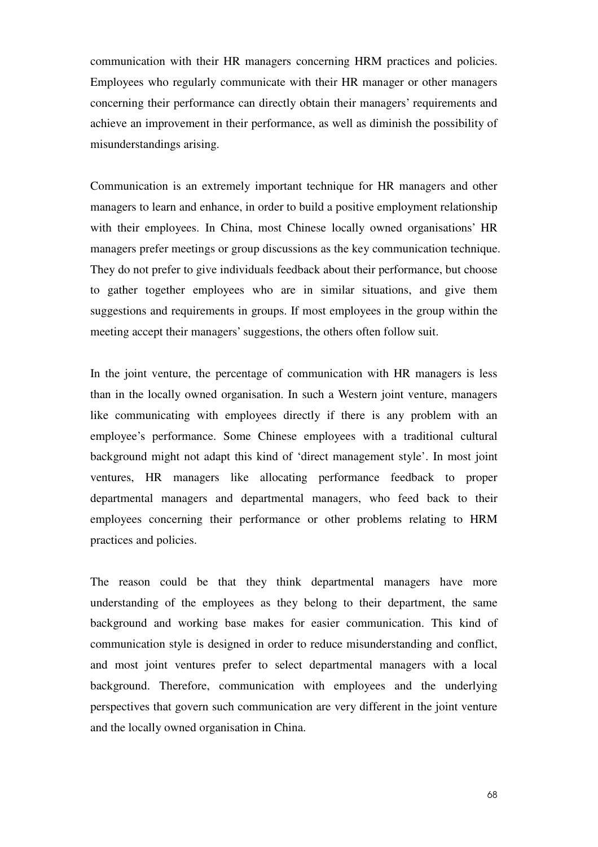communication with their HR managers concerning HRM practices and policies. Employees who regularly communicate with their HR manager or other managers concerning their performance can directly obtain their managers' requirements and achieve an improvement in their performance, as well as diminish the possibility of misunderstandings arising.

Communication is an extremely important technique for HR managers and other managers to learn and enhance, in order to build a positive employment relationship with their employees. In China, most Chinese locally owned organisations' HR managers prefer meetings or group discussions as the key communication technique. They do not prefer to give individuals feedback about their performance, but choose to gather together employees who are in similar situations, and give them suggestions and requirements in groups. If most employees in the group within the meeting accept their managers' suggestions, the others often follow suit.

In the joint venture, the percentage of communication with HR managers is less than in the locally owned organisation. In such a Western joint venture, managers like communicating with employees directly if there is any problem with an employee's performance. Some Chinese employees with a traditional cultural background might not adapt this kind of 'direct management style'. In most joint ventures, HR managers like allocating performance feedback to proper departmental managers and departmental managers, who feed back to their employees concerning their performance or other problems relating to HRM practices and policies.

The reason could be that they think departmental managers have more understanding of the employees as they belong to their department, the same background and working base makes for easier communication. This kind of communication style is designed in order to reduce misunderstanding and conflict, and most joint ventures prefer to select departmental managers with a local background. Therefore, communication with employees and the underlying perspectives that govern such communication are very different in the joint venture and the locally owned organisation in China.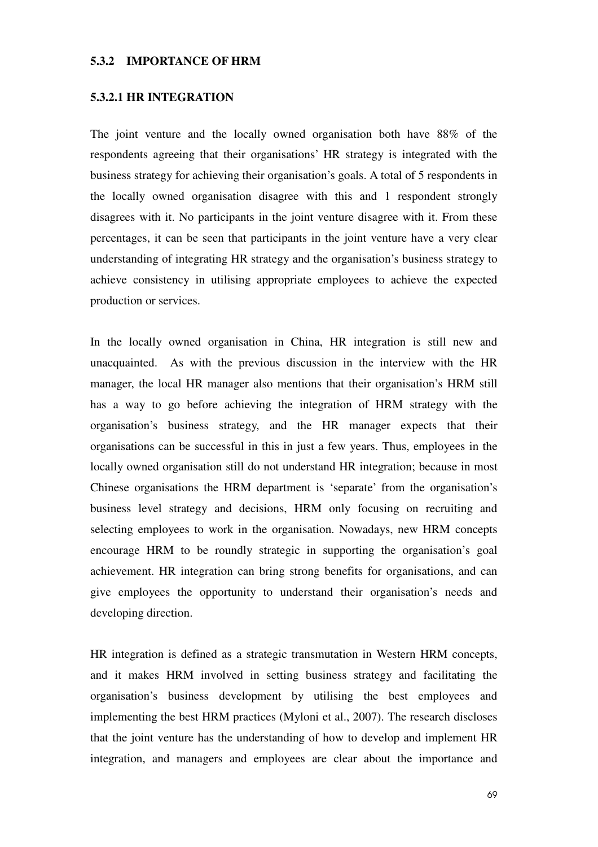#### **5.3.2 IMPORTANCE OF HRM**

#### **5.3.2.1 HR INTEGRATION**

The joint venture and the locally owned organisation both have 88% of the respondents agreeing that their organisations' HR strategy is integrated with the business strategy for achieving their organisation's goals. A total of 5 respondents in the locally owned organisation disagree with this and 1 respondent strongly disagrees with it. No participants in the joint venture disagree with it. From these percentages, it can be seen that participants in the joint venture have a very clear understanding of integrating HR strategy and the organisation's business strategy to achieve consistency in utilising appropriate employees to achieve the expected production or services.

In the locally owned organisation in China, HR integration is still new and unacquainted. As with the previous discussion in the interview with the HR manager, the local HR manager also mentions that their organisation's HRM still has a way to go before achieving the integration of HRM strategy with the organisation's business strategy, and the HR manager expects that their organisations can be successful in this in just a few years. Thus, employees in the locally owned organisation still do not understand HR integration; because in most Chinese organisations the HRM department is 'separate' from the organisation's business level strategy and decisions, HRM only focusing on recruiting and selecting employees to work in the organisation. Nowadays, new HRM concepts encourage HRM to be roundly strategic in supporting the organisation's goal achievement. HR integration can bring strong benefits for organisations, and can give employees the opportunity to understand their organisation's needs and developing direction.

HR integration is defined as a strategic transmutation in Western HRM concepts, and it makes HRM involved in setting business strategy and facilitating the organisation's business development by utilising the best employees and implementing the best HRM practices (Myloni et al., 2007). The research discloses that the joint venture has the understanding of how to develop and implement HR integration, and managers and employees are clear about the importance and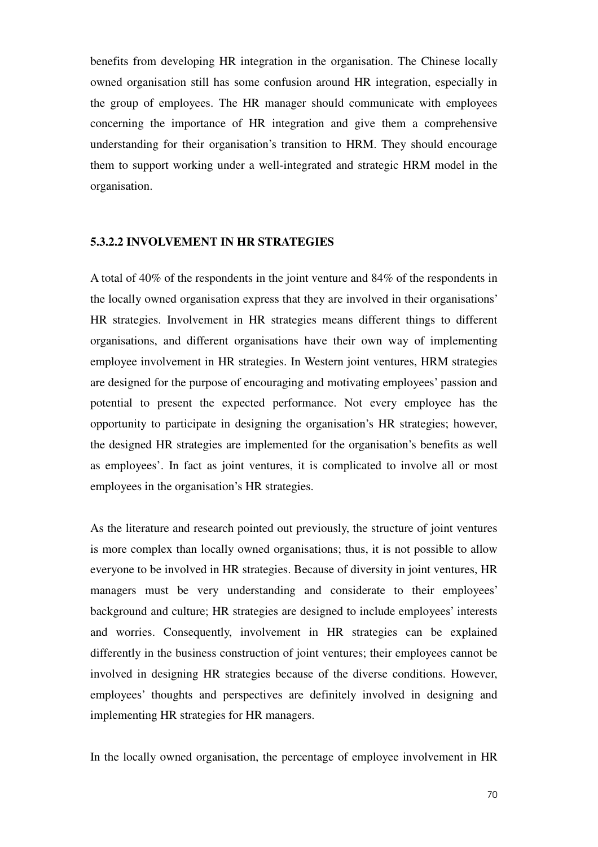benefits from developing HR integration in the organisation. The Chinese locally owned organisation still has some confusion around HR integration, especially in the group of employees. The HR manager should communicate with employees concerning the importance of HR integration and give them a comprehensive understanding for their organisation's transition to HRM. They should encourage them to support working under a well-integrated and strategic HRM model in the organisation.

### **5.3.2.2 INVOLVEMENT IN HR STRATEGIES**

A total of 40% of the respondents in the joint venture and 84% of the respondents in the locally owned organisation express that they are involved in their organisations' HR strategies. Involvement in HR strategies means different things to different organisations, and different organisations have their own way of implementing employee involvement in HR strategies. In Western joint ventures, HRM strategies are designed for the purpose of encouraging and motivating employees' passion and potential to present the expected performance. Not every employee has the opportunity to participate in designing the organisation's HR strategies; however, the designed HR strategies are implemented for the organisation's benefits as well as employees'. In fact as joint ventures, it is complicated to involve all or most employees in the organisation's HR strategies.

As the literature and research pointed out previously, the structure of joint ventures is more complex than locally owned organisations; thus, it is not possible to allow everyone to be involved in HR strategies. Because of diversity in joint ventures, HR managers must be very understanding and considerate to their employees' background and culture; HR strategies are designed to include employees' interests and worries. Consequently, involvement in HR strategies can be explained differently in the business construction of joint ventures; their employees cannot be involved in designing HR strategies because of the diverse conditions. However, employees' thoughts and perspectives are definitely involved in designing and implementing HR strategies for HR managers.

In the locally owned organisation, the percentage of employee involvement in HR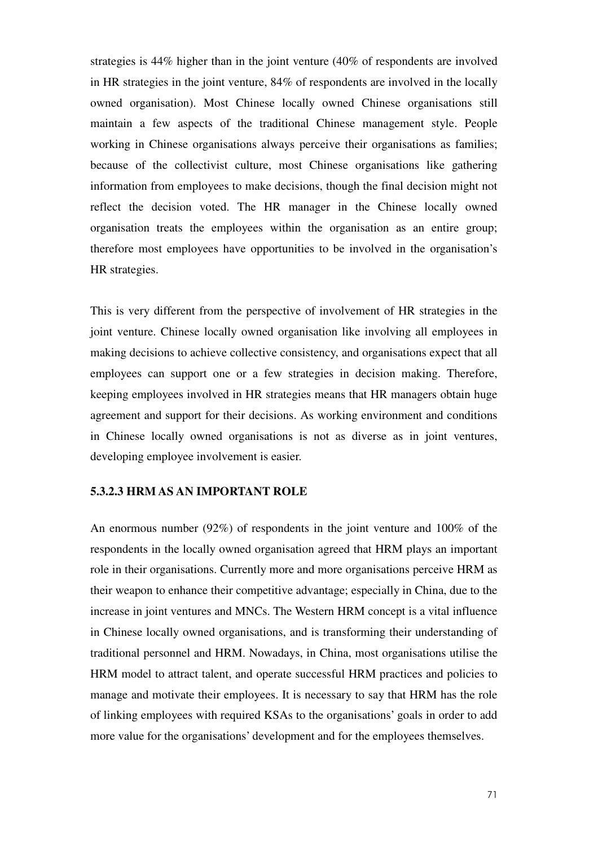strategies is 44% higher than in the joint venture (40% of respondents are involved in HR strategies in the joint venture, 84% of respondents are involved in the locally owned organisation). Most Chinese locally owned Chinese organisations still maintain a few aspects of the traditional Chinese management style. People working in Chinese organisations always perceive their organisations as families; because of the collectivist culture, most Chinese organisations like gathering information from employees to make decisions, though the final decision might not reflect the decision voted. The HR manager in the Chinese locally owned organisation treats the employees within the organisation as an entire group; therefore most employees have opportunities to be involved in the organisation's HR strategies.

This is very different from the perspective of involvement of HR strategies in the joint venture. Chinese locally owned organisation like involving all employees in making decisions to achieve collective consistency, and organisations expect that all employees can support one or a few strategies in decision making. Therefore, keeping employees involved in HR strategies means that HR managers obtain huge agreement and support for their decisions. As working environment and conditions in Chinese locally owned organisations is not as diverse as in joint ventures, developing employee involvement is easier.

### **5.3.2.3 HRM AS AN IMPORTANT ROLE**

An enormous number (92%) of respondents in the joint venture and 100% of the respondents in the locally owned organisation agreed that HRM plays an important role in their organisations. Currently more and more organisations perceive HRM as their weapon to enhance their competitive advantage; especially in China, due to the increase in joint ventures and MNCs. The Western HRM concept is a vital influence in Chinese locally owned organisations, and is transforming their understanding of traditional personnel and HRM. Nowadays, in China, most organisations utilise the HRM model to attract talent, and operate successful HRM practices and policies to manage and motivate their employees. It is necessary to say that HRM has the role of linking employees with required KSAs to the organisations' goals in order to add more value for the organisations' development and for the employees themselves.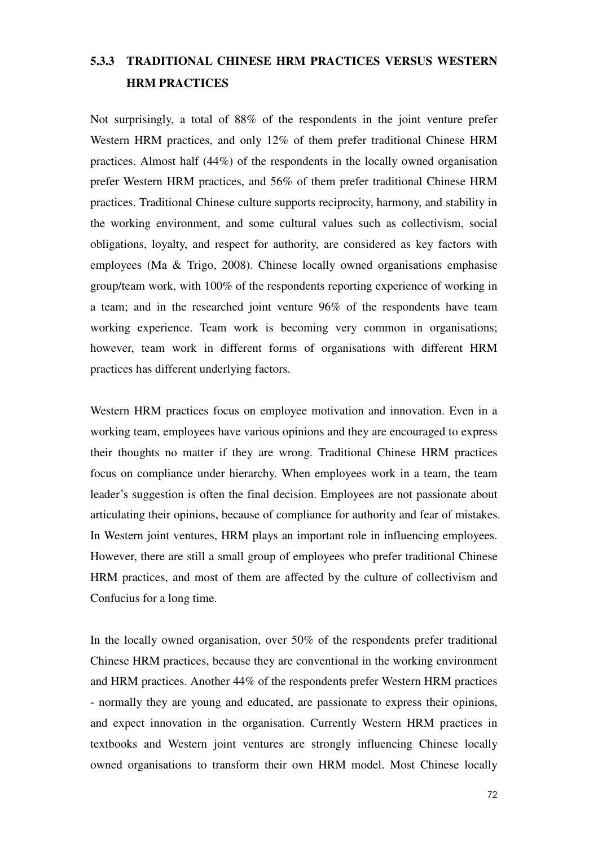# **5.3.3 TRADITIONAL CHINESE HRM PRACTICES VERSUS WESTERN HRM PRACTICES**

Not surprisingly, a total of 88% of the respondents in the joint venture prefer Western HRM practices, and only 12% of them prefer traditional Chinese HRM practices. Almost half (44%) of the respondents in the locally owned organisation prefer Western HRM practices, and 56% of them prefer traditional Chinese HRM practices. Traditional Chinese culture supports reciprocity, harmony, and stability in the working environment, and some cultural values such as collectivism, social obligations, loyalty, and respect for authority, are considered as key factors with employees (Ma & Trigo, 2008). Chinese locally owned organisations emphasise group/team work, with 100% of the respondents reporting experience of working in a team; and in the researched joint venture 96% of the respondents have team working experience. Team work is becoming very common in organisations; however, team work in different forms of organisations with different HRM practices has different underlying factors.

Western HRM practices focus on employee motivation and innovation. Even in a working team, employees have various opinions and they are encouraged to express their thoughts no matter if they are wrong. Traditional Chinese HRM practices focus on compliance under hierarchy. When employees work in a team, the team leader's suggestion is often the final decision. Employees are not passionate about articulating their opinions, because of compliance for authority and fear of mistakes. In Western joint ventures, HRM plays an important role in influencing employees. However, there are still a small group of employees who prefer traditional Chinese HRM practices, and most of them are affected by the culture of collectivism and Confucius for a long time.

In the locally owned organisation, over 50% of the respondents prefer traditional Chinese HRM practices, because they are conventional in the working environment and HRM practices. Another 44% of the respondents prefer Western HRM practices - normally they are young and educated, are passionate to express their opinions, and expect innovation in the organisation. Currently Western HRM practices in textbooks and Western joint ventures are strongly influencing Chinese locally owned organisations to transform their own HRM model. Most Chinese locally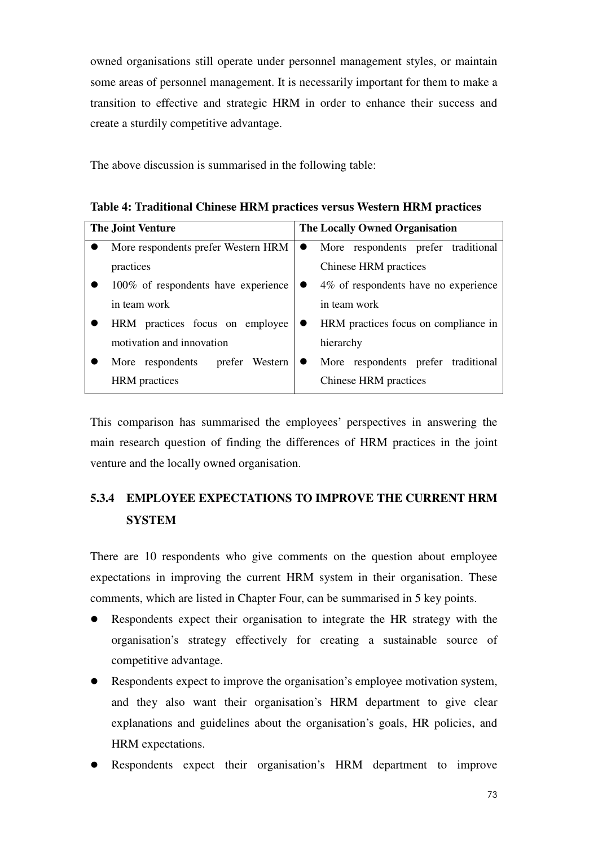owned organisations still operate under personnel management styles, or maintain some areas of personnel management. It is necessarily important for them to make a transition to effective and strategic HRM in order to enhance their success and create a sturdily competitive advantage.

The above discussion is summarised in the following table:

|  |  | Table 4: Traditional Chinese HRM practices versus Western HRM practices |  |  |
|--|--|-------------------------------------------------------------------------|--|--|
|--|--|-------------------------------------------------------------------------|--|--|

| <b>The Joint Venture</b>            |                | <b>The Locally Owned Organisation</b>            |  |  |  |
|-------------------------------------|----------------|--------------------------------------------------|--|--|--|
| More respondents prefer Western HRM |                | More respondents prefer traditional<br>$\bullet$ |  |  |  |
| practices                           |                | Chinese HRM practices                            |  |  |  |
| 100% of respondents have experience |                | 4\% of respondents have no experience            |  |  |  |
| in team work                        |                | in team work                                     |  |  |  |
| HRM practices focus on employee     |                | HRM practices focus on compliance in             |  |  |  |
| motivation and innovation           |                | hierarchy                                        |  |  |  |
| More respondents                    | prefer Western | More respondents prefer traditional              |  |  |  |
| <b>HRM</b> practices                |                | Chinese HRM practices                            |  |  |  |

This comparison has summarised the employees' perspectives in answering the main research question of finding the differences of HRM practices in the joint venture and the locally owned organisation.

## **5.3.4 EMPLOYEE EXPECTATIONS TO IMPROVE THE CURRENT HRM SYSTEM**

There are 10 respondents who give comments on the question about employee expectations in improving the current HRM system in their organisation. These comments, which are listed in Chapter Four, can be summarised in 5 key points.

- Respondents expect their organisation to integrate the HR strategy with the organisation's strategy effectively for creating a sustainable source of competitive advantage.
- Respondents expect to improve the organisation's employee motivation system, and they also want their organisation's HRM department to give clear explanations and guidelines about the organisation's goals, HR policies, and HRM expectations.
- Respondents expect their organisation's HRM department to improve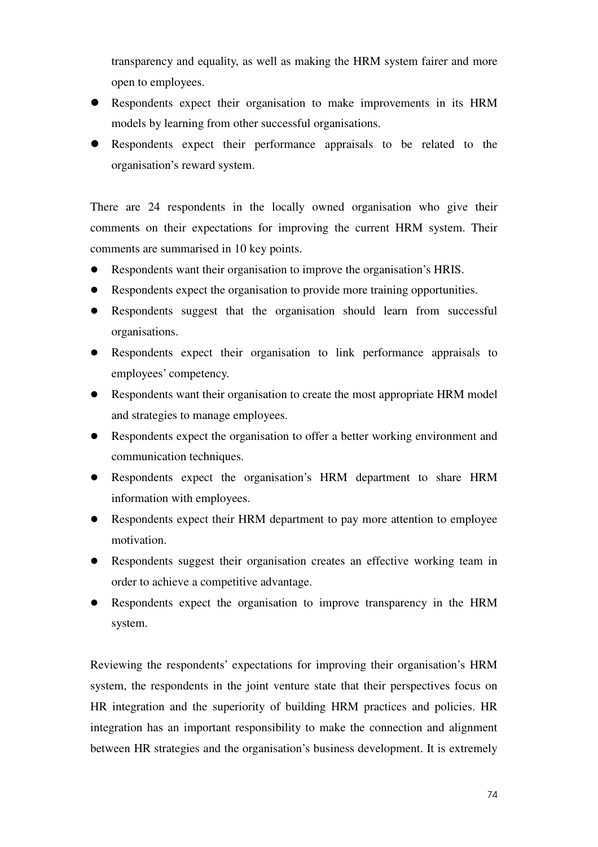transparency and equality, as well as making the HRM system fairer and more open to employees.

- Respondents expect their organisation to make improvements in its HRM models by learning from other successful organisations.
- Respondents expect their performance appraisals to be related to the organisation's reward system.

There are 24 respondents in the locally owned organisation who give their comments on their expectations for improving the current HRM system. Their comments are summarised in 10 key points.

- Respondents want their organisation to improve the organisation's HRIS.
- Respondents expect the organisation to provide more training opportunities.
- Respondents suggest that the organisation should learn from successful organisations.
- Respondents expect their organisation to link performance appraisals to employees' competency.
- Respondents want their organisation to create the most appropriate HRM model and strategies to manage employees.
- Respondents expect the organisation to offer a better working environment and communication techniques.
- Respondents expect the organisation's HRM department to share HRM information with employees.
- Respondents expect their HRM department to pay more attention to employee motivation.
- Respondents suggest their organisation creates an effective working team in order to achieve a competitive advantage.
- Respondents expect the organisation to improve transparency in the HRM system.

Reviewing the respondents' expectations for improving their organisation's HRM system, the respondents in the joint venture state that their perspectives focus on HR integration and the superiority of building HRM practices and policies. HR integration has an important responsibility to make the connection and alignment between HR strategies and the organisation's business development. It is extremely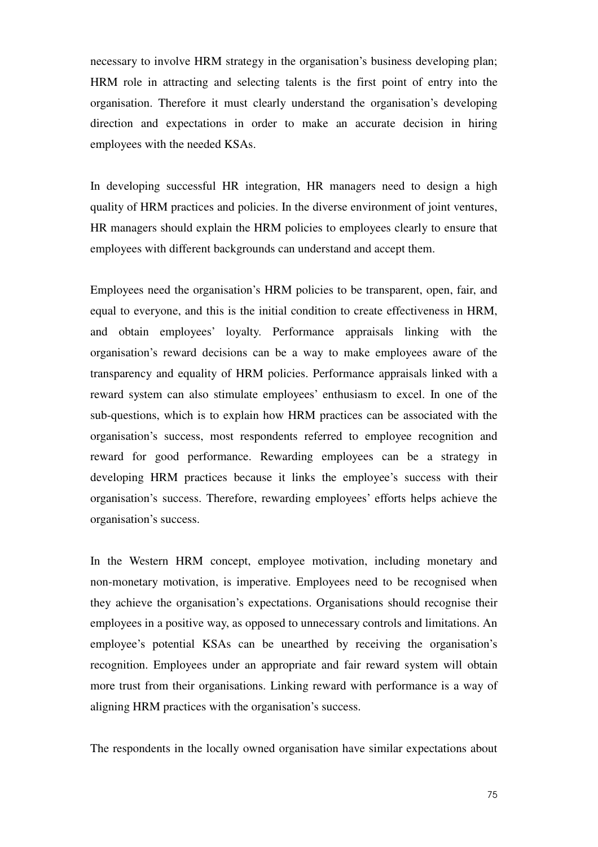necessary to involve HRM strategy in the organisation's business developing plan; HRM role in attracting and selecting talents is the first point of entry into the organisation. Therefore it must clearly understand the organisation's developing direction and expectations in order to make an accurate decision in hiring employees with the needed KSAs.

In developing successful HR integration, HR managers need to design a high quality of HRM practices and policies. In the diverse environment of joint ventures, HR managers should explain the HRM policies to employees clearly to ensure that employees with different backgrounds can understand and accept them.

Employees need the organisation's HRM policies to be transparent, open, fair, and equal to everyone, and this is the initial condition to create effectiveness in HRM, and obtain employees' loyalty. Performance appraisals linking with the organisation's reward decisions can be a way to make employees aware of the transparency and equality of HRM policies. Performance appraisals linked with a reward system can also stimulate employees' enthusiasm to excel. In one of the sub-questions, which is to explain how HRM practices can be associated with the organisation's success, most respondents referred to employee recognition and reward for good performance. Rewarding employees can be a strategy in developing HRM practices because it links the employee's success with their organisation's success. Therefore, rewarding employees' efforts helps achieve the organisation's success.

In the Western HRM concept, employee motivation, including monetary and non-monetary motivation, is imperative. Employees need to be recognised when they achieve the organisation's expectations. Organisations should recognise their employees in a positive way, as opposed to unnecessary controls and limitations. An employee's potential KSAs can be unearthed by receiving the organisation's recognition. Employees under an appropriate and fair reward system will obtain more trust from their organisations. Linking reward with performance is a way of aligning HRM practices with the organisation's success.

The respondents in the locally owned organisation have similar expectations about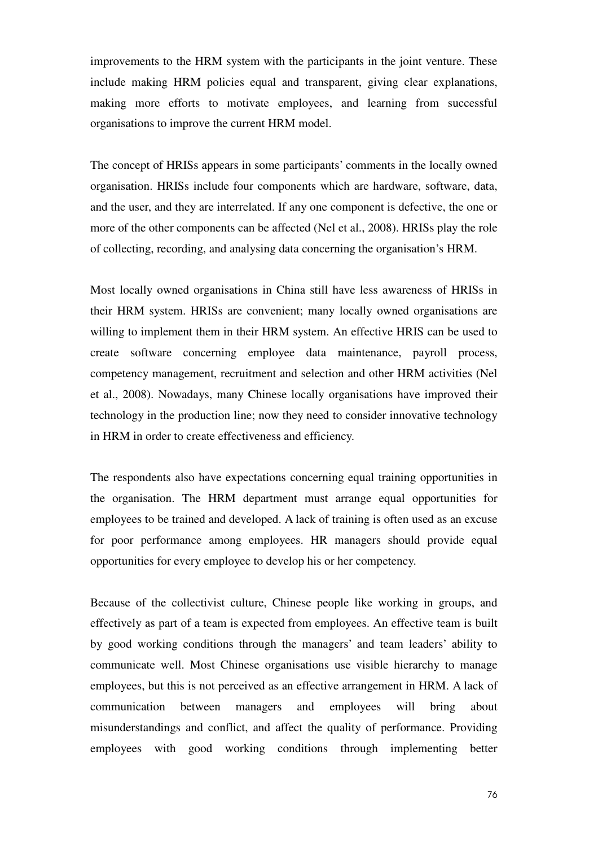improvements to the HRM system with the participants in the joint venture. These include making HRM policies equal and transparent, giving clear explanations, making more efforts to motivate employees, and learning from successful organisations to improve the current HRM model.

The concept of HRISs appears in some participants' comments in the locally owned organisation. HRISs include four components which are hardware, software, data, and the user, and they are interrelated. If any one component is defective, the one or more of the other components can be affected (Nel et al., 2008). HRISs play the role of collecting, recording, and analysing data concerning the organisation's HRM.

Most locally owned organisations in China still have less awareness of HRISs in their HRM system. HRISs are convenient; many locally owned organisations are willing to implement them in their HRM system. An effective HRIS can be used to create software concerning employee data maintenance, payroll process, competency management, recruitment and selection and other HRM activities (Nel et al., 2008). Nowadays, many Chinese locally organisations have improved their technology in the production line; now they need to consider innovative technology in HRM in order to create effectiveness and efficiency.

The respondents also have expectations concerning equal training opportunities in the organisation. The HRM department must arrange equal opportunities for employees to be trained and developed. A lack of training is often used as an excuse for poor performance among employees. HR managers should provide equal opportunities for every employee to develop his or her competency.

Because of the collectivist culture, Chinese people like working in groups, and effectively as part of a team is expected from employees. An effective team is built by good working conditions through the managers' and team leaders' ability to communicate well. Most Chinese organisations use visible hierarchy to manage employees, but this is not perceived as an effective arrangement in HRM. A lack of communication between managers and employees will bring about misunderstandings and conflict, and affect the quality of performance. Providing employees with good working conditions through implementing better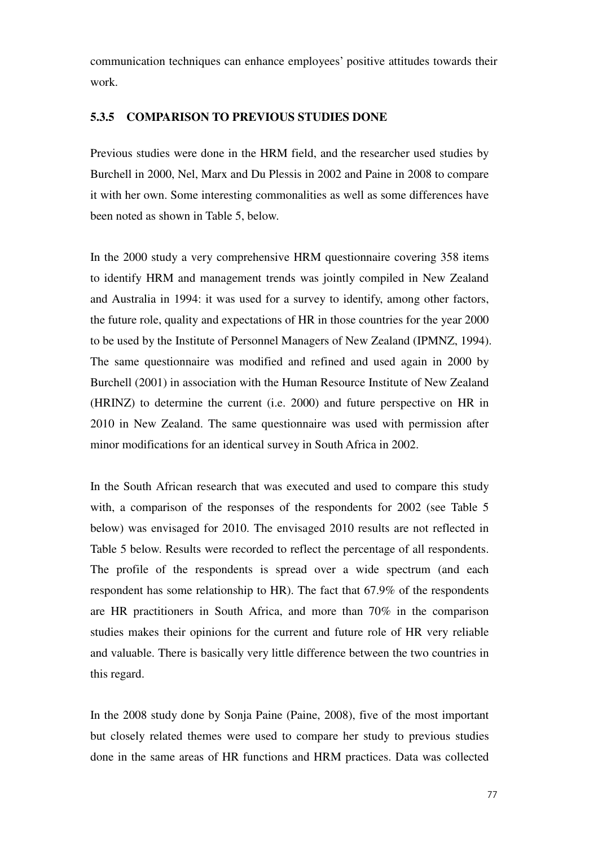communication techniques can enhance employees' positive attitudes towards their work.

#### **5.3.5 COMPARISON TO PREVIOUS STUDIES DONE**

Previous studies were done in the HRM field, and the researcher used studies by Burchell in 2000, Nel, Marx and Du Plessis in 2002 and Paine in 2008 to compare it with her own. Some interesting commonalities as well as some differences have been noted as shown in Table 5, below.

In the 2000 study a very comprehensive HRM questionnaire covering 358 items to identify HRM and management trends was jointly compiled in New Zealand and Australia in 1994: it was used for a survey to identify, among other factors, the future role, quality and expectations of HR in those countries for the year 2000 to be used by the Institute of Personnel Managers of New Zealand (IPMNZ, 1994). The same questionnaire was modified and refined and used again in 2000 by Burchell (2001) in association with the Human Resource Institute of New Zealand (HRINZ) to determine the current (i.e. 2000) and future perspective on HR in 2010 in New Zealand. The same questionnaire was used with permission after minor modifications for an identical survey in South Africa in 2002.

In the South African research that was executed and used to compare this study with, a comparison of the responses of the respondents for 2002 (see Table 5 below) was envisaged for 2010. The envisaged 2010 results are not reflected in Table 5 below. Results were recorded to reflect the percentage of all respondents. The profile of the respondents is spread over a wide spectrum (and each respondent has some relationship to HR). The fact that 67.9% of the respondents are HR practitioners in South Africa, and more than 70% in the comparison studies makes their opinions for the current and future role of HR very reliable and valuable. There is basically very little difference between the two countries in this regard.

In the 2008 study done by Sonja Paine (Paine, 2008), five of the most important but closely related themes were used to compare her study to previous studies done in the same areas of HR functions and HRM practices. Data was collected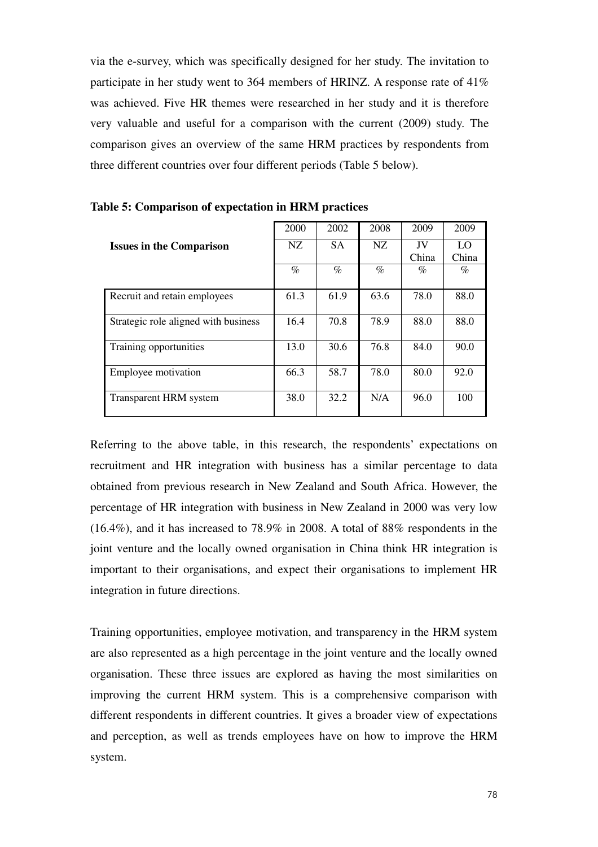via the e-survey, which was specifically designed for her study. The invitation to participate in her study went to 364 members of HRINZ. A response rate of 41% was achieved. Five HR themes were researched in her study and it is therefore very valuable and useful for a comparison with the current (2009) study. The comparison gives an overview of the same HRM practices by respondents from three different countries over four different periods (Table 5 below).

|                                      | 2000 | 2002      | 2008 | 2009  | 2009  |
|--------------------------------------|------|-----------|------|-------|-------|
| <b>Issues in the Comparison</b>      | NZ.  | <b>SA</b> | NZ.  | JV    | LO    |
|                                      |      |           |      | China | China |
|                                      | $\%$ | $\%$      | $\%$ | $\%$  | $\%$  |
| Recruit and retain employees         | 61.3 | 61.9      | 63.6 | 78.0  | 88.0  |
| Strategic role aligned with business | 16.4 | 70.8      | 78.9 | 88.0  | 88.0  |
| Training opportunities               | 13.0 | 30.6      | 76.8 | 84.0  | 90.0  |
| Employee motivation                  | 66.3 | 58.7      | 78.0 | 80.0  | 92.0  |
| Transparent HRM system               | 38.0 | 32.2      | N/A  | 96.0  | 100   |

**Table 5: Comparison of expectation in HRM practices** 

Referring to the above table, in this research, the respondents' expectations on recruitment and HR integration with business has a similar percentage to data obtained from previous research in New Zealand and South Africa. However, the percentage of HR integration with business in New Zealand in 2000 was very low (16.4%), and it has increased to 78.9% in 2008. A total of 88% respondents in the joint venture and the locally owned organisation in China think HR integration is important to their organisations, and expect their organisations to implement HR integration in future directions.

Training opportunities, employee motivation, and transparency in the HRM system are also represented as a high percentage in the joint venture and the locally owned organisation. These three issues are explored as having the most similarities on improving the current HRM system. This is a comprehensive comparison with different respondents in different countries. It gives a broader view of expectations and perception, as well as trends employees have on how to improve the HRM system.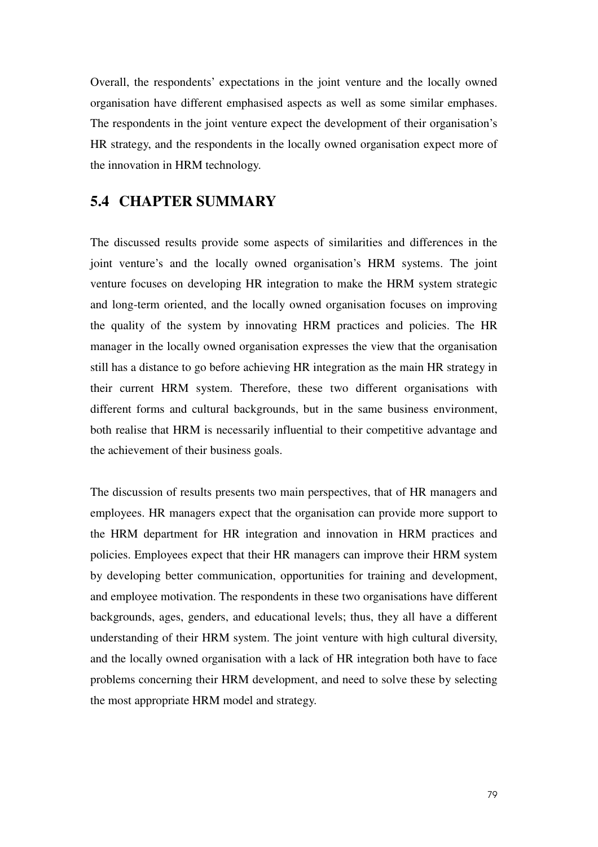Overall, the respondents' expectations in the joint venture and the locally owned organisation have different emphasised aspects as well as some similar emphases. The respondents in the joint venture expect the development of their organisation's HR strategy, and the respondents in the locally owned organisation expect more of the innovation in HRM technology.

### **5.4 CHAPTER SUMMARY**

The discussed results provide some aspects of similarities and differences in the joint venture's and the locally owned organisation's HRM systems. The joint venture focuses on developing HR integration to make the HRM system strategic and long-term oriented, and the locally owned organisation focuses on improving the quality of the system by innovating HRM practices and policies. The HR manager in the locally owned organisation expresses the view that the organisation still has a distance to go before achieving HR integration as the main HR strategy in their current HRM system. Therefore, these two different organisations with different forms and cultural backgrounds, but in the same business environment, both realise that HRM is necessarily influential to their competitive advantage and the achievement of their business goals.

The discussion of results presents two main perspectives, that of HR managers and employees. HR managers expect that the organisation can provide more support to the HRM department for HR integration and innovation in HRM practices and policies. Employees expect that their HR managers can improve their HRM system by developing better communication, opportunities for training and development, and employee motivation. The respondents in these two organisations have different backgrounds, ages, genders, and educational levels; thus, they all have a different understanding of their HRM system. The joint venture with high cultural diversity, and the locally owned organisation with a lack of HR integration both have to face problems concerning their HRM development, and need to solve these by selecting the most appropriate HRM model and strategy.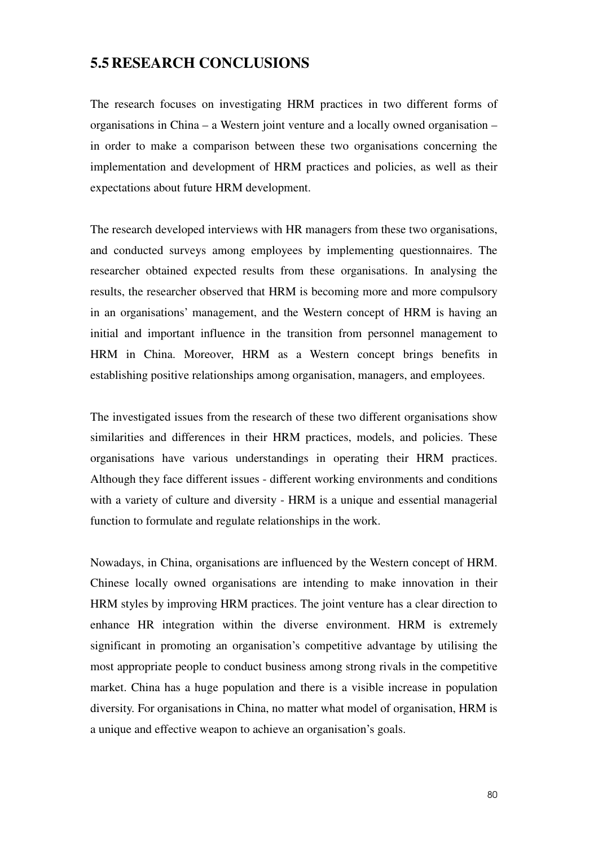## **5.5 RESEARCH CONCLUSIONS**

The research focuses on investigating HRM practices in two different forms of organisations in China – a Western joint venture and a locally owned organisation – in order to make a comparison between these two organisations concerning the implementation and development of HRM practices and policies, as well as their expectations about future HRM development.

The research developed interviews with HR managers from these two organisations, and conducted surveys among employees by implementing questionnaires. The researcher obtained expected results from these organisations. In analysing the results, the researcher observed that HRM is becoming more and more compulsory in an organisations' management, and the Western concept of HRM is having an initial and important influence in the transition from personnel management to HRM in China. Moreover, HRM as a Western concept brings benefits in establishing positive relationships among organisation, managers, and employees.

The investigated issues from the research of these two different organisations show similarities and differences in their HRM practices, models, and policies. These organisations have various understandings in operating their HRM practices. Although they face different issues - different working environments and conditions with a variety of culture and diversity - HRM is a unique and essential managerial function to formulate and regulate relationships in the work.

Nowadays, in China, organisations are influenced by the Western concept of HRM. Chinese locally owned organisations are intending to make innovation in their HRM styles by improving HRM practices. The joint venture has a clear direction to enhance HR integration within the diverse environment. HRM is extremely significant in promoting an organisation's competitive advantage by utilising the most appropriate people to conduct business among strong rivals in the competitive market. China has a huge population and there is a visible increase in population diversity. For organisations in China, no matter what model of organisation, HRM is a unique and effective weapon to achieve an organisation's goals.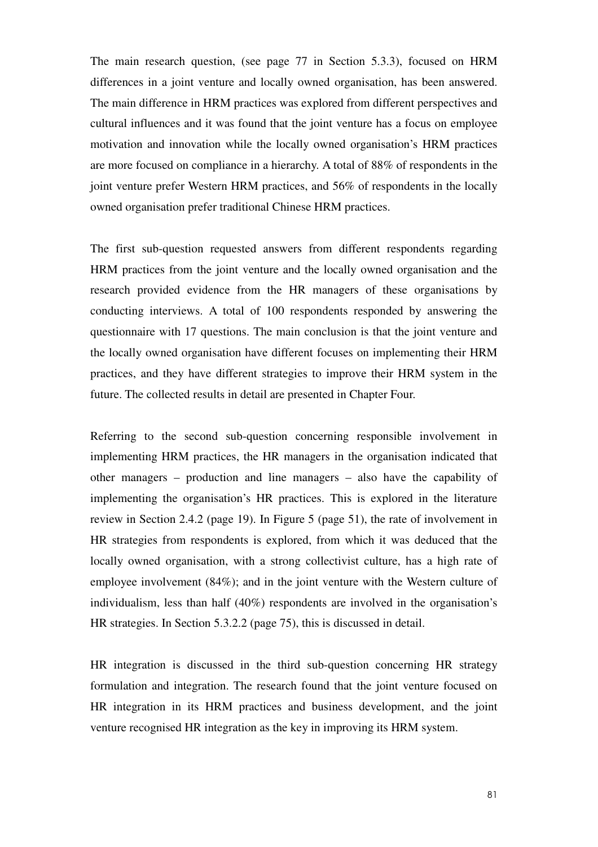The main research question, (see page 77 in Section 5.3.3), focused on HRM differences in a joint venture and locally owned organisation, has been answered. The main difference in HRM practices was explored from different perspectives and cultural influences and it was found that the joint venture has a focus on employee motivation and innovation while the locally owned organisation's HRM practices are more focused on compliance in a hierarchy. A total of 88% of respondents in the joint venture prefer Western HRM practices, and 56% of respondents in the locally owned organisation prefer traditional Chinese HRM practices.

The first sub-question requested answers from different respondents regarding HRM practices from the joint venture and the locally owned organisation and the research provided evidence from the HR managers of these organisations by conducting interviews. A total of 100 respondents responded by answering the questionnaire with 17 questions. The main conclusion is that the joint venture and the locally owned organisation have different focuses on implementing their HRM practices, and they have different strategies to improve their HRM system in the future. The collected results in detail are presented in Chapter Four.

Referring to the second sub-question concerning responsible involvement in implementing HRM practices, the HR managers in the organisation indicated that other managers – production and line managers – also have the capability of implementing the organisation's HR practices. This is explored in the literature review in Section 2.4.2 (page 19). In Figure 5 (page 51), the rate of involvement in HR strategies from respondents is explored, from which it was deduced that the locally owned organisation, with a strong collectivist culture, has a high rate of employee involvement (84%); and in the joint venture with the Western culture of individualism, less than half (40%) respondents are involved in the organisation's HR strategies. In Section 5.3.2.2 (page 75), this is discussed in detail.

HR integration is discussed in the third sub-question concerning HR strategy formulation and integration. The research found that the joint venture focused on HR integration in its HRM practices and business development, and the joint venture recognised HR integration as the key in improving its HRM system.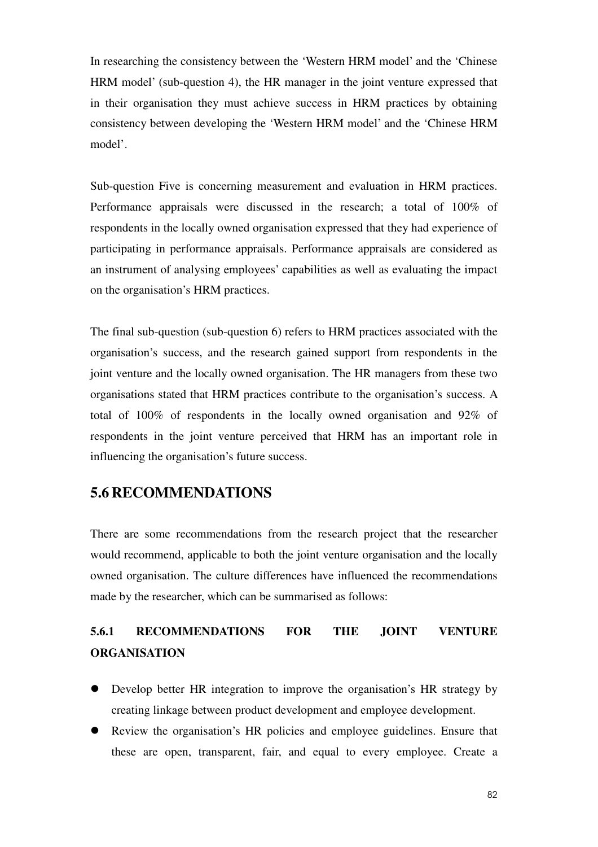In researching the consistency between the 'Western HRM model' and the 'Chinese HRM model' (sub-question 4), the HR manager in the joint venture expressed that in their organisation they must achieve success in HRM practices by obtaining consistency between developing the 'Western HRM model' and the 'Chinese HRM model'.

Sub-question Five is concerning measurement and evaluation in HRM practices. Performance appraisals were discussed in the research; a total of 100% of respondents in the locally owned organisation expressed that they had experience of participating in performance appraisals. Performance appraisals are considered as an instrument of analysing employees' capabilities as well as evaluating the impact on the organisation's HRM practices.

The final sub-question (sub-question 6) refers to HRM practices associated with the organisation's success, and the research gained support from respondents in the joint venture and the locally owned organisation. The HR managers from these two organisations stated that HRM practices contribute to the organisation's success. A total of 100% of respondents in the locally owned organisation and 92% of respondents in the joint venture perceived that HRM has an important role in influencing the organisation's future success.

## **5.6 RECOMMENDATIONS**

There are some recommendations from the research project that the researcher would recommend, applicable to both the joint venture organisation and the locally owned organisation. The culture differences have influenced the recommendations made by the researcher, which can be summarised as follows:

# **5.6.1 RECOMMENDATIONS FOR THE JOINT VENTURE ORGANISATION**

- Develop better HR integration to improve the organisation's HR strategy by creating linkage between product development and employee development.
- Review the organisation's HR policies and employee guidelines. Ensure that these are open, transparent, fair, and equal to every employee. Create a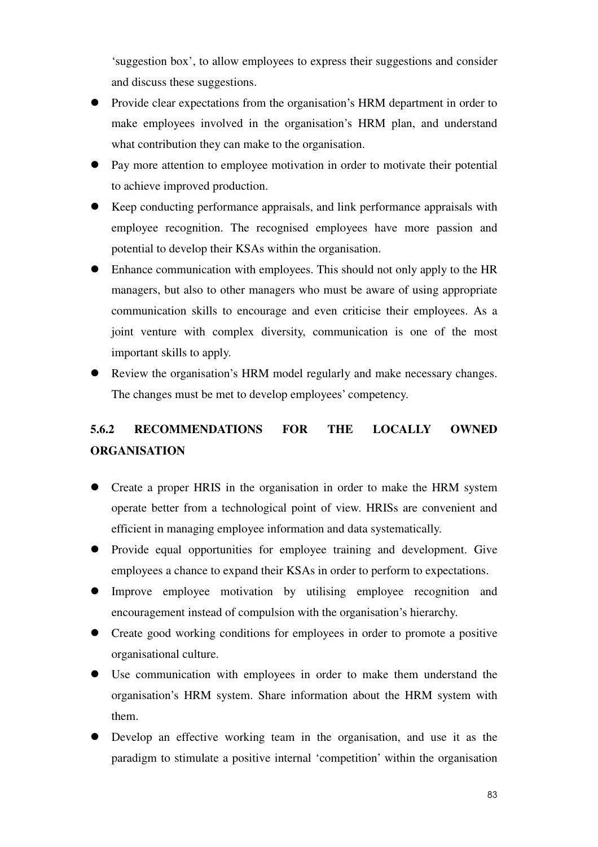'suggestion box', to allow employees to express their suggestions and consider and discuss these suggestions.

- Provide clear expectations from the organisation's HRM department in order to make employees involved in the organisation's HRM plan, and understand what contribution they can make to the organisation.
- Pay more attention to employee motivation in order to motivate their potential to achieve improved production.
- Keep conducting performance appraisals, and link performance appraisals with employee recognition. The recognised employees have more passion and potential to develop their KSAs within the organisation.
- Enhance communication with employees. This should not only apply to the HR managers, but also to other managers who must be aware of using appropriate communication skills to encourage and even criticise their employees. As a joint venture with complex diversity, communication is one of the most important skills to apply.
- Review the organisation's HRM model regularly and make necessary changes. The changes must be met to develop employees' competency.

# **5.6.2 RECOMMENDATIONS FOR THE LOCALLY OWNED ORGANISATION**

- Create a proper HRIS in the organisation in order to make the HRM system operate better from a technological point of view. HRISs are convenient and efficient in managing employee information and data systematically.
- Provide equal opportunities for employee training and development. Give employees a chance to expand their KSAs in order to perform to expectations.
- Improve employee motivation by utilising employee recognition and encouragement instead of compulsion with the organisation's hierarchy.
- Create good working conditions for employees in order to promote a positive organisational culture.
- Use communication with employees in order to make them understand the organisation's HRM system. Share information about the HRM system with them.
- Develop an effective working team in the organisation, and use it as the paradigm to stimulate a positive internal 'competition' within the organisation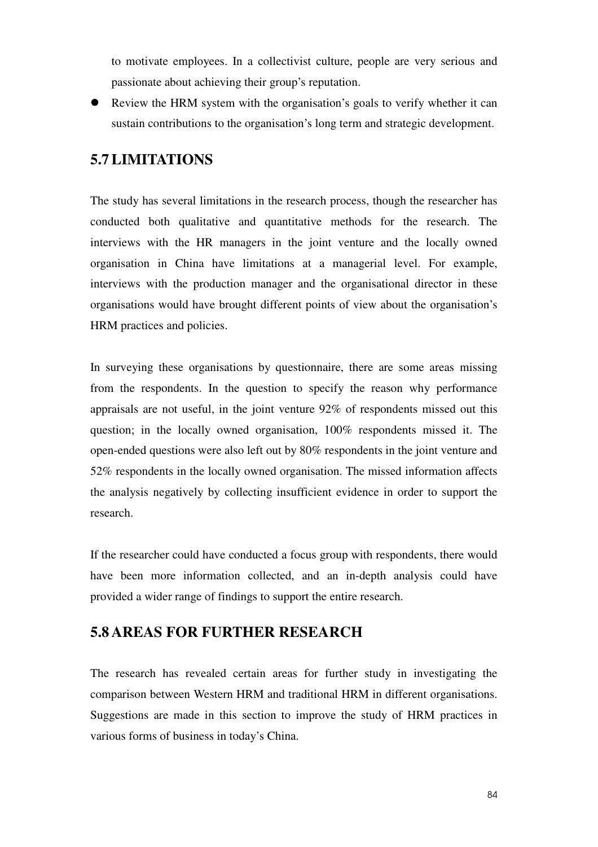to motivate employees. In a collectivist culture, people are very serious and passionate about achieving their group's reputation.

 Review the HRM system with the organisation's goals to verify whether it can sustain contributions to the organisation's long term and strategic development.

## **5.7LIMITATIONS**

The study has several limitations in the research process, though the researcher has conducted both qualitative and quantitative methods for the research. The interviews with the HR managers in the joint venture and the locally owned organisation in China have limitations at a managerial level. For example, interviews with the production manager and the organisational director in these organisations would have brought different points of view about the organisation's HRM practices and policies.

In surveying these organisations by questionnaire, there are some areas missing from the respondents. In the question to specify the reason why performance appraisals are not useful, in the joint venture 92% of respondents missed out this question; in the locally owned organisation, 100% respondents missed it. The open-ended questions were also left out by 80% respondents in the joint venture and 52% respondents in the locally owned organisation. The missed information affects the analysis negatively by collecting insufficient evidence in order to support the research.

If the researcher could have conducted a focus group with respondents, there would have been more information collected, and an in-depth analysis could have provided a wider range of findings to support the entire research.

## **5.8 AREAS FOR FURTHER RESEARCH**

The research has revealed certain areas for further study in investigating the comparison between Western HRM and traditional HRM in different organisations. Suggestions are made in this section to improve the study of HRM practices in various forms of business in today's China.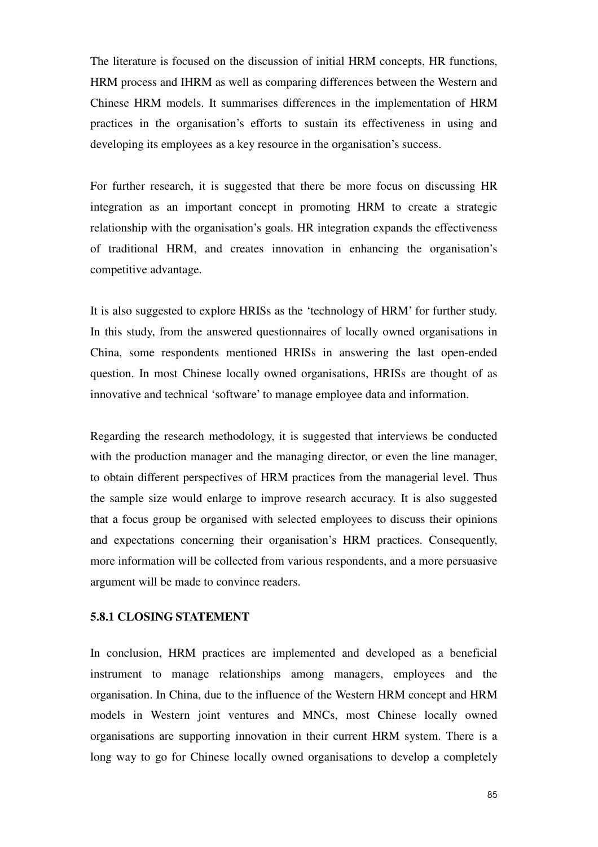The literature is focused on the discussion of initial HRM concepts, HR functions, HRM process and IHRM as well as comparing differences between the Western and Chinese HRM models. It summarises differences in the implementation of HRM practices in the organisation's efforts to sustain its effectiveness in using and developing its employees as a key resource in the organisation's success.

For further research, it is suggested that there be more focus on discussing HR integration as an important concept in promoting HRM to create a strategic relationship with the organisation's goals. HR integration expands the effectiveness of traditional HRM, and creates innovation in enhancing the organisation's competitive advantage.

It is also suggested to explore HRISs as the 'technology of HRM' for further study. In this study, from the answered questionnaires of locally owned organisations in China, some respondents mentioned HRISs in answering the last open-ended question. In most Chinese locally owned organisations, HRISs are thought of as innovative and technical 'software' to manage employee data and information.

Regarding the research methodology, it is suggested that interviews be conducted with the production manager and the managing director, or even the line manager, to obtain different perspectives of HRM practices from the managerial level. Thus the sample size would enlarge to improve research accuracy. It is also suggested that a focus group be organised with selected employees to discuss their opinions and expectations concerning their organisation's HRM practices. Consequently, more information will be collected from various respondents, and a more persuasive argument will be made to convince readers.

#### **5.8.1 CLOSING STATEMENT**

In conclusion, HRM practices are implemented and developed as a beneficial instrument to manage relationships among managers, employees and the organisation. In China, due to the influence of the Western HRM concept and HRM models in Western joint ventures and MNCs, most Chinese locally owned organisations are supporting innovation in their current HRM system. There is a long way to go for Chinese locally owned organisations to develop a completely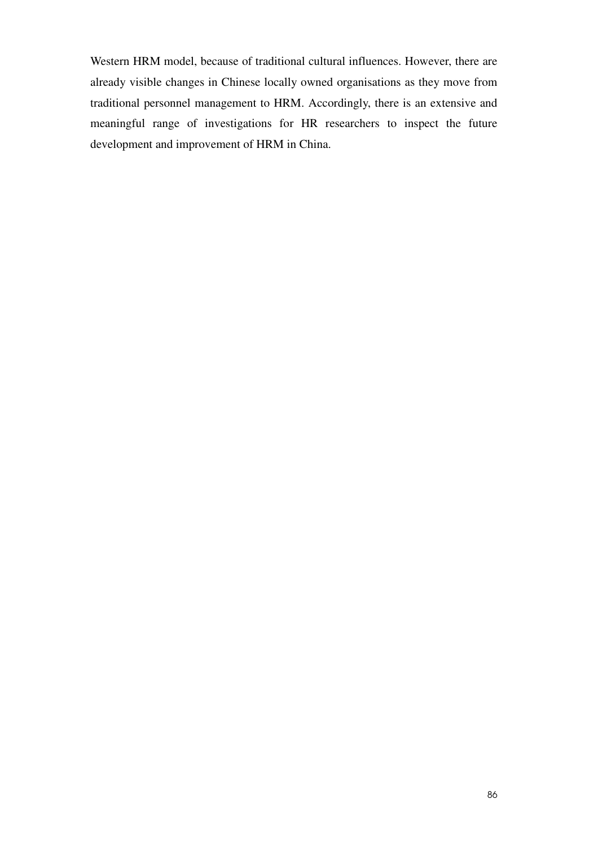Western HRM model, because of traditional cultural influences. However, there are already visible changes in Chinese locally owned organisations as they move from traditional personnel management to HRM. Accordingly, there is an extensive and meaningful range of investigations for HR researchers to inspect the future development and improvement of HRM in China.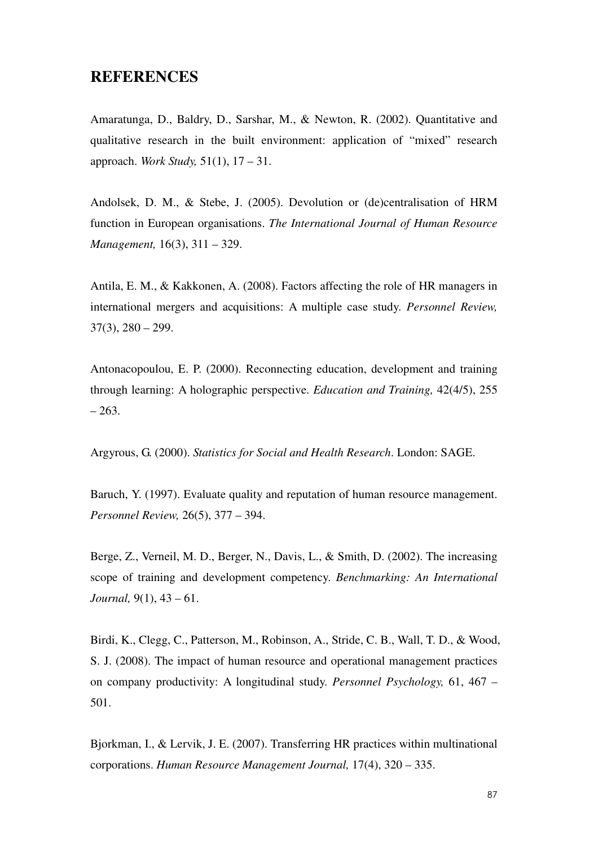## **REFERENCES**

Amaratunga, D., Baldry, D., Sarshar, M., & Newton, R. (2002). Quantitative and qualitative research in the built environment: application of "mixed" research approach. *Work Study,* 51(1), 17 – 31.

Andolsek, D. M., & Stebe, J. (2005). Devolution or (de)centralisation of HRM function in European organisations. *The International Journal of Human Resource Management,* 16(3), 311 – 329.

Antila, E. M., & Kakkonen, A. (2008). Factors affecting the role of HR managers in international mergers and acquisitions: A multiple case study. *Personnel Review,*   $37(3)$ ,  $280 - 299$ .

Antonacopoulou, E. P. (2000). Reconnecting education, development and training through learning: A holographic perspective. *Education and Training,* 42(4/5), 255 – 263.

Argyrous, G. (2000). *Statistics for Social and Health Research*. London: SAGE.

Baruch, Y. (1997). Evaluate quality and reputation of human resource management. *Personnel Review,* 26(5), 377 – 394.

Berge, Z., Verneil, M. D., Berger, N., Davis, L., & Smith, D. (2002). The increasing scope of training and development competency. *Benchmarking: An International Journal,* 9(1), 43 – 61.

Birdi, K., Clegg, C., Patterson, M., Robinson, A., Stride, C. B., Wall, T. D., & Wood, S. J. (2008). The impact of human resource and operational management practices on company productivity: A longitudinal study. *Personnel Psychology,* 61, 467 – 501.

Bjorkman, I., & Lervik, J. E. (2007). Transferring HR practices within multinational corporations. *Human Resource Management Journal,* 17(4), 320 – 335.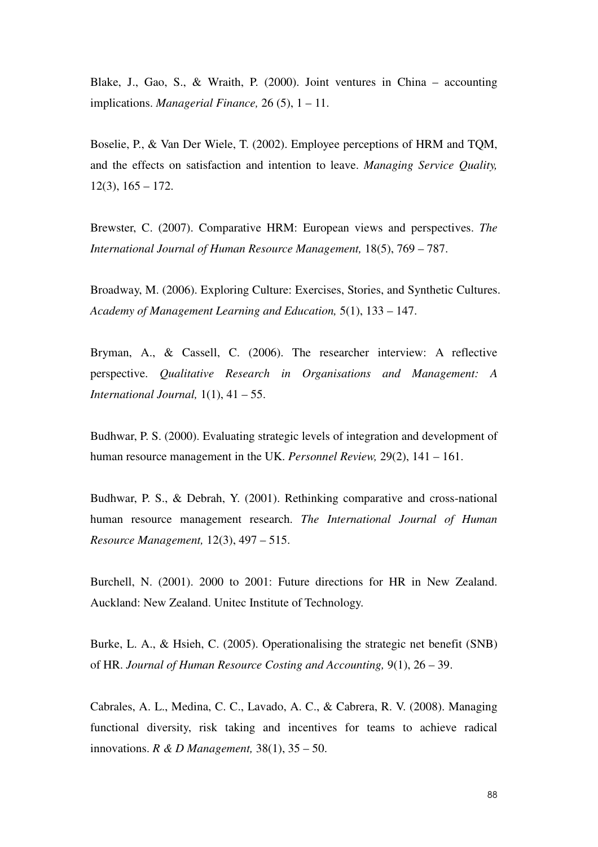Blake, J., Gao, S., & Wraith, P. (2000). Joint ventures in China – accounting implications. *Managerial Finance,* 26 (5), 1 – 11.

Boselie, P., & Van Der Wiele, T. (2002). Employee perceptions of HRM and TQM, and the effects on satisfaction and intention to leave. *Managing Service Quality,*   $12(3)$ ,  $165 - 172$ .

Brewster, C. (2007). Comparative HRM: European views and perspectives. *The International Journal of Human Resource Management,* 18(5), 769 – 787.

Broadway, M. (2006). Exploring Culture: Exercises, Stories, and Synthetic Cultures. *Academy of Management Learning and Education,* 5(1), 133 – 147.

Bryman, A., & Cassell, C. (2006). The researcher interview: A reflective perspective. *Qualitative Research in Organisations and Management: A International Journal,* 1(1), 41 – 55.

Budhwar, P. S. (2000). Evaluating strategic levels of integration and development of human resource management in the UK. *Personnel Review,* 29(2), 141 – 161.

Budhwar, P. S., & Debrah, Y. (2001). Rethinking comparative and cross-national human resource management research. *The International Journal of Human Resource Management,* 12(3), 497 – 515.

Burchell, N. (2001). 2000 to 2001: Future directions for HR in New Zealand. Auckland: New Zealand. Unitec Institute of Technology.

Burke, L. A., & Hsieh, C. (2005). Operationalising the strategic net benefit (SNB) of HR. *Journal of Human Resource Costing and Accounting,* 9(1), 26 – 39.

Cabrales, A. L., Medina, C. C., Lavado, A. C., & Cabrera, R. V. (2008). Managing functional diversity, risk taking and incentives for teams to achieve radical innovations. *R & D Management,* 38(1), 35 – 50.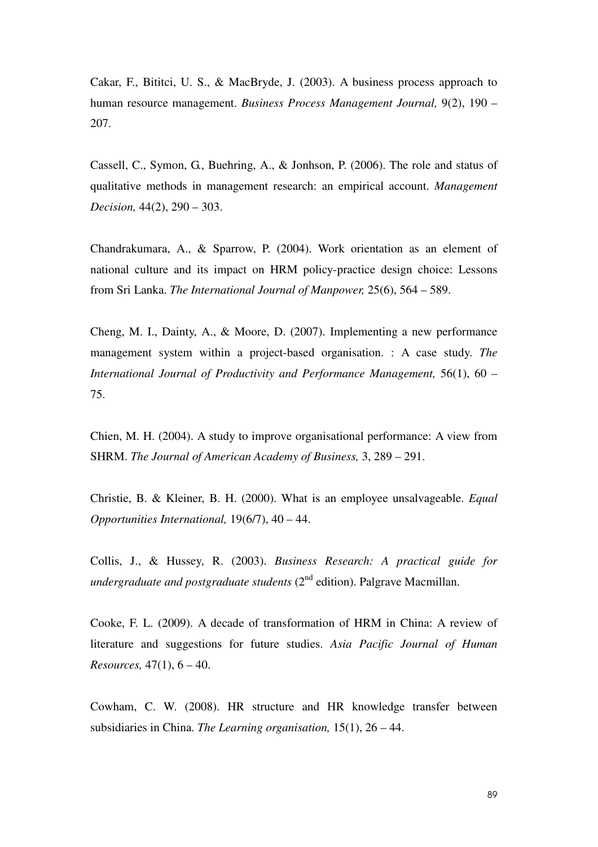Cakar, F., Bititci, U. S., & MacBryde, J. (2003). A business process approach to human resource management. *Business Process Management Journal,* 9(2), 190 – 207.

Cassell, C., Symon, G., Buehring, A., & Jonhson, P. (2006). The role and status of qualitative methods in management research: an empirical account. *Management Decision,* 44(2), 290 – 303.

Chandrakumara, A., & Sparrow, P. (2004). Work orientation as an element of national culture and its impact on HRM policy-practice design choice: Lessons from Sri Lanka. *The International Journal of Manpower,* 25(6), 564 – 589.

Cheng, M. I., Dainty, A., & Moore, D. (2007). Implementing a new performance management system within a project-based organisation. : A case study. *The International Journal of Productivity and Performance Management,* 56(1), 60 – 75.

Chien, M. H. (2004). A study to improve organisational performance: A view from SHRM. *The Journal of American Academy of Business,* 3, 289 – 291.

Christie, B. & Kleiner, B. H. (2000). What is an employee unsalvageable. *Equal Opportunities International,* 19(6/7), 40 – 44.

Collis, J., & Hussey, R. (2003). *Business Research: A practical guide for undergraduate and postgraduate students* (2<sup>nd</sup> edition). Palgrave Macmillan.

Cooke, F. L. (2009). A decade of transformation of HRM in China: A review of literature and suggestions for future studies. *Asia Pacific Journal of Human Resources,* 47(1), 6 – 40.

Cowham, C. W. (2008). HR structure and HR knowledge transfer between subsidiaries in China. *The Learning organisation,* 15(1), 26 – 44.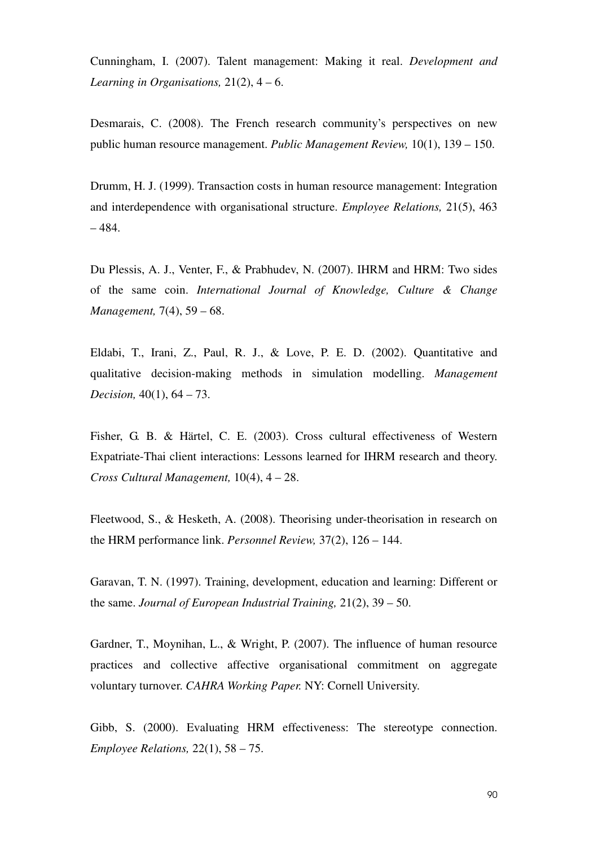Cunningham, I. (2007). Talent management: Making it real. *Development and Learning in Organisations,* 21(2), 4 – 6.

Desmarais, C. (2008). The French research community's perspectives on new public human resource management. *Public Management Review,* 10(1), 139 – 150.

Drumm, H. J. (1999). Transaction costs in human resource management: Integration and interdependence with organisational structure. *Employee Relations,* 21(5), 463 – 484.

Du Plessis, A. J., Venter, F., & Prabhudev, N. (2007). IHRM and HRM: Two sides of the same coin. *International Journal of Knowledge, Culture & Change Management,* 7(4), 59 – 68.

Eldabi, T., Irani, Z., Paul, R. J., & Love, P. E. D. (2002). Quantitative and qualitative decision-making methods in simulation modelling. *Management Decision,* 40(1), 64 – 73.

Fisher, G. B. & Härtel, C. E. (2003). Cross cultural effectiveness of Western Expatriate-Thai client interactions: Lessons learned for IHRM research and theory. *Cross Cultural Management,* 10(4), 4 – 28.

Fleetwood, S., & Hesketh, A. (2008). Theorising under-theorisation in research on the HRM performance link. *Personnel Review,* 37(2), 126 – 144.

Garavan, T. N. (1997). Training, development, education and learning: Different or the same. *Journal of European Industrial Training,* 21(2), 39 – 50.

Gardner, T., Moynihan, L., & Wright, P. (2007). The influence of human resource practices and collective affective organisational commitment on aggregate voluntary turnover. *CAHRA Working Paper.* NY: Cornell University.

Gibb, S. (2000). Evaluating HRM effectiveness: The stereotype connection. *Employee Relations,* 22(1), 58 – 75.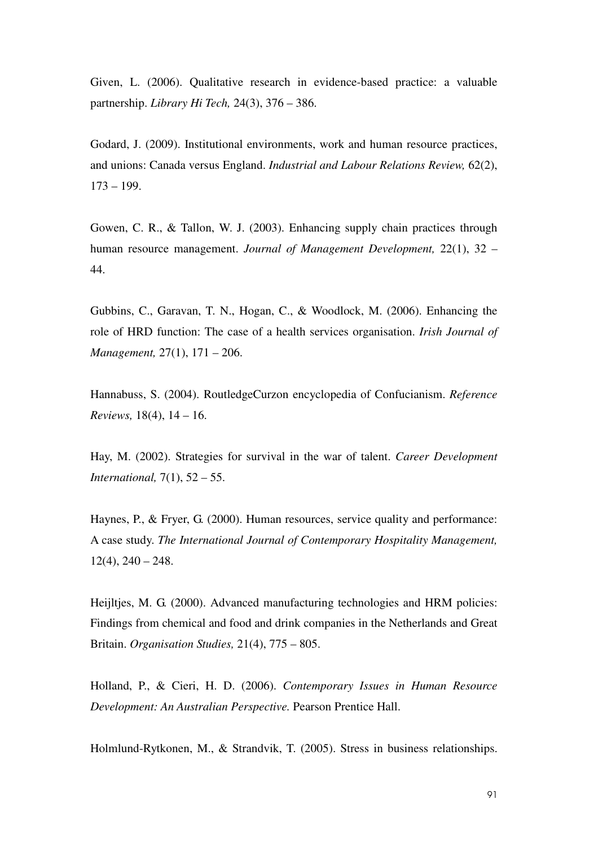Given, L. (2006). Qualitative research in evidence-based practice: a valuable partnership. *Library Hi Tech,* 24(3), 376 – 386.

Godard, J. (2009). Institutional environments, work and human resource practices, and unions: Canada versus England. *Industrial and Labour Relations Review,* 62(2),  $173 - 199.$ 

Gowen, C. R., & Tallon, W. J. (2003). Enhancing supply chain practices through human resource management. *Journal of Management Development,* 22(1), 32 – 44.

Gubbins, C., Garavan, T. N., Hogan, C., & Woodlock, M. (2006). Enhancing the role of HRD function: The case of a health services organisation. *Irish Journal of Management,* 27(1), 171 – 206.

Hannabuss, S. (2004). RoutledgeCurzon encyclopedia of Confucianism. *Reference Reviews,* 18(4), 14 – 16.

Hay, M. (2002). Strategies for survival in the war of talent. *Career Development International,* 7(1), 52 – 55.

Haynes, P., & Fryer, G. (2000). Human resources, service quality and performance: A case study. *The International Journal of Contemporary Hospitality Management,*   $12(4)$ ,  $240 - 248$ .

Heijltjes, M. G. (2000). Advanced manufacturing technologies and HRM policies: Findings from chemical and food and drink companies in the Netherlands and Great Britain. *Organisation Studies,* 21(4), 775 – 805.

Holland, P., & Cieri, H. D. (2006). *Contemporary Issues in Human Resource Development: An Australian Perspective.* Pearson Prentice Hall.

Holmlund-Rytkonen, M., & Strandvik, T. (2005). Stress in business relationships.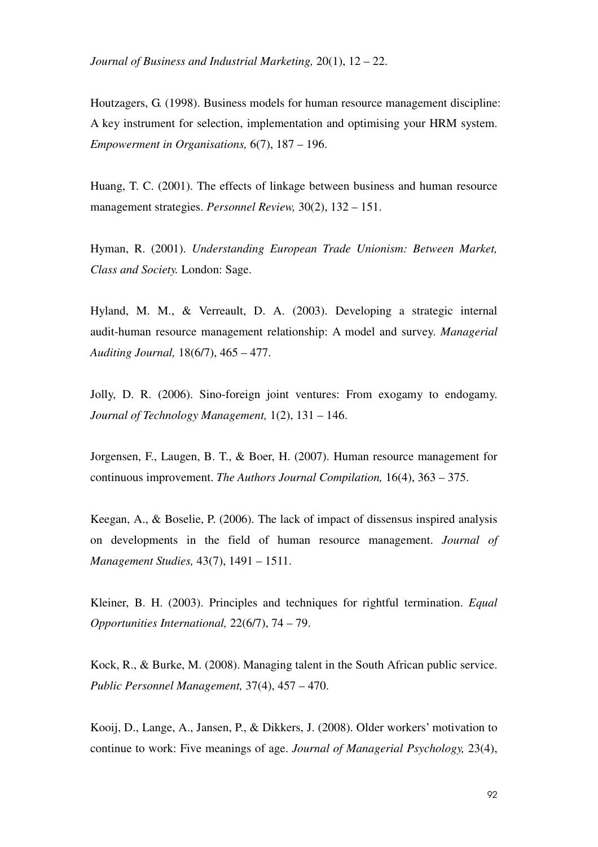*Journal of Business and Industrial Marketing,* 20(1), 12 – 22.

Houtzagers, G. (1998). Business models for human resource management discipline: A key instrument for selection, implementation and optimising your HRM system. *Empowerment in Organisations,* 6(7), 187 – 196.

Huang, T. C. (2001). The effects of linkage between business and human resource management strategies. *Personnel Review,* 30(2), 132 – 151.

Hyman, R. (2001). *Understanding European Trade Unionism: Between Market, Class and Society.* London: Sage.

Hyland, M. M., & Verreault, D. A. (2003). Developing a strategic internal audit-human resource management relationship: A model and survey. *Managerial Auditing Journal,* 18(6/7), 465 – 477.

Jolly, D. R. (2006). Sino-foreign joint ventures: From exogamy to endogamy. *Journal of Technology Management,* 1(2), 131 – 146.

Jorgensen, F., Laugen, B. T., & Boer, H. (2007). Human resource management for continuous improvement. *The Authors Journal Compilation,* 16(4), 363 – 375.

Keegan, A., & Boselie, P. (2006). The lack of impact of dissensus inspired analysis on developments in the field of human resource management. *Journal of Management Studies,* 43(7), 1491 – 1511.

Kleiner, B. H. (2003). Principles and techniques for rightful termination. *Equal Opportunities International,* 22(6/7), 74 – 79.

Kock, R., & Burke, M. (2008). Managing talent in the South African public service. *Public Personnel Management,* 37(4), 457 – 470.

Kooij, D., Lange, A., Jansen, P., & Dikkers, J. (2008). Older workers' motivation to continue to work: Five meanings of age. *Journal of Managerial Psychology,* 23(4),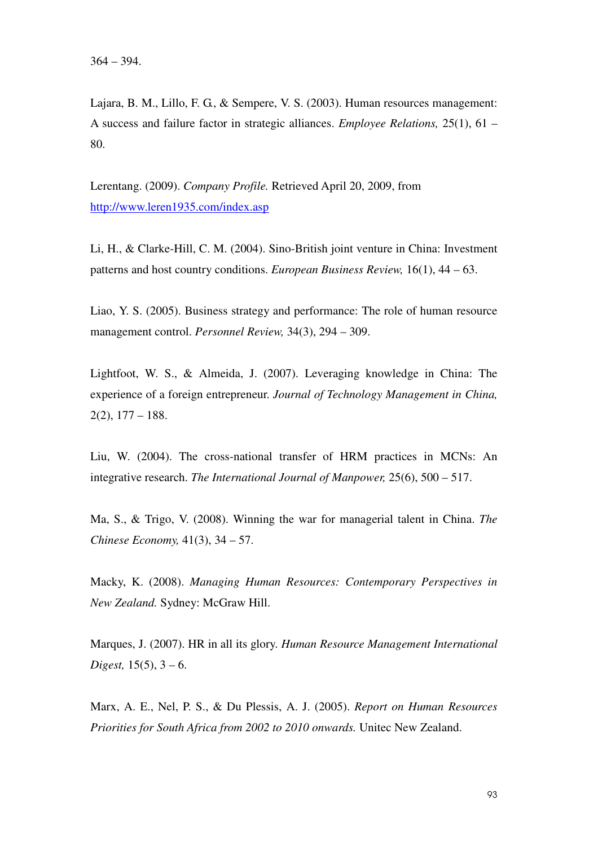Lajara, B. M., Lillo, F. G., & Sempere, V. S. (2003). Human resources management: A success and failure factor in strategic alliances. *Employee Relations,* 25(1), 61 – 80.

Lerentang. (2009). *Company Profile.* Retrieved April 20, 2009, from http://www.leren1935.com/index.asp

Li, H., & Clarke-Hill, C. M. (2004). Sino-British joint venture in China: Investment patterns and host country conditions. *European Business Review,* 16(1), 44 – 63.

Liao, Y. S. (2005). Business strategy and performance: The role of human resource management control. *Personnel Review,* 34(3), 294 – 309.

Lightfoot, W. S., & Almeida, J. (2007). Leveraging knowledge in China: The experience of a foreign entrepreneur. *Journal of Technology Management in China,*  2(2), 177 – 188.

Liu, W. (2004). The cross-national transfer of HRM practices in MCNs: An integrative research. *The International Journal of Manpower,* 25(6), 500 – 517.

Ma, S., & Trigo, V. (2008). Winning the war for managerial talent in China. *The Chinese Economy,* 41(3), 34 – 57.

Macky, K. (2008). *Managing Human Resources: Contemporary Perspectives in New Zealand.* Sydney: McGraw Hill.

Marques, J. (2007). HR in all its glory. *Human Resource Management International Digest,* 15(5), 3 – 6.

Marx, A. E., Nel, P. S., & Du Plessis, A. J. (2005). *Report on Human Resources Priorities for South Africa from 2002 to 2010 onwards.* Unitec New Zealand.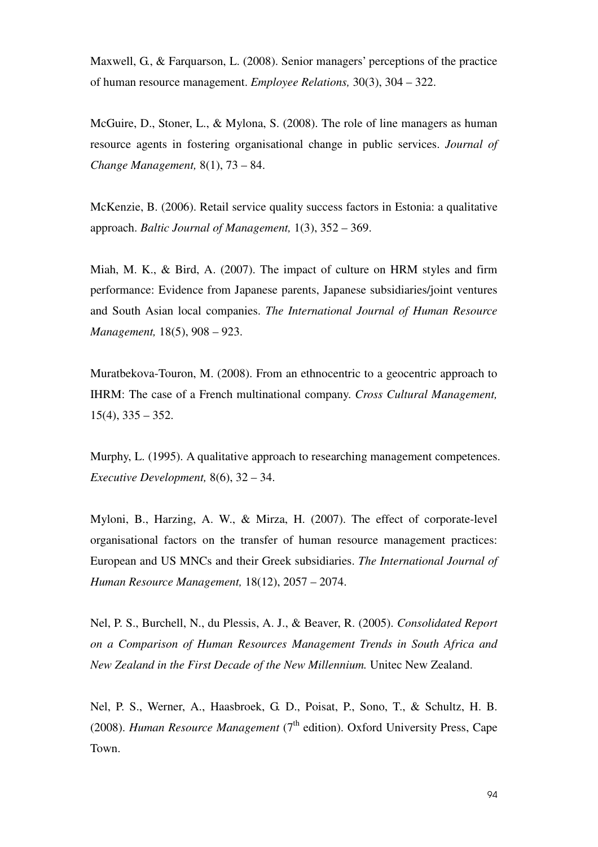Maxwell, G., & Farquarson, L. (2008). Senior managers' perceptions of the practice of human resource management. *Employee Relations,* 30(3), 304 – 322.

McGuire, D., Stoner, L., & Mylona, S. (2008). The role of line managers as human resource agents in fostering organisational change in public services. *Journal of Change Management,* 8(1), 73 – 84.

McKenzie, B. (2006). Retail service quality success factors in Estonia: a qualitative approach. *Baltic Journal of Management,* 1(3), 352 – 369.

Miah, M. K., & Bird, A. (2007). The impact of culture on HRM styles and firm performance: Evidence from Japanese parents, Japanese subsidiaries/joint ventures and South Asian local companies. *The International Journal of Human Resource Management,* 18(5), 908 – 923.

Muratbekova-Touron, M. (2008). From an ethnocentric to a geocentric approach to IHRM: The case of a French multinational company. *Cross Cultural Management,*   $15(4)$ ,  $335 - 352$ .

Murphy, L. (1995). A qualitative approach to researching management competences. *Executive Development,* 8(6), 32 – 34.

Myloni, B., Harzing, A. W., & Mirza, H. (2007). The effect of corporate-level organisational factors on the transfer of human resource management practices: European and US MNCs and their Greek subsidiaries. *The International Journal of Human Resource Management,* 18(12), 2057 – 2074.

Nel, P. S., Burchell, N., du Plessis, A. J., & Beaver, R. (2005). *Consolidated Report on a Comparison of Human Resources Management Trends in South Africa and New Zealand in the First Decade of the New Millennium.* Unitec New Zealand.

Nel, P. S., Werner, A., Haasbroek, G. D., Poisat, P., Sono, T., & Schultz, H. B. (2008). *Human Resource Management* ( $7<sup>th</sup>$  edition). Oxford University Press, Cape Town.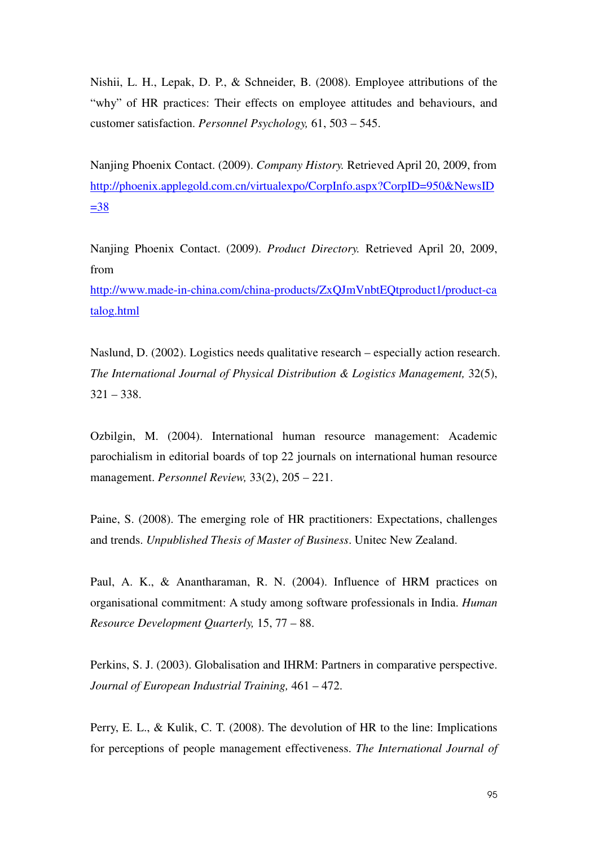Nishii, L. H., Lepak, D. P., & Schneider, B. (2008). Employee attributions of the "why" of HR practices: Their effects on employee attitudes and behaviours, and customer satisfaction. *Personnel Psychology,* 61, 503 – 545.

Nanjing Phoenix Contact. (2009). *Company History.* Retrieved April 20, 2009, from http://phoenix.applegold.com.cn/virtualexpo/CorpInfo.aspx?CorpID=950&NewsID  $=38$ 

Nanjing Phoenix Contact. (2009). *Product Directory.* Retrieved April 20, 2009, from

http://www.made-in-china.com/china-products/ZxQJmVnbtEQtproduct1/product-ca talog.html

Naslund, D. (2002). Logistics needs qualitative research – especially action research. *The International Journal of Physical Distribution & Logistics Management, 32(5),*  $321 - 338.$ 

Ozbilgin, M. (2004). International human resource management: Academic parochialism in editorial boards of top 22 journals on international human resource management. *Personnel Review,* 33(2), 205 – 221.

Paine, S. (2008). The emerging role of HR practitioners: Expectations, challenges and trends. *Unpublished Thesis of Master of Business*. Unitec New Zealand.

Paul, A. K., & Anantharaman, R. N. (2004). Influence of HRM practices on organisational commitment: A study among software professionals in India. *Human Resource Development Quarterly,* 15, 77 – 88.

Perkins, S. J. (2003). Globalisation and IHRM: Partners in comparative perspective. *Journal of European Industrial Training,* 461 – 472.

Perry, E. L., & Kulik, C. T. (2008). The devolution of HR to the line: Implications for perceptions of people management effectiveness. *The International Journal of*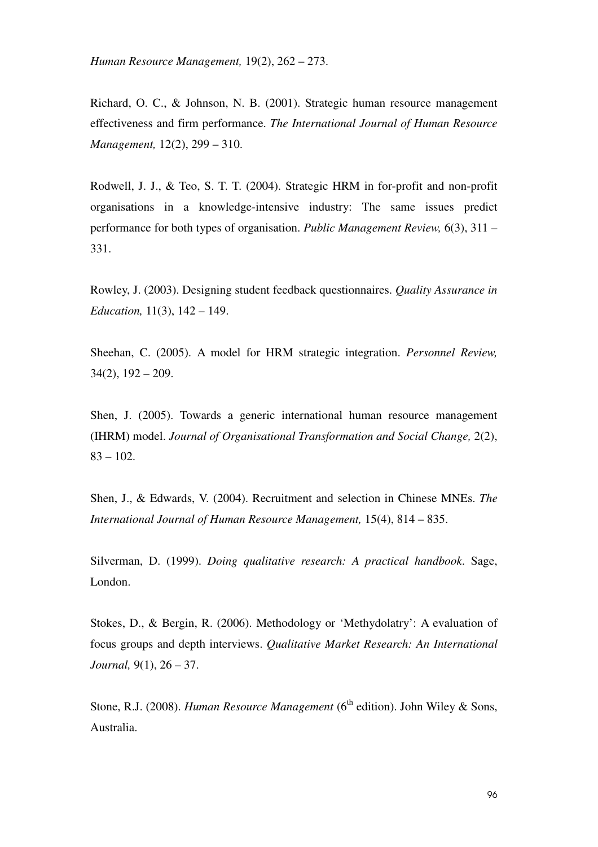*Human Resource Management,* 19(2), 262 – 273.

Richard, O. C., & Johnson, N. B. (2001). Strategic human resource management effectiveness and firm performance. *The International Journal of Human Resource Management,* 12(2), 299 – 310.

Rodwell, J. J., & Teo, S. T. T. (2004). Strategic HRM in for-profit and non-profit organisations in a knowledge-intensive industry: The same issues predict performance for both types of organisation. *Public Management Review,* 6(3), 311 – 331.

Rowley, J. (2003). Designing student feedback questionnaires. *Quality Assurance in Education,* 11(3), 142 – 149.

Sheehan, C. (2005). A model for HRM strategic integration. *Personnel Review,*   $34(2)$ ,  $192 - 209$ .

Shen, J. (2005). Towards a generic international human resource management (IHRM) model. *Journal of Organisational Transformation and Social Change,* 2(2),  $83 - 102$ .

Shen, J., & Edwards, V. (2004). Recruitment and selection in Chinese MNEs. *The International Journal of Human Resource Management,* 15(4), 814 – 835.

Silverman, D. (1999). *Doing qualitative research: A practical handbook*. Sage, London.

Stokes, D., & Bergin, R. (2006). Methodology or 'Methydolatry': A evaluation of focus groups and depth interviews. *Qualitative Market Research: An International Journal,* 9(1), 26 – 37.

Stone, R.J. (2008). *Human Resource Management* (6<sup>th</sup> edition). John Wiley & Sons, Australia.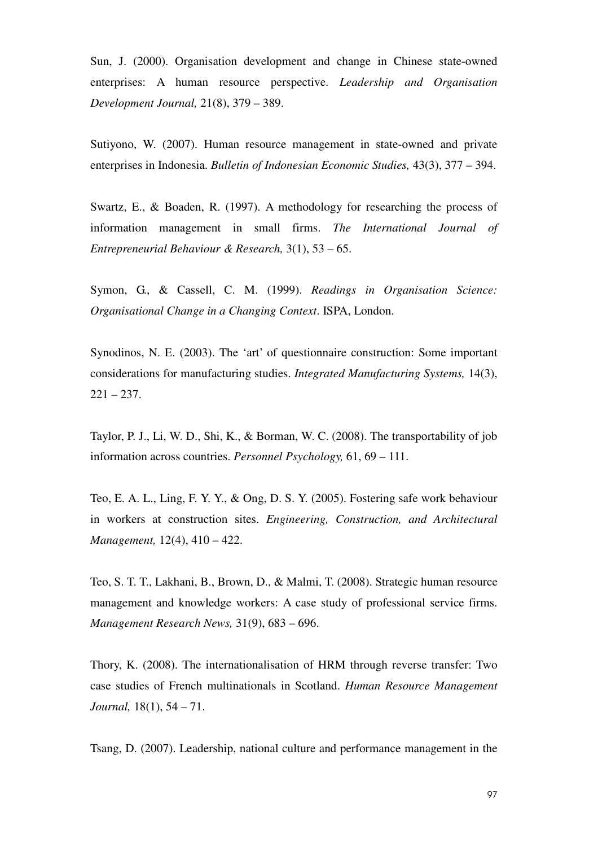Sun, J. (2000). Organisation development and change in Chinese state-owned enterprises: A human resource perspective. *Leadership and Organisation Development Journal,* 21(8), 379 – 389.

Sutiyono, W. (2007). Human resource management in state-owned and private enterprises in Indonesia. *Bulletin of Indonesian Economic Studies,* 43(3), 377 – 394.

Swartz, E., & Boaden, R. (1997). A methodology for researching the process of information management in small firms. *The International Journal of Entrepreneurial Behaviour & Research,* 3(1), 53 – 65.

Symon, G., & Cassell, C. M. (1999). *Readings in Organisation Science: Organisational Change in a Changing Context*. ISPA, London.

Synodinos, N. E. (2003). The 'art' of questionnaire construction: Some important considerations for manufacturing studies. *Integrated Manufacturing Systems,* 14(3),  $221 - 237.$ 

Taylor, P. J., Li, W. D., Shi, K., & Borman, W. C. (2008). The transportability of job information across countries. *Personnel Psychology,* 61, 69 – 111.

Teo, E. A. L., Ling, F. Y. Y., & Ong, D. S. Y. (2005). Fostering safe work behaviour in workers at construction sites. *Engineering, Construction, and Architectural Management,* 12(4), 410 – 422.

Teo, S. T. T., Lakhani, B., Brown, D., & Malmi, T. (2008). Strategic human resource management and knowledge workers: A case study of professional service firms. *Management Research News,* 31(9), 683 – 696.

Thory, K. (2008). The internationalisation of HRM through reverse transfer: Two case studies of French multinationals in Scotland. *Human Resource Management Journal,* 18(1), 54 – 71.

Tsang, D. (2007). Leadership, national culture and performance management in the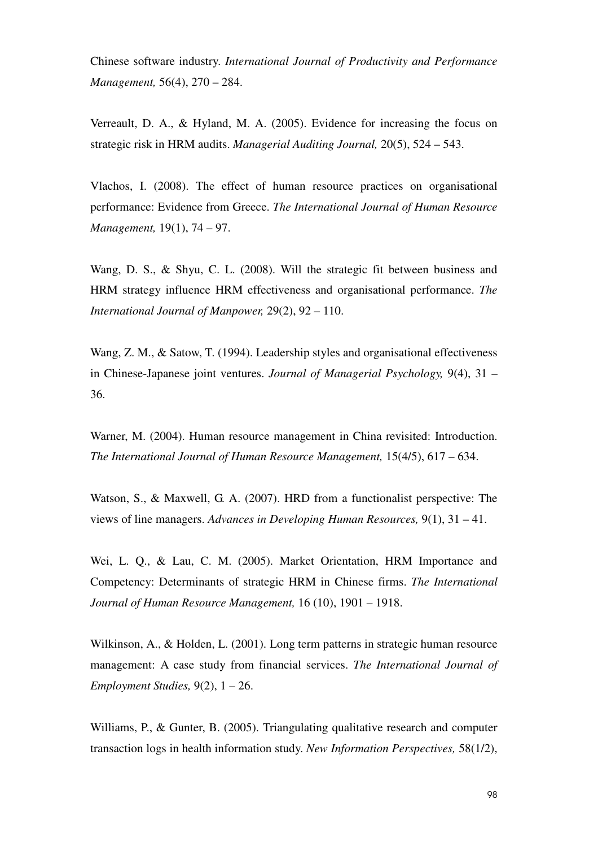Chinese software industry. *International Journal of Productivity and Performance Management,* 56(4), 270 – 284.

Verreault, D. A., & Hyland, M. A. (2005). Evidence for increasing the focus on strategic risk in HRM audits. *Managerial Auditing Journal,* 20(5), 524 – 543.

Vlachos, I. (2008). The effect of human resource practices on organisational performance: Evidence from Greece. *The International Journal of Human Resource Management,* 19(1), 74 – 97.

Wang, D. S., & Shyu, C. L. (2008). Will the strategic fit between business and HRM strategy influence HRM effectiveness and organisational performance. *The International Journal of Manpower,* 29(2), 92 – 110.

Wang, Z. M., & Satow, T. (1994). Leadership styles and organisational effectiveness in Chinese-Japanese joint ventures. *Journal of Managerial Psychology,* 9(4), 31 – 36.

Warner, M. (2004). Human resource management in China revisited: Introduction. *The International Journal of Human Resource Management,* 15(4/5), 617 – 634.

Watson, S., & Maxwell, G. A. (2007). HRD from a functionalist perspective: The views of line managers. *Advances in Developing Human Resources,* 9(1), 31 – 41.

Wei, L. Q., & Lau, C. M. (2005). Market Orientation, HRM Importance and Competency: Determinants of strategic HRM in Chinese firms. *The International Journal of Human Resource Management,* 16 (10), 1901 – 1918.

Wilkinson, A., & Holden, L. (2001). Long term patterns in strategic human resource management: A case study from financial services. *The International Journal of Employment Studies,* 9(2), 1 – 26.

Williams, P., & Gunter, B. (2005). Triangulating qualitative research and computer transaction logs in health information study. *New Information Perspectives,* 58(1/2),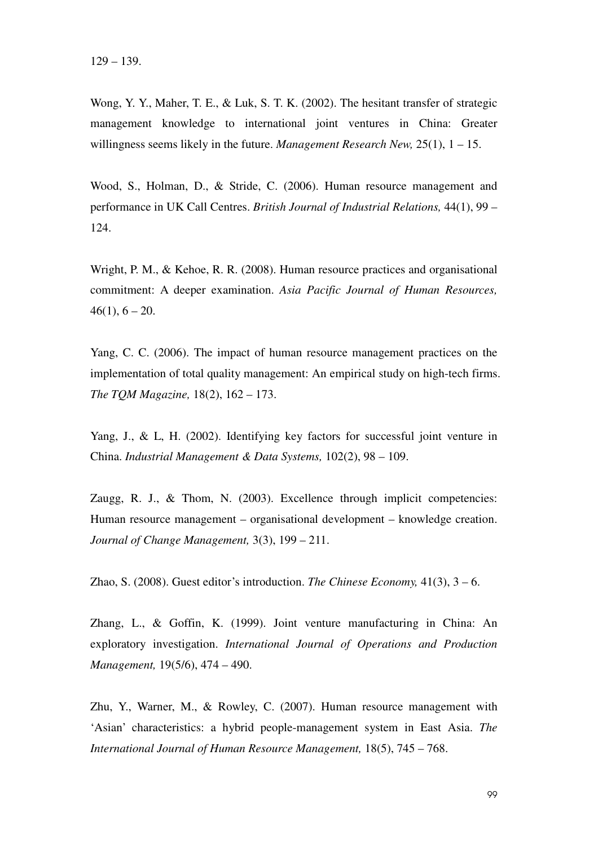Wong, Y. Y., Maher, T. E., & Luk, S. T. K. (2002). The hesitant transfer of strategic management knowledge to international joint ventures in China: Greater willingness seems likely in the future. *Management Research New,* 25(1), 1 – 15.

Wood, S., Holman, D., & Stride, C. (2006). Human resource management and performance in UK Call Centres. *British Journal of Industrial Relations,* 44(1), 99 – 124.

Wright, P. M., & Kehoe, R. R. (2008). Human resource practices and organisational commitment: A deeper examination. *Asia Pacific Journal of Human Resources,*   $46(1)$ ,  $6 - 20$ .

Yang, C. C. (2006). The impact of human resource management practices on the implementation of total quality management: An empirical study on high-tech firms. *The TQM Magazine,* 18(2), 162 – 173.

Yang, J., & L, H. (2002). Identifying key factors for successful joint venture in China. *Industrial Management & Data Systems,* 102(2), 98 – 109.

Zaugg, R. J., & Thom, N. (2003). Excellence through implicit competencies: Human resource management – organisational development – knowledge creation. *Journal of Change Management,* 3(3), 199 – 211.

Zhao, S. (2008). Guest editor's introduction. *The Chinese Economy,* 41(3), 3 – 6.

Zhang, L., & Goffin, K. (1999). Joint venture manufacturing in China: An exploratory investigation. *International Journal of Operations and Production Management,* 19(5/6), 474 – 490.

Zhu, Y., Warner, M., & Rowley, C. (2007). Human resource management with 'Asian' characteristics: a hybrid people-management system in East Asia. *The International Journal of Human Resource Management,* 18(5), 745 – 768.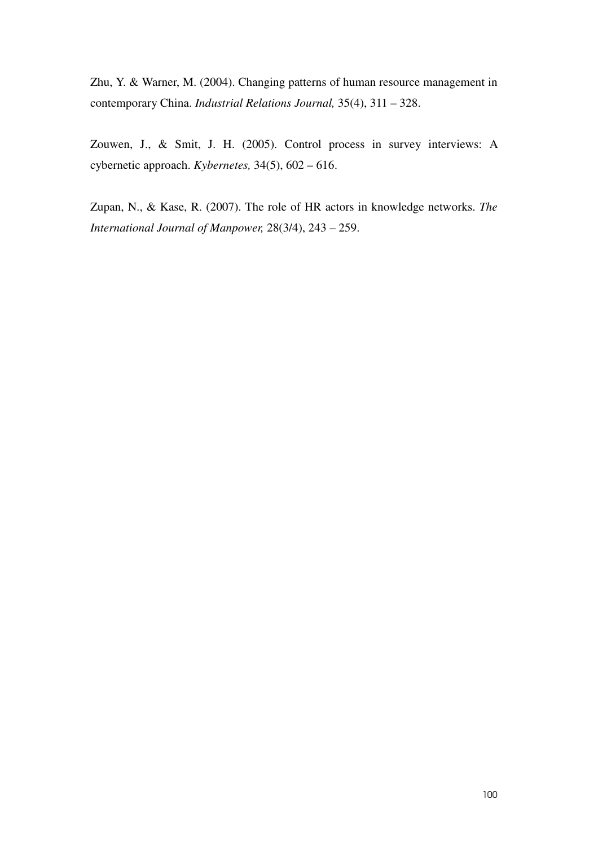Zhu, Y. & Warner, M. (2004). Changing patterns of human resource management in contemporary China. *Industrial Relations Journal,* 35(4), 311 – 328.

Zouwen, J., & Smit, J. H. (2005). Control process in survey interviews: A cybernetic approach. *Kybernetes,* 34(5), 602 – 616.

Zupan, N., & Kase, R. (2007). The role of HR actors in knowledge networks. *The International Journal of Manpower,* 28(3/4), 243 – 259.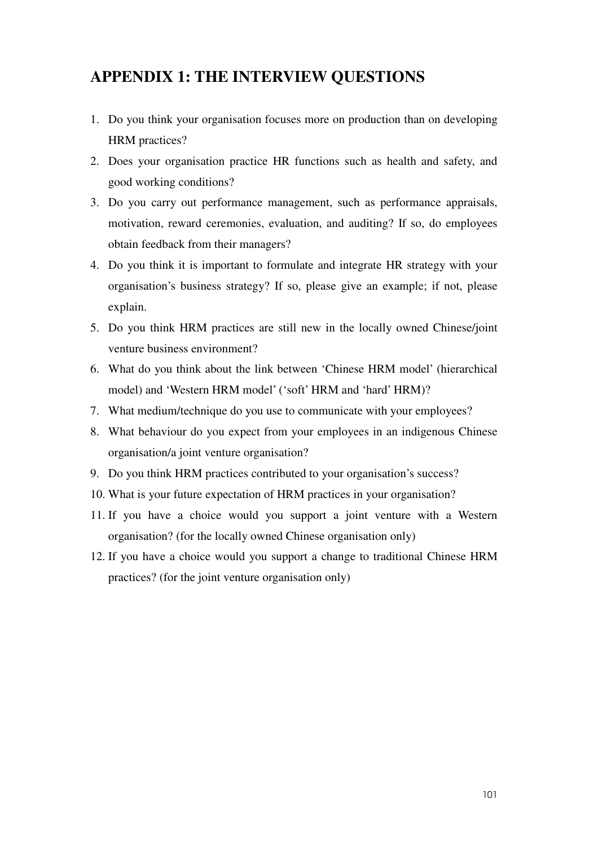# **APPENDIX 1: THE INTERVIEW QUESTIONS**

- 1. Do you think your organisation focuses more on production than on developing HRM practices?
- 2. Does your organisation practice HR functions such as health and safety, and good working conditions?
- 3. Do you carry out performance management, such as performance appraisals, motivation, reward ceremonies, evaluation, and auditing? If so, do employees obtain feedback from their managers?
- 4. Do you think it is important to formulate and integrate HR strategy with your organisation's business strategy? If so, please give an example; if not, please explain.
- 5. Do you think HRM practices are still new in the locally owned Chinese/joint venture business environment?
- 6. What do you think about the link between 'Chinese HRM model' (hierarchical model) and 'Western HRM model' ('soft' HRM and 'hard' HRM)?
- 7. What medium/technique do you use to communicate with your employees?
- 8. What behaviour do you expect from your employees in an indigenous Chinese organisation/a joint venture organisation?
- 9. Do you think HRM practices contributed to your organisation's success?
- 10. What is your future expectation of HRM practices in your organisation?
- 11. If you have a choice would you support a joint venture with a Western organisation? (for the locally owned Chinese organisation only)
- 12. If you have a choice would you support a change to traditional Chinese HRM practices? (for the joint venture organisation only)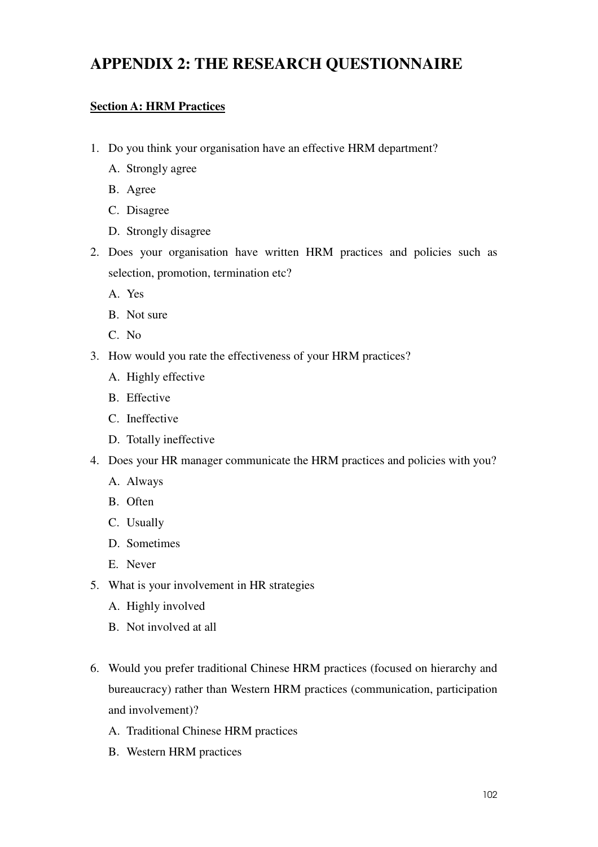# **APPENDIX 2: THE RESEARCH QUESTIONNAIRE**

# **Section A: HRM Practices**

- 1. Do you think your organisation have an effective HRM department?
	- A. Strongly agree
	- B. Agree
	- C. Disagree
	- D. Strongly disagree
- 2. Does your organisation have written HRM practices and policies such as selection, promotion, termination etc?
	- A. Yes
	- B. Not sure
	- C. No
- 3. How would you rate the effectiveness of your HRM practices?
	- A. Highly effective
	- B. Effective
	- C. Ineffective
	- D. Totally ineffective
- 4. Does your HR manager communicate the HRM practices and policies with you?
	- A. Always
	- B. Often
	- C. Usually
	- D. Sometimes
	- E. Never
- 5. What is your involvement in HR strategies
	- A. Highly involved
	- B. Not involved at all
- 6. Would you prefer traditional Chinese HRM practices (focused on hierarchy and bureaucracy) rather than Western HRM practices (communication, participation and involvement)?
	- A. Traditional Chinese HRM practices
	- B. Western HRM practices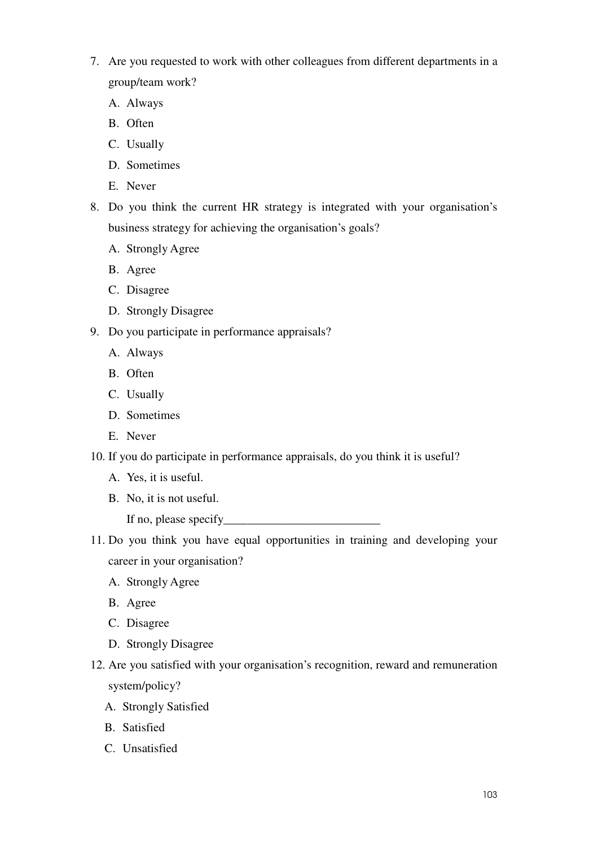- 7. Are you requested to work with other colleagues from different departments in a group/team work?
	- A. Always
	- B. Often
	- C. Usually
	- D. Sometimes
	- E. Never
- 8. Do you think the current HR strategy is integrated with your organisation's business strategy for achieving the organisation's goals?
	- A. Strongly Agree
	- B. Agree
	- C. Disagree
	- D. Strongly Disagree
- 9. Do you participate in performance appraisals?
	- A. Always
	- B. Often
	- C. Usually
	- D. Sometimes
	- E. Never
- 10. If you do participate in performance appraisals, do you think it is useful?
	- A. Yes, it is useful.
	- B. No, it is not useful.
		- If no, please specify\_\_\_\_\_\_\_\_\_\_\_\_\_\_\_\_\_\_\_\_\_\_\_\_\_\_
- 11. Do you think you have equal opportunities in training and developing your career in your organisation?
	- A. Strongly Agree
	- B. Agree
	- C. Disagree
	- D. Strongly Disagree
- 12. Are you satisfied with your organisation's recognition, reward and remuneration system/policy?
	- A. Strongly Satisfied
	- B. Satisfied
	- C. Unsatisfied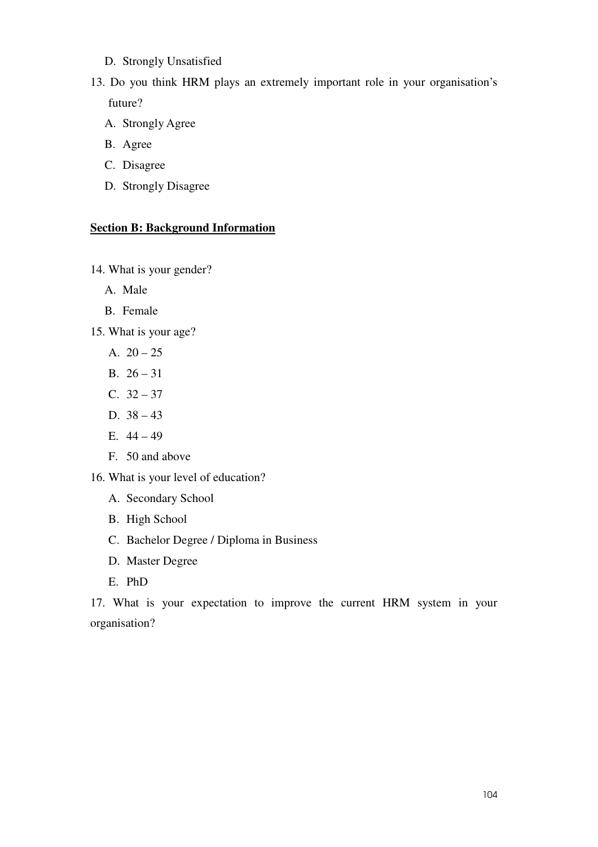- D. Strongly Unsatisfied
- 13. Do you think HRM plays an extremely important role in your organisation's future?
	- A. Strongly Agree
	- B. Agree
	- C. Disagree
	- D. Strongly Disagree

## **Section B: Background Information**

14. What is your gender?

- A. Male
- B. Female
- 15. What is your age?
	- A.  $20 25$
	- B.  $26 31$
	- C.  $32 37$
	- D. 38 43
	- E.  $44 49$
	- F. 50 and above
- 16. What is your level of education?
	- A. Secondary School
	- B. High School
	- C. Bachelor Degree / Diploma in Business
	- D. Master Degree
	- E. PhD

17. What is your expectation to improve the current HRM system in your organisation?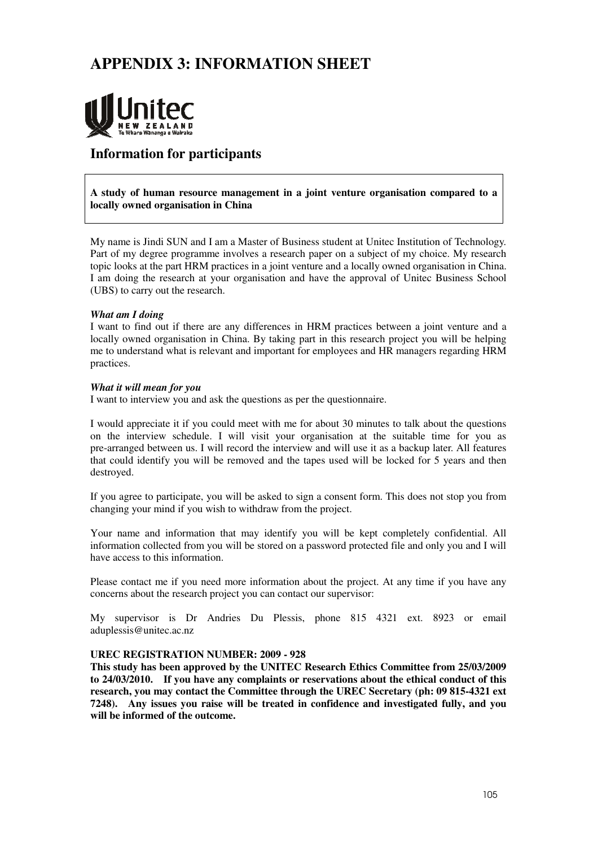# **APPENDIX 3: INFORMATION SHEET**



# **Information for participants**

**A study of human resource management in a joint venture organisation compared to a locally owned organisation in China** 

My name is Jindi SUN and I am a Master of Business student at Unitec Institution of Technology. Part of my degree programme involves a research paper on a subject of my choice. My research topic looks at the part HRM practices in a joint venture and a locally owned organisation in China. I am doing the research at your organisation and have the approval of Unitec Business School (UBS) to carry out the research.

### *What am I doing*

I want to find out if there are any differences in HRM practices between a joint venture and a locally owned organisation in China. By taking part in this research project you will be helping me to understand what is relevant and important for employees and HR managers regarding HRM practices.

### *What it will mean for you*

I want to interview you and ask the questions as per the questionnaire.

I would appreciate it if you could meet with me for about 30 minutes to talk about the questions on the interview schedule. I will visit your organisation at the suitable time for you as pre-arranged between us. I will record the interview and will use it as a backup later. All features that could identify you will be removed and the tapes used will be locked for 5 years and then destroyed.

If you agree to participate, you will be asked to sign a consent form. This does not stop you from changing your mind if you wish to withdraw from the project.

Your name and information that may identify you will be kept completely confidential. All information collected from you will be stored on a password protected file and only you and I will have access to this information.

Please contact me if you need more information about the project. At any time if you have any concerns about the research project you can contact our supervisor:

My supervisor is Dr Andries Du Plessis, phone 815 4321 ext. 8923 or email aduplessis@unitec.ac.nz

### **UREC REGISTRATION NUMBER: 2009 - 928**

**This study has been approved by the UNITEC Research Ethics Committee from 25/03/2009 to 24/03/2010. If you have any complaints or reservations about the ethical conduct of this research, you may contact the Committee through the UREC Secretary (ph: 09 815-4321 ext 7248). Any issues you raise will be treated in confidence and investigated fully, and you will be informed of the outcome.**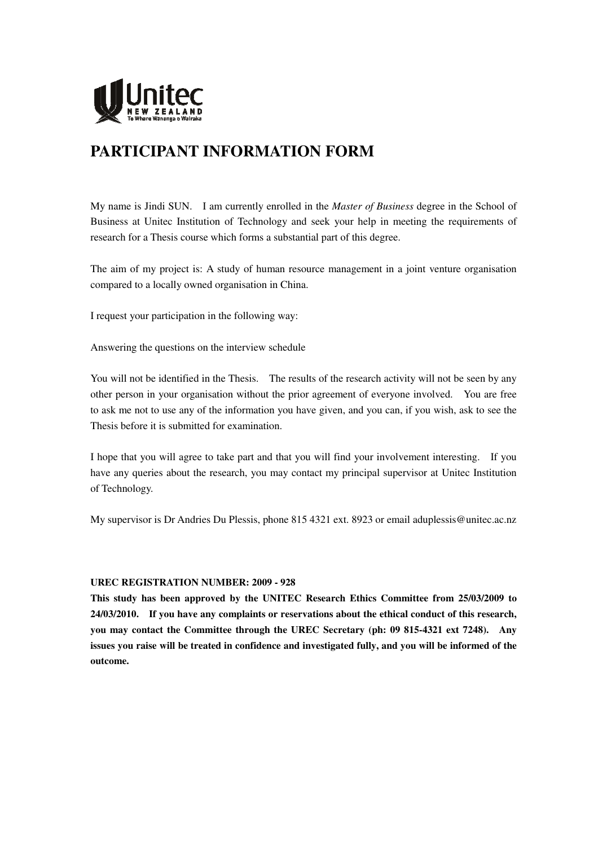

# **PARTICIPANT INFORMATION FORM**

My name is Jindi SUN. I am currently enrolled in the *Master of Business* degree in the School of Business at Unitec Institution of Technology and seek your help in meeting the requirements of research for a Thesis course which forms a substantial part of this degree.

The aim of my project is: A study of human resource management in a joint venture organisation compared to a locally owned organisation in China.

I request your participation in the following way:

Answering the questions on the interview schedule

You will not be identified in the Thesis. The results of the research activity will not be seen by any other person in your organisation without the prior agreement of everyone involved. You are free to ask me not to use any of the information you have given, and you can, if you wish, ask to see the Thesis before it is submitted for examination.

I hope that you will agree to take part and that you will find your involvement interesting. If you have any queries about the research, you may contact my principal supervisor at Unitec Institution of Technology.

My supervisor is Dr Andries Du Plessis, phone 815 4321 ext. 8923 or email aduplessis@unitec.ac.nz

### **UREC REGISTRATION NUMBER: 2009 - 928**

**This study has been approved by the UNITEC Research Ethics Committee from 25/03/2009 to 24/03/2010. If you have any complaints or reservations about the ethical conduct of this research, you may contact the Committee through the UREC Secretary (ph: 09 815-4321 ext 7248). Any issues you raise will be treated in confidence and investigated fully, and you will be informed of the outcome.**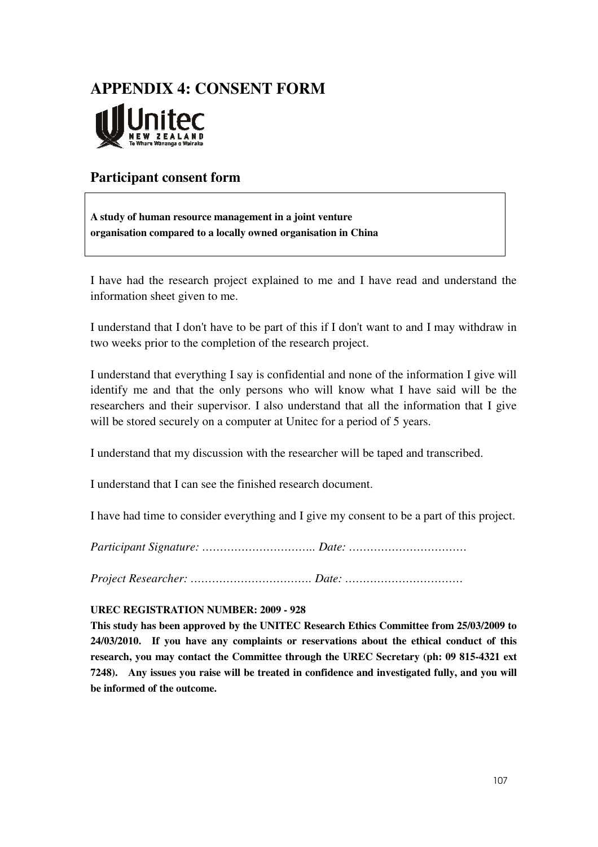# **APPENDIX 4: CONSENT FORM**

# **Participant consent form**

**A study of human resource management in a joint venture organisation compared to a locally owned organisation in China** 

I have had the research project explained to me and I have read and understand the information sheet given to me.

I understand that I don't have to be part of this if I don't want to and I may withdraw in two weeks prior to the completion of the research project.

I understand that everything I say is confidential and none of the information I give will identify me and that the only persons who will know what I have said will be the researchers and their supervisor. I also understand that all the information that I give will be stored securely on a computer at United for a period of 5 years.

I understand that my discussion with the researcher will be taped and transcribed.

I understand that I can see the finished research document.

I have had time to consider everything and I give my consent to be a part of this project.

*Participant Signature: ………………………….. Date: ……………………………* 

*Project Researcher: ……………………………. Date: ……………………………* 

### **UREC REGISTRATION NUMBER: 2009 - 928**

**This study has been approved by the UNITEC Research Ethics Committee from 25/03/2009 to 24/03/2010. If you have any complaints or reservations about the ethical conduct of this research, you may contact the Committee through the UREC Secretary (ph: 09 815-4321 ext 7248). Any issues you raise will be treated in confidence and investigated fully, and you will be informed of the outcome.**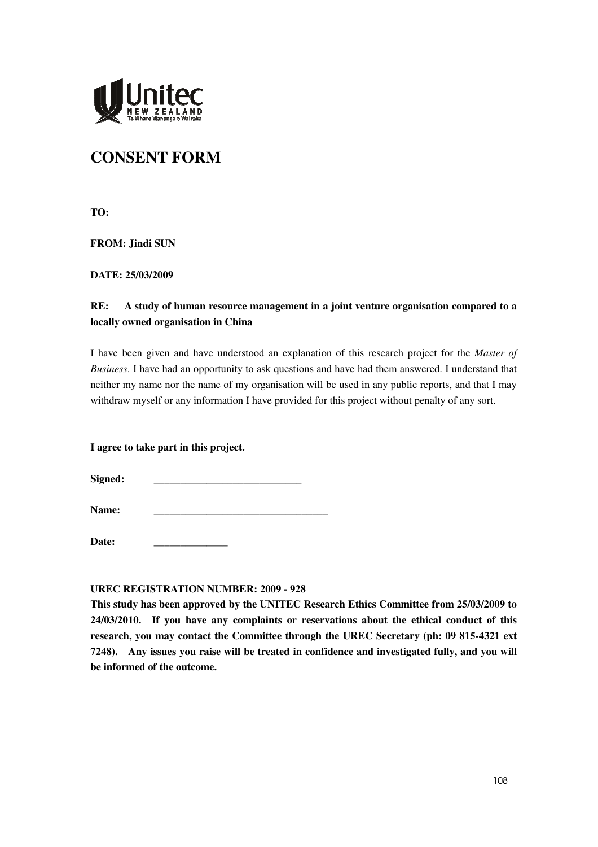

# **CONSENT FORM**

**TO:** 

**FROM: Jindi SUN** 

**DATE: 25/03/2009** 

# **RE: A study of human resource management in a joint venture organisation compared to a locally owned organisation in China**

I have been given and have understood an explanation of this research project for the *Master of Business*. I have had an opportunity to ask questions and have had them answered. I understand that neither my name nor the name of my organisation will be used in any public reports, and that I may withdraw myself or any information I have provided for this project without penalty of any sort.

**I agree to take part in this project.**

Signed:

**Name:** \_\_\_\_\_\_\_\_\_\_\_\_\_\_\_\_\_\_\_\_\_\_\_\_\_\_\_\_\_\_\_\_\_

Date:

### **UREC REGISTRATION NUMBER: 2009 - 928**

**This study has been approved by the UNITEC Research Ethics Committee from 25/03/2009 to 24/03/2010. If you have any complaints or reservations about the ethical conduct of this research, you may contact the Committee through the UREC Secretary (ph: 09 815-4321 ext 7248). Any issues you raise will be treated in confidence and investigated fully, and you will be informed of the outcome.**